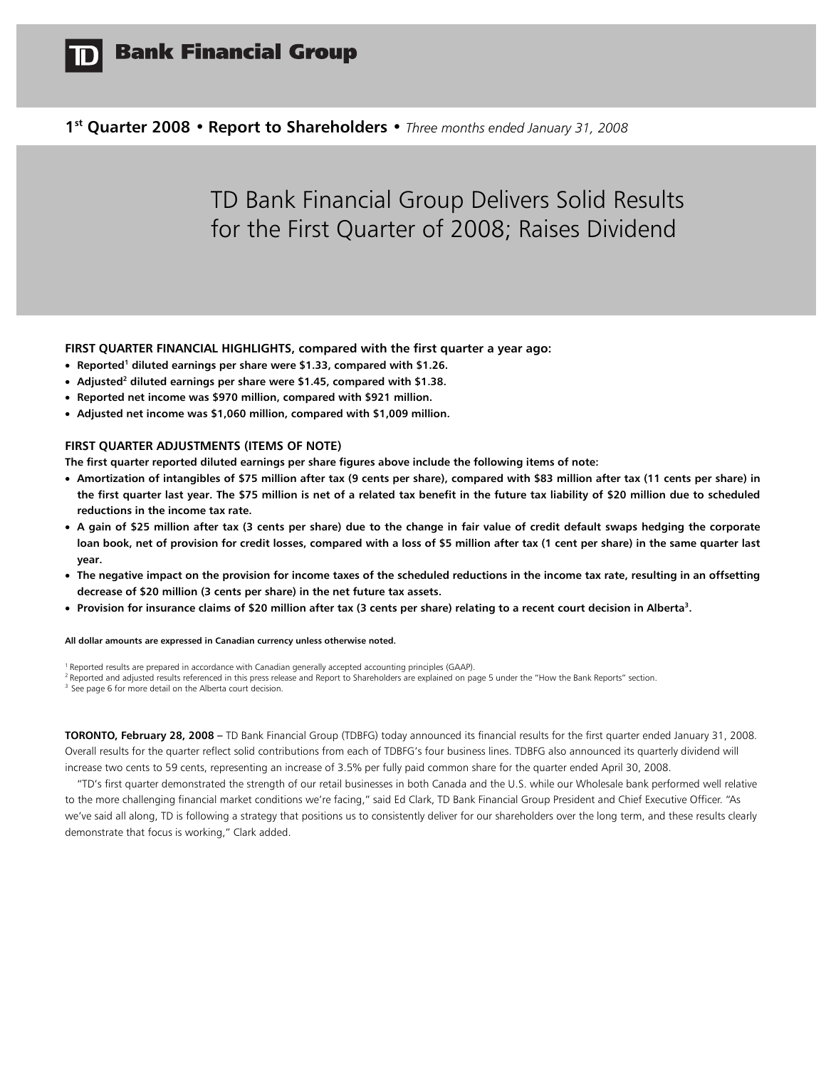

**1st Quarter 2008 • Report to Shareholders •** *Three months ended January 31, 2008* 

# TD Bank Financial Group Delivers Solid Results for the First Quarter of 2008; Raises Dividend

## **FIRST QUARTER FINANCIAL HIGHLIGHTS, compared with the first quarter a year ago:**

- **•** Reported<sup>1</sup> diluted earnings per share were \$1.33, compared with \$1.26.
- **Adjusted2 diluted earnings per share were \$1.45, compared with \$1.38.**
- **Reported net income was \$970 million, compared with \$921 million.**
- **Adjusted net income was \$1,060 million, compared with \$1,009 million.**

## **FIRST QUARTER ADJUSTMENTS (ITEMS OF NOTE)**

**The first quarter reported diluted earnings per share figures above include the following items of note:** 

- **Amortization of intangibles of \$75 million after tax (9 cents per share), compared with \$83 million after tax (11 cents per share) in the first quarter last year. The \$75 million is net of a related tax benefit in the future tax liability of \$20 million due to scheduled reductions in the income tax rate.**
- **A gain of \$25 million after tax (3 cents per share) due to the change in fair value of credit default swaps hedging the corporate loan book, net of provision for credit losses, compared with a loss of \$5 million after tax (1 cent per share) in the same quarter last year.**
- **The negative impact on the provision for income taxes of the scheduled reductions in the income tax rate, resulting in an offsetting decrease of \$20 million (3 cents per share) in the net future tax assets.**
- **Provision for insurance claims of \$20 million after tax (3 cents per share) relating to a recent court decision in Alberta3 .**

**All dollar amounts are expressed in Canadian currency unless otherwise noted.** 

<sup>1</sup> Reported results are prepared in accordance with Canadian generally accepted accounting principles (GAAP).<br><sup>2</sup> Reported and adjusted results referenced in this press release and Report to Shareholders are explained on

**TORONTO, February 28, 2008 –** TD Bank Financial Group (TDBFG) today announced its financial results for the first quarter ended January 31, 2008. Overall results for the quarter reflect solid contributions from each of TDBFG's four business lines. TDBFG also announced its quarterly dividend will increase two cents to 59 cents, representing an increase of 3.5% per fully paid common share for the quarter ended April 30, 2008.

 "TD's first quarter demonstrated the strength of our retail businesses in both Canada and the U.S. while our Wholesale bank performed well relative to the more challenging financial market conditions we're facing," said Ed Clark, TD Bank Financial Group President and Chief Executive Officer. "As we've said all along, TD is following a strategy that positions us to consistently deliver for our shareholders over the long term, and these results clearly demonstrate that focus is working," Clark added.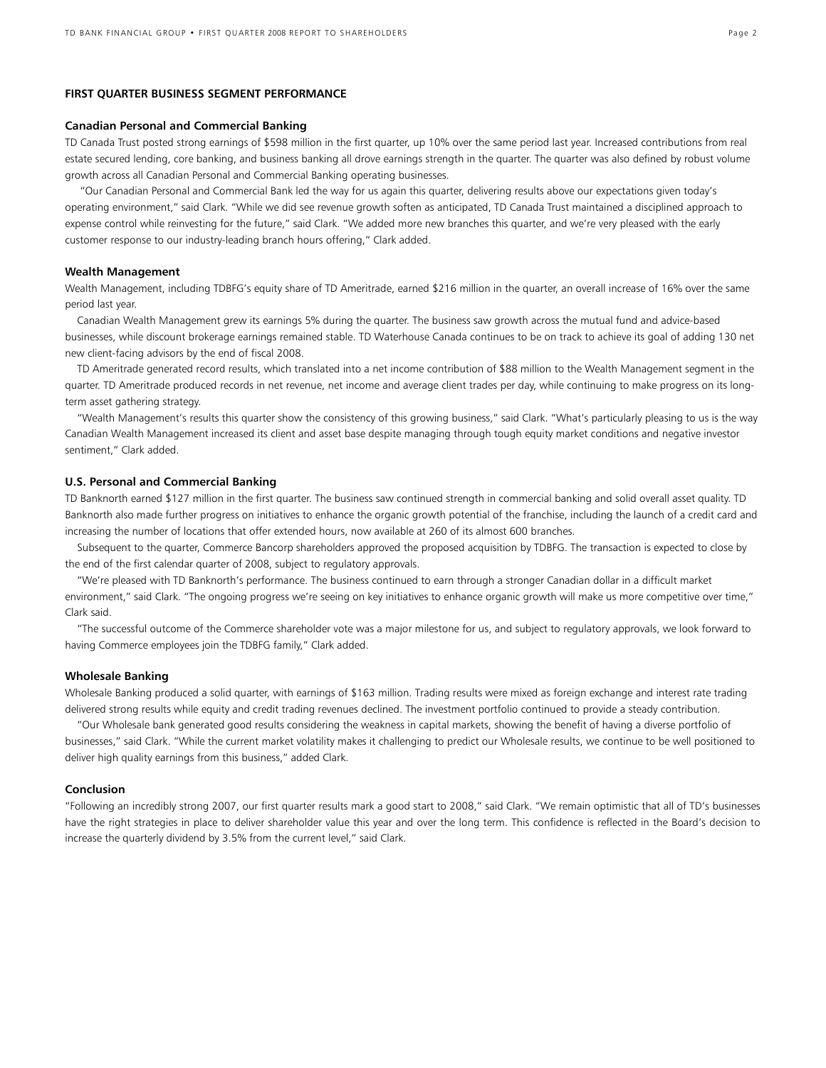#### **FIRST QUARTER BUSINESS SEGMENT PERFORMANCE**

#### **Canadian Personal and Commercial Banking**

TD Canada Trust posted strong earnings of \$598 million in the first quarter, up 10% over the same period last year. Increased contributions from real estate secured lending, core banking, and business banking all drove earnings strength in the quarter. The quarter was also defined by robust volume growth across all Canadian Personal and Commercial Banking operating businesses.

 "Our Canadian Personal and Commercial Bank led the way for us again this quarter, delivering results above our expectations given today's operating environment," said Clark. "While we did see revenue growth soften as anticipated, TD Canada Trust maintained a disciplined approach to expense control while reinvesting for the future," said Clark. "We added more new branches this quarter, and we're very pleased with the early customer response to our industry-leading branch hours offering," Clark added.

#### **Wealth Management**

Wealth Management, including TDBFG's equity share of TD Ameritrade, earned \$216 million in the quarter, an overall increase of 16% over the same period last year.

 Canadian Wealth Management grew its earnings 5% during the quarter. The business saw growth across the mutual fund and advice-based businesses, while discount brokerage earnings remained stable. TD Waterhouse Canada continues to be on track to achieve its goal of adding 130 net new client-facing advisors by the end of fiscal 2008.

 TD Ameritrade generated record results, which translated into a net income contribution of \$88 million to the Wealth Management segment in the quarter. TD Ameritrade produced records in net revenue, net income and average client trades per day, while continuing to make progress on its longterm asset gathering strategy.

 "Wealth Management's results this quarter show the consistency of this growing business," said Clark. "What's particularly pleasing to us is the way Canadian Wealth Management increased its client and asset base despite managing through tough equity market conditions and negative investor sentiment," Clark added.

#### **U.S. Personal and Commercial Banking**

TD Banknorth earned \$127 million in the first quarter. The business saw continued strength in commercial banking and solid overall asset quality. TD Banknorth also made further progress on initiatives to enhance the organic growth potential of the franchise, including the launch of a credit card and increasing the number of locations that offer extended hours, now available at 260 of its almost 600 branches.

 Subsequent to the quarter, Commerce Bancorp shareholders approved the proposed acquisition by TDBFG. The transaction is expected to close by the end of the first calendar quarter of 2008, subject to regulatory approvals.

 "We're pleased with TD Banknorth's performance. The business continued to earn through a stronger Canadian dollar in a difficult market environment," said Clark. "The ongoing progress we're seeing on key initiatives to enhance organic growth will make us more competitive over time," Clark said.

 "The successful outcome of the Commerce shareholder vote was a major milestone for us, and subject to regulatory approvals, we look forward to having Commerce employees join the TDBFG family," Clark added.

#### **Wholesale Banking**

Wholesale Banking produced a solid quarter, with earnings of \$163 million. Trading results were mixed as foreign exchange and interest rate trading delivered strong results while equity and credit trading revenues declined. The investment portfolio continued to provide a steady contribution.

 "Our Wholesale bank generated good results considering the weakness in capital markets, showing the benefit of having a diverse portfolio of businesses," said Clark. "While the current market volatility makes it challenging to predict our Wholesale results, we continue to be well positioned to deliver high quality earnings from this business," added Clark.

#### **Conclusion**

"Following an incredibly strong 2007, our first quarter results mark a good start to 2008," said Clark. "We remain optimistic that all of TD's businesses have the right strategies in place to deliver shareholder value this year and over the long term. This confidence is reflected in the Board's decision to increase the quarterly dividend by 3.5% from the current level," said Clark.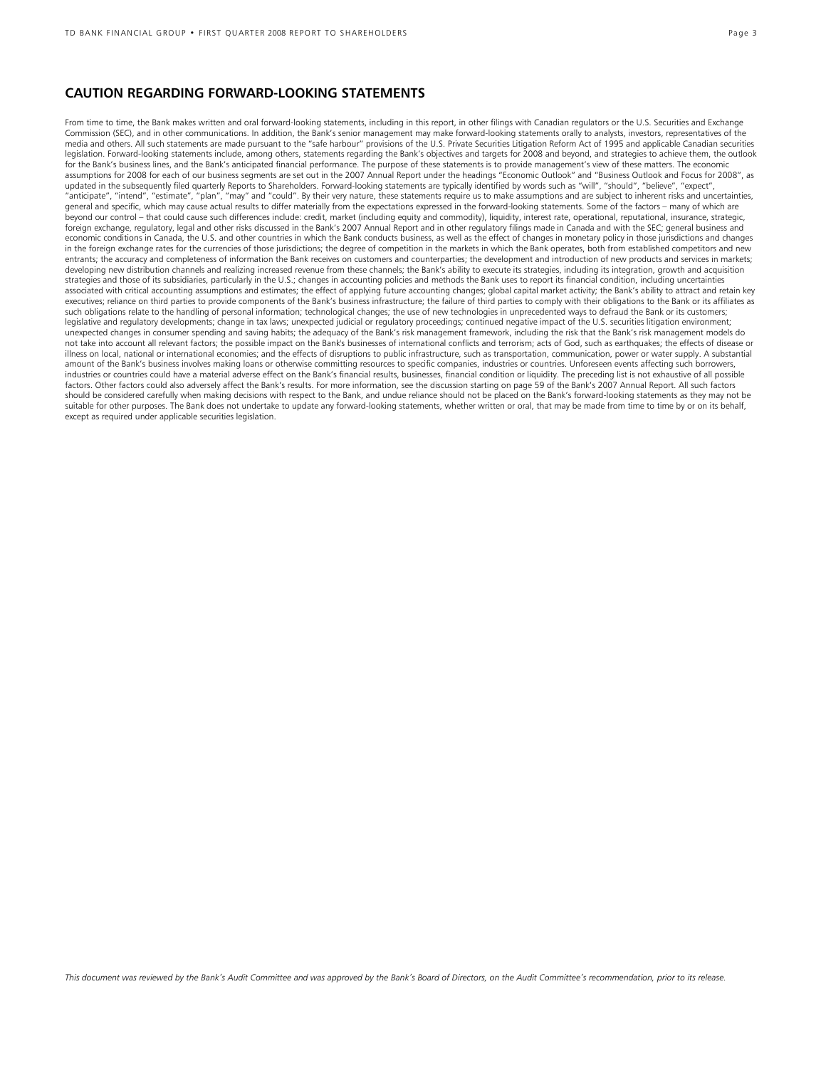## **CAUTION REGARDING FORWARD-LOOKING STATEMENTS**

From time to time, the Bank makes written and oral forward-looking statements, including in this report, in other filings with Canadian regulators or the U.S. Securities and Exchange Commission (SEC), and in other communications. In addition, the Bank's senior management may make forward-looking statements orally to analysts, investors, representatives of the media and others. All such statements are made pursuant to the "safe harbour" provisions of the U.S. Private Securities Litigation Reform Act of 1995 and applicable Canadian securities legislation. Forward-looking statements include, among others, statements regarding the Bank's objectives and targets for 2008 and beyond, and strategies to achieve them, the outlook for the Bank's business lines, and the Bank's anticipated financial performance. The purpose of these statements is to provide management's view of these matters. The economic assumptions for 2008 for each of our business segments are set out in the 2007 Annual Report under the headings "Economic Outlook" and "Business Outlook and Focus for 2008", as updated in the subsequently filed quarterly Reports to Shareholders. Forward-looking statements are typically identified by words such as "will", "should", "believe", "expect", "anticipate", "intend", "estimate", "plan", "may" and "could". By their very nature, these statements require us to make assumptions and are subject to inherent risks and uncertainties, general and specific, which may cause actual results to differ materially from the expectations expressed in the forward-looking statements. Some of the factors – many of which are beyond our control – that could cause such differences include: credit, market (including equity and commodity), liquidity, interest rate, operational, reputational, insurance, strategic, foreign exchange, regulatory, legal and other risks discussed in the Bank's 2007 Annual Report and in other regulatory filings made in Canada and with the SEC; general business and economic conditions in Canada, the U.S. and other countries in which the Bank conducts business, as well as the effect of changes in monetary policy in those jurisdictions and changes in the foreign exchange rates for the currencies of those jurisdictions; the degree of competition in the markets in which the Bank operates, both from established competitors and new entrants; the accuracy and completeness of information the Bank receives on customers and counterparties; the development and introduction of new products and services in markets; developing new distribution channels and realizing increased revenue from these channels; the Bank's ability to execute its strategies, including its integration, growth and acquisition strategies and those of its subsidiaries, particularly in the U.S.; changes in accounting policies and methods the Bank uses to report its financial condition, including uncertainties associated with critical accounting assumptions and estimates; the effect of applying future accounting changes; global capital market activity; the Bank's ability to attract and retain key executives; reliance on third parties to provide components of the Bank's business infrastructure; the failure of third parties to comply with their obligations to the Bank or its affiliates as such obligations relate to the handling of personal information; technological changes; the use of new technologies in unprecedented ways to defraud the Bank or its customers; legislative and regulatory developments; change in tax laws; unexpected judicial or regulatory proceedings; continued negative impact of the U.S. securities litigation environment; unexpected changes in consumer spending and saving habits; the adequacy of the Bank's risk management framework, including the risk that the Bank's risk management models do not take into account all relevant factors; the possible impact on the Bank's businesses of international conflicts and terrorism; acts of God, such as earthquakes; the effects of disease or illness on local, national or international economies; and the effects of disruptions to public infrastructure, such as transportation, communication, power or water supply. A substantial amount of the Bank's business involves making loans or otherwise committing resources to specific companies, industries or countries. Unforeseen events affecting such borrowers, industries or countries could have a material adverse effect on the Bank's financial results, businesses, financial condition or liquidity. The preceding list is not exhaustive of all possible factors. Other factors could also adversely affect the Bank's results. For more information, see the discussion starting on page 59 of the Bank's 2007 Annual Report. All such factors should be considered carefully when making decisions with respect to the Bank, and undue reliance should not be placed on the Bank's forward-looking statements as they may not be suitable for other purposes. The Bank does not undertake to update any forward-looking statements, whether written or oral, that may be made from time to time by or on its behalf, except as required under applicable securities legislation.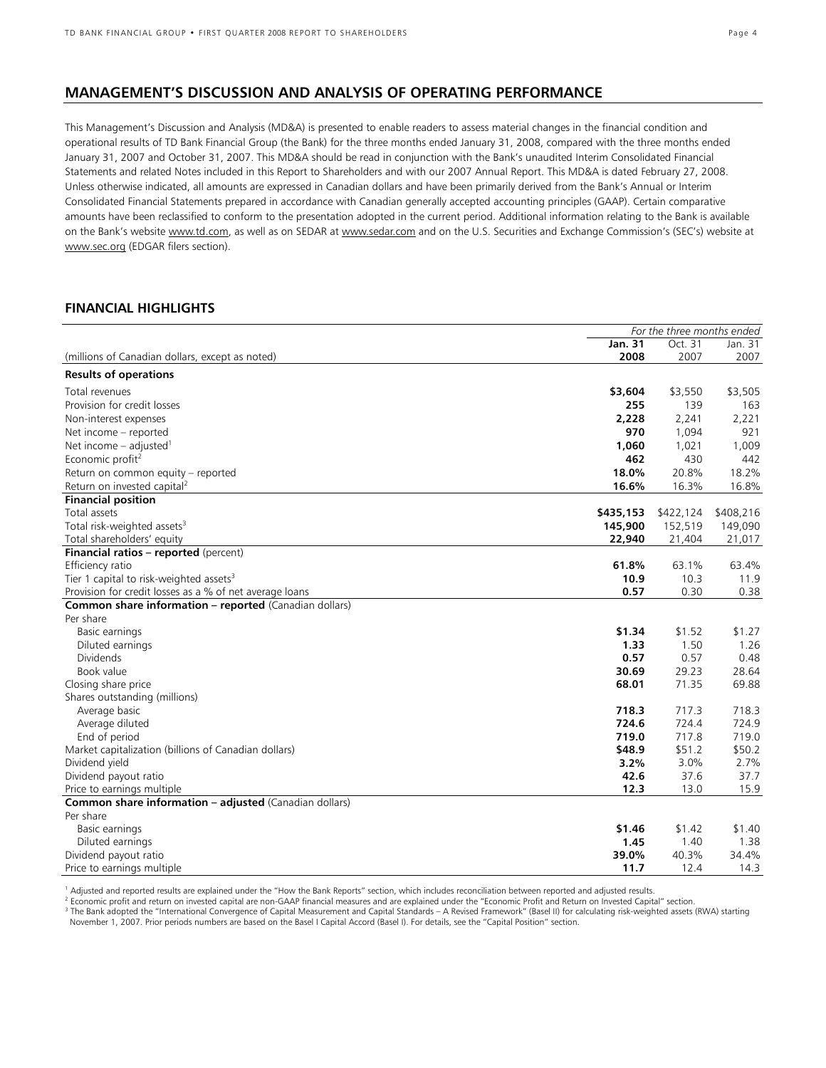## **MANAGEMENT'S DISCUSSION AND ANALYSIS OF OPERATING PERFORMANCE**

This Management's Discussion and Analysis (MD&A) is presented to enable readers to assess material changes in the financial condition and operational results of TD Bank Financial Group (the Bank) for the three months ended January 31, 2008, compared with the three months ended January 31, 2007 and October 31, 2007. This MD&A should be read in conjunction with the Bank's unaudited Interim Consolidated Financial Statements and related Notes included in this Report to Shareholders and with our 2007 Annual Report. This MD&A is dated February 27, 2008. Unless otherwise indicated, all amounts are expressed in Canadian dollars and have been primarily derived from the Bank's Annual or Interim Consolidated Financial Statements prepared in accordance with Canadian generally accepted accounting principles (GAAP). Certain comparative amounts have been reclassified to conform to the presentation adopted in the current period. Additional information relating to the Bank is available on the Bank's website www.td.com, as well as on SEDAR at www.sedar.com and on the U.S. Securities and Exchange Commission's (SEC's) website at www.sec.org (EDGAR filers section).

## **FINANCIAL HIGHLIGHTS**

|                                                                               | For the three months ended |           |           |
|-------------------------------------------------------------------------------|----------------------------|-----------|-----------|
|                                                                               | <b>Jan. 31</b>             | Oct. 31   | Jan. 31   |
| (millions of Canadian dollars, except as noted)                               | 2008                       | 2007      | 2007      |
| <b>Results of operations</b>                                                  |                            |           |           |
| Total revenues                                                                | \$3,604                    | \$3,550   | \$3,505   |
| Provision for credit losses                                                   | 255                        | 139       | 163       |
| Non-interest expenses                                                         | 2,228                      | 2,241     | 2,221     |
| Net income - reported                                                         | 970                        | 1,094     | 921       |
| Net income $-$ adjusted <sup>1</sup>                                          | 1,060                      | 1,021     | 1,009     |
| Economic profit <sup>2</sup>                                                  | 462                        | 430       | 442       |
|                                                                               | 18.0%                      | 20.8%     | 18.2%     |
| Return on common equity - reported<br>Return on invested capital <sup>2</sup> | 16.6%                      | 16.3%     | 16.8%     |
|                                                                               |                            |           |           |
| <b>Financial position</b>                                                     |                            |           |           |
| Total assets                                                                  | \$435,153                  | \$422,124 | \$408,216 |
| Total risk-weighted assets <sup>3</sup>                                       | 145,900                    | 152,519   | 149,090   |
| Total shareholders' equity                                                    | 22,940                     | 21,404    | 21,017    |
| Financial ratios - reported (percent)                                         |                            |           |           |
| Efficiency ratio                                                              | 61.8%                      | 63.1%     | 63.4%     |
| Tier 1 capital to risk-weighted assets <sup>3</sup>                           | 10.9                       | 10.3      | 11.9      |
| Provision for credit losses as a % of net average loans                       | 0.57                       | 0.30      | 0.38      |
| <b>Common share information - reported</b> (Canadian dollars)                 |                            |           |           |
| Per share                                                                     |                            |           |           |
| Basic earnings                                                                | \$1.34                     | \$1.52    | \$1.27    |
| Diluted earnings                                                              | 1.33                       | 1.50      | 1.26      |
| Dividends                                                                     | 0.57                       | 0.57      | 0.48      |
| Book value                                                                    | 30.69                      | 29.23     | 28.64     |
| Closing share price                                                           | 68.01                      | 71.35     | 69.88     |
| Shares outstanding (millions)                                                 |                            |           |           |
| Average basic                                                                 | 718.3                      | 717.3     | 718.3     |
| Average diluted                                                               | 724.6                      | 724.4     | 724.9     |
| End of period                                                                 | 719.0                      | 717.8     | 719.0     |
| Market capitalization (billions of Canadian dollars)                          | \$48.9                     | \$51.2    | \$50.2    |
| Dividend yield                                                                | 3.2%                       | 3.0%      | 2.7%      |
| Dividend payout ratio                                                         | 42.6                       | 37.6      | 37.7      |
| Price to earnings multiple                                                    | 12.3                       | 13.0      | 15.9      |
| Common share information - adjusted (Canadian dollars)                        |                            |           |           |
| Per share                                                                     |                            |           |           |
| Basic earnings                                                                | \$1.46                     | \$1.42    | \$1.40    |
| Diluted earnings                                                              | 1.45                       | 1.40      | 1.38      |
| Dividend payout ratio                                                         | 39.0%                      | 40.3%     | 34.4%     |
| Price to earnings multiple                                                    | 11.7                       | 12.4      | 14.3      |

1 Adjusted and reported results are explained under the "How the Bank Reports" section, which includes reconciliation between reported and adjusted results.

<sup>2</sup> Economic profit and return on invested capital are non-GAAP financial measures and are explained under the "Economic Profit and Return on Invested Capital" section.

<sup>3</sup> The Bank adopted the "International Convergence of Capital Measurement and Capital Standards – A Revised Framework" (Basel II) for calculating risk-weighted assets (RWA) starting November 1, 2007. Prior periods numbers are based on the Basel I Capital Accord (Basel I). For details, see the "Capital Position" section.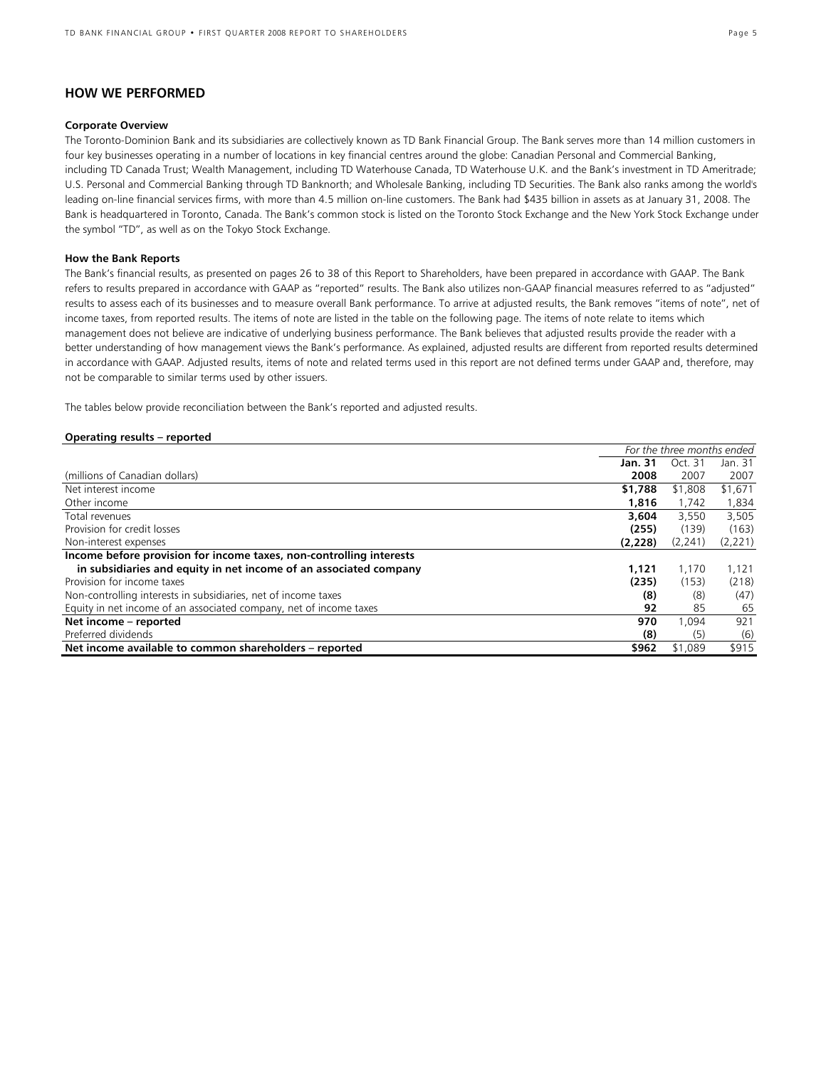## **HOW WE PERFORMED**

### **Corporate Overview**

The Toronto-Dominion Bank and its subsidiaries are collectively known as TD Bank Financial Group. The Bank serves more than 14 million customers in four key businesses operating in a number of locations in key financial centres around the globe: Canadian Personal and Commercial Banking, including TD Canada Trust; Wealth Management, including TD Waterhouse Canada, TD Waterhouse U.K. and the Bank's investment in TD Ameritrade; U.S. Personal and Commercial Banking through TD Banknorth; and Wholesale Banking, including TD Securities. The Bank also ranks among the world's leading on-line financial services firms, with more than 4.5 million on-line customers. The Bank had \$435 billion in assets as at January 31, 2008. The Bank is headquartered in Toronto, Canada. The Bank's common stock is listed on the Toronto Stock Exchange and the New York Stock Exchange under the symbol "TD", as well as on the Tokyo Stock Exchange.

#### **How the Bank Reports**

The Bank's financial results, as presented on pages 26 to 38 of this Report to Shareholders, have been prepared in accordance with GAAP. The Bank refers to results prepared in accordance with GAAP as "reported" results. The Bank also utilizes non-GAAP financial measures referred to as "adjusted" results to assess each of its businesses and to measure overall Bank performance. To arrive at adjusted results, the Bank removes "items of note", net of income taxes, from reported results. The items of note are listed in the table on the following page. The items of note relate to items which management does not believe are indicative of underlying business performance. The Bank believes that adjusted results provide the reader with a better understanding of how management views the Bank's performance. As explained, adjusted results are different from reported results determined in accordance with GAAP. Adjusted results, items of note and related terms used in this report are not defined terms under GAAP and, therefore, may not be comparable to similar terms used by other issuers.

The tables below provide reconciliation between the Bank's reported and adjusted results.

#### **Operating results – reported**

|                                                                     | For the three months ended |         |         |
|---------------------------------------------------------------------|----------------------------|---------|---------|
|                                                                     | Jan. 31                    | Oct. 31 | Jan. 31 |
| (millions of Canadian dollars)                                      | 2008                       | 2007    | 2007    |
| Net interest income                                                 | \$1,788                    | \$1,808 | \$1,671 |
| Other income                                                        | 1,816                      | 1,742   | 1,834   |
| Total revenues                                                      | 3,604                      | 3,550   | 3,505   |
| Provision for credit losses                                         | (255)                      | (139)   | (163)   |
| Non-interest expenses                                               | (2,228)                    | (2,241) | (2,221) |
| Income before provision for income taxes, non-controlling interests |                            |         |         |
| in subsidiaries and equity in net income of an associated company   | 1,121                      | 1.170   | 1,121   |
| Provision for income taxes                                          | (235)                      | (153)   | (218)   |
| Non-controlling interests in subsidiaries, net of income taxes      | (8)                        | (8)     | (47)    |
| Equity in net income of an associated company, net of income taxes  | 92                         | 85      | 65      |
| Net income - reported                                               | 970                        | 1.094   | 921     |
| Preferred dividends                                                 | (8)                        | (5)     | (6)     |
| Net income available to common shareholders - reported              | \$962                      | \$1,089 | \$915   |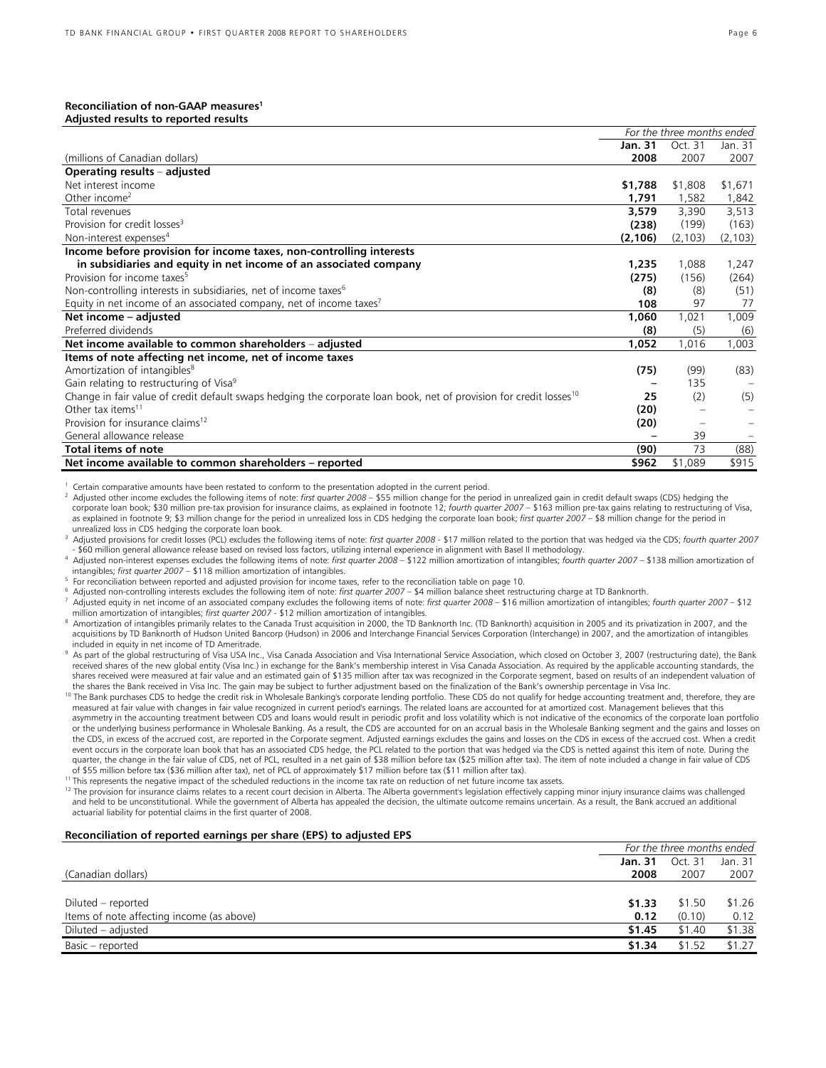#### **Reconciliation of non-GAAP measures1 Adjusted results to reported results**

|                                                                                                                                | For the three months ended |          |          |
|--------------------------------------------------------------------------------------------------------------------------------|----------------------------|----------|----------|
|                                                                                                                                | Jan. 31                    | Oct. 31  | Jan. 31  |
| (millions of Canadian dollars)                                                                                                 | 2008                       | 2007     | 2007     |
| Operating results - adjusted                                                                                                   |                            |          |          |
| Net interest income                                                                                                            | \$1,788                    | \$1,808  | \$1,671  |
| Other income <sup>2</sup>                                                                                                      | 1,791                      | 1,582    | 1,842    |
| Total revenues                                                                                                                 | 3,579                      | 3,390    | 3,513    |
| Provision for credit losses <sup>3</sup>                                                                                       | (238)                      | (199)    | (163)    |
| Non-interest expenses <sup>4</sup>                                                                                             | (2, 106)                   | (2, 103) | (2, 103) |
| Income before provision for income taxes, non-controlling interests                                                            |                            |          |          |
| in subsidiaries and equity in net income of an associated company                                                              | 1,235                      | 1,088    | 1,247    |
| Provision for income taxes <sup>5</sup>                                                                                        | (275)                      | (156)    | (264)    |
| Non-controlling interests in subsidiaries, net of income taxes <sup>6</sup>                                                    | (8)                        | (8)      | (51)     |
| Equity in net income of an associated company, net of income taxes <sup>7</sup>                                                | 108                        | 97       | 77       |
| Net income - adjusted                                                                                                          | 1,060                      | 1,021    | 1,009    |
| Preferred dividends                                                                                                            | (8)                        | (5)      | (6)      |
| Net income available to common shareholders - adjusted                                                                         | 1,052                      | 1,016    | 1,003    |
| Items of note affecting net income, net of income taxes                                                                        |                            |          |          |
| Amortization of intangibles <sup>8</sup>                                                                                       | (75)                       | (99)     | (83)     |
| Gain relating to restructuring of Visa <sup>9</sup>                                                                            |                            | 135      |          |
| Change in fair value of credit default swaps hedging the corporate loan book, net of provision for credit losses <sup>10</sup> | 25                         | (2)      | (5)      |
| Other tax items <sup>11</sup>                                                                                                  | (20)                       |          |          |
| Provision for insurance claims <sup>12</sup>                                                                                   | (20)                       |          |          |
| General allowance release                                                                                                      |                            | 39       |          |
| <b>Total items of note</b>                                                                                                     | (90)                       | 73       | (88)     |
| Net income available to common shareholders - reported                                                                         | \$962                      | \$1,089  | \$915    |

Certain comparative amounts have been restated to conform to the presentation adopted in the current period.

2 Adjusted other income excludes the following items of note: *first quarter 2008 –* \$55 million change for the period in unrealized gain in credit default swaps (CDS) hedging the corporate loan book; \$30 million pre-tax provision for insurance claims, as explained in footnote 12; *fourth quarter 2007 –* \$163 million pre-tax gains relating to restructuring of Visa, as explained in footnote 9; \$3 million change for the period in unrealized loss in CDS hedging the corporate loan book; *first quarter 2007 –* \$8 million change for the period in unrealized loss in CDS hedging the corporate loan book.

3 Adjusted provisions for credit losses (PCL) excludes the following items of note: *first quarter 2008* - \$17 million related to the portion that was hedged via the CDS; *fourth quarter 2007* - \$60 million general allowance release based on revised loss factors, utilizing internal experience in alignment with Basel II methodology.<br><sup>4</sup> Adjusted non-interest expenses excludes the following items of note: *first q* 

intangibles; *first quarter 2007* – \$118 million amortization of intangibles. 5

For reconciliation between reported and adjusted provision for income taxes, refer to the reconciliation table on page 10.

6 Adjusted non-controlling interests excludes the following item of note: *first quarter 2007* – \$4 million balance sheet restructuring charge at TD Banknorth. 7

 Adjusted equity in net income of an associated company excludes the following items of note: *first quarter 2008* – \$16 million amortization of intangibles; *fourth quarter 2007* – \$12 million amortization of intangibles; *first quarter 2007* - \$12 million amortization of intangibles. 8

 Amortization of intangibles primarily relates to the Canada Trust acquisition in 2000, the TD Banknorth Inc. (TD Banknorth) acquisition in 2005 and its privatization in 2007, and the acquisitions by TD Banknorth of Hudson United Bancorp (Hudson) in 2006 and Interchange Financial Services Corporation (Interchange) in 2007, and the amortization of intangibles included in equity in net income of TD Ameritrade.

9 As part of the global restructuring of Visa USA Inc., Visa Canada Association and Visa International Service Association, which closed on October 3, 2007 (restructuring date), the Bank received shares of the new global entity (Visa Inc.) in exchange for the Bank's membership interest in Visa Canada Association. As required by the applicable accounting standards, the shares received were measured at fair value and an estimated gain of \$135 million after tax was recognized in the Corporate segment, based on results of an independent valuation of<br>the shares the Bank received in Visa Inc.

<sup>10</sup> The Bank purchases CDS to hedge the credit risk in Wholesale Banking's corporate lending portfolio. These CDS do not qualify for hedge accounting treatment and, therefore, they are measured at fair value with changes in fair value recognized in current period's earnings. The related loans are accounted for at amortized cost. Management believes that this asymmetry in the accounting treatment between CDS and loans would result in periodic profit and loss volatility which is not indicative of the economics of the corporate loan portfolio or the underlying business performance in Wholesale Banking. As a result, the CDS are accounted for on an accrual basis in the Wholesale Banking segment and the gains and losses on the CDS, in excess of the accrued cost, are reported in the Corporate segment. Adjusted earnings excludes the gains and losses on the CDS in excess of the accrued cost. When a credit

event occurs in the corporate loan book that has an associated CDS hedge, the PCL related to the portion that was hedged via the CDS is netted against this item of note. During the quarter, the change in the fair value of CDS, net of PCL, resulted in a net gain of \$38 million before tax (\$25 million after tax). The item of note included a change in fair value of CDS

of \$55 million before tax (\$36 million after tax), net of PCL of approximately \$17 million before tax (\$11 million after tax).<br><sup>11</sup> This represents the negative impact of the scheduled reductions in the income tax rate on and held to be unconstitutional. While the government of Alberta has appealed the decision, the ultimate outcome remains uncertain. As a result, the Bank accrued an additional actuarial liability for potential claims in the first quarter of 2008.

#### **Reconciliation of reported earnings per share (EPS) to adjusted EPS**

|                                           | For the three months ended |         |         |
|-------------------------------------------|----------------------------|---------|---------|
|                                           | Jan. 31                    | Oct. 31 | Jan. 31 |
| (Canadian dollars)                        | 2008                       | 2007    | 2007    |
|                                           |                            |         |         |
| Diluted – reported                        | \$1.33                     | \$1.50  | \$1.26  |
| Items of note affecting income (as above) | 0.12                       | (0.10)  | 0.12    |
| Diluted – adjusted                        | \$1.45                     | \$1.40  | \$1.38  |
| Basic - reported                          | \$1.34                     | \$1.52  | \$1.27  |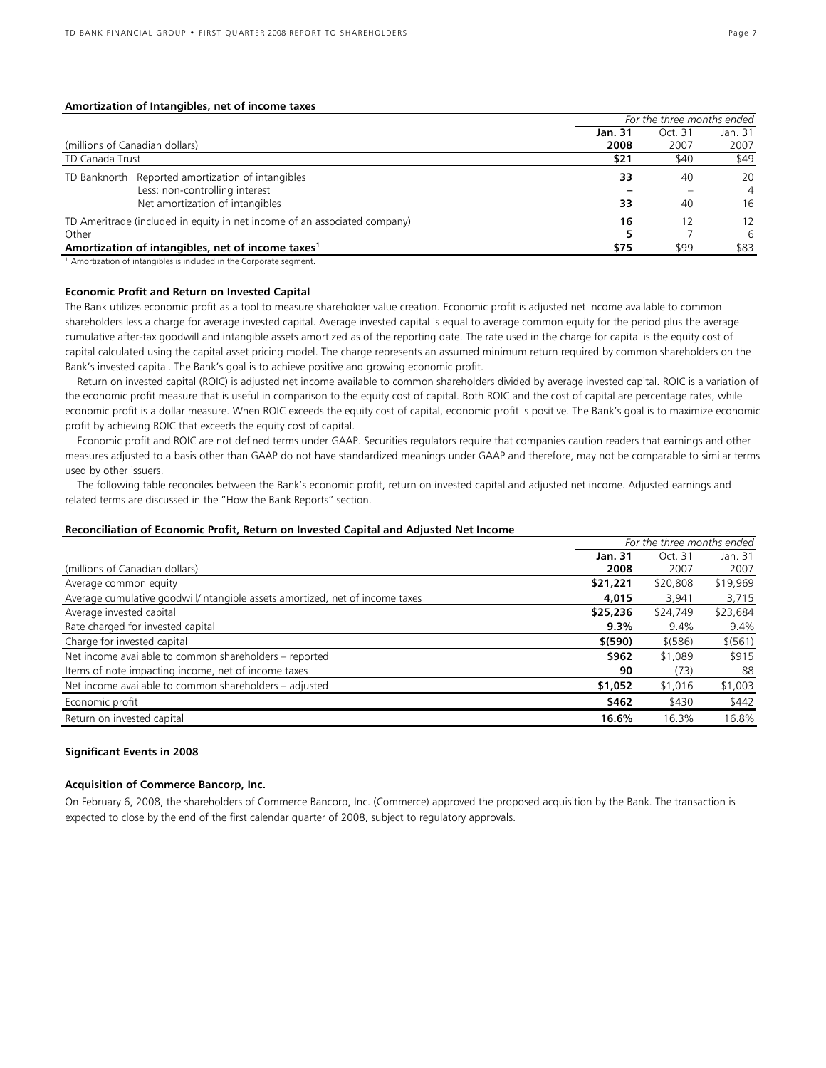#### **Amortization of Intangibles, net of income taxes**

|                                                                           | For the three months ended |         |         |
|---------------------------------------------------------------------------|----------------------------|---------|---------|
|                                                                           | Jan. 31                    | Oct. 31 | Jan. 31 |
| (millions of Canadian dollars)                                            | 2008                       | 2007    | 2007    |
| TD Canada Trust                                                           | \$21                       | \$40    | \$49    |
| TD Banknorth Reported amortization of intangibles                         | 33                         | 40      | 20      |
| Less: non-controlling interest                                            |                            |         | 4       |
| Net amortization of intangibles                                           | 33                         | 40      | 16      |
| TD Ameritrade (included in equity in net income of an associated company) | 16                         | 12      | 12      |
| Other                                                                     |                            |         | 6       |
| Amortization of intangibles, net of income taxes <sup>1</sup>             | \$75                       | \$99    | \$83    |

<sup>1</sup> Amortization of intangibles is included in the Corporate segment.

#### **Economic Profit and Return on Invested Capital**

The Bank utilizes economic profit as a tool to measure shareholder value creation. Economic profit is adjusted net income available to common shareholders less a charge for average invested capital. Average invested capital is equal to average common equity for the period plus the average cumulative after-tax goodwill and intangible assets amortized as of the reporting date. The rate used in the charge for capital is the equity cost of capital calculated using the capital asset pricing model. The charge represents an assumed minimum return required by common shareholders on the Bank's invested capital. The Bank's goal is to achieve positive and growing economic profit.

Return on invested capital (ROIC) is adjusted net income available to common shareholders divided by average invested capital. ROIC is a variation of the economic profit measure that is useful in comparison to the equity cost of capital. Both ROIC and the cost of capital are percentage rates, while economic profit is a dollar measure. When ROIC exceeds the equity cost of capital, economic profit is positive. The Bank's goal is to maximize economic profit by achieving ROIC that exceeds the equity cost of capital.

Economic profit and ROIC are not defined terms under GAAP. Securities regulators require that companies caution readers that earnings and other measures adjusted to a basis other than GAAP do not have standardized meanings under GAAP and therefore, may not be comparable to similar terms used by other issuers.

The following table reconciles between the Bank's economic profit, return on invested capital and adjusted net income. Adjusted earnings and related terms are discussed in the "How the Bank Reports" section.

#### **Reconciliation of Economic Profit, Return on Invested Capital and Adjusted Net Income**

|                                                                              | For the three months ended |          |          |
|------------------------------------------------------------------------------|----------------------------|----------|----------|
|                                                                              | Jan. 31                    | Oct. 31  | Jan. 31  |
| (millions of Canadian dollars)                                               | 2008                       | 2007     | 2007     |
| Average common equity                                                        | \$21,221                   | \$20,808 | \$19,969 |
| Average cumulative goodwill/intangible assets amortized, net of income taxes | 4,015                      | 3,941    | 3,715    |
| Average invested capital                                                     | \$25,236                   | \$24,749 | \$23,684 |
| Rate charged for invested capital                                            | 9.3%                       | 9.4%     | 9.4%     |
| Charge for invested capital                                                  | \$ (590)                   | \$ (586) | \$ (561) |
| Net income available to common shareholders - reported                       | \$962                      | \$1,089  | \$915    |
| Items of note impacting income, net of income taxes                          | 90                         | (73)     | 88       |
| Net income available to common shareholders - adjusted                       | \$1,052                    | \$1,016  | \$1,003  |
| Economic profit                                                              | \$462                      | \$430    | \$442    |
| Return on invested capital                                                   | 16.6%                      | 16.3%    | 16.8%    |

#### **Significant Events in 2008**

#### **Acquisition of Commerce Bancorp, Inc.**

On February 6, 2008, the shareholders of Commerce Bancorp, Inc. (Commerce) approved the proposed acquisition by the Bank. The transaction is expected to close by the end of the first calendar quarter of 2008, subject to regulatory approvals.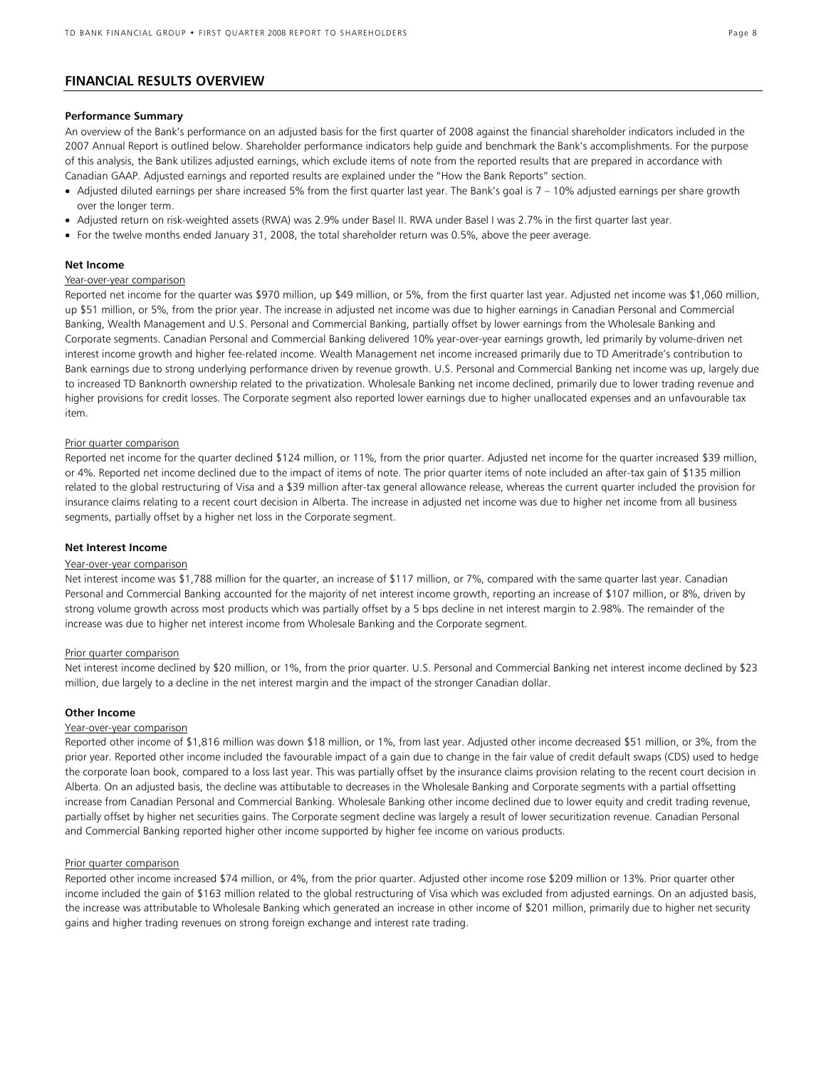## **FINANCIAL RESULTS OVERVIEW**

#### **Performance Summary**

An overview of the Bank's performance on an adjusted basis for the first quarter of 2008 against the financial shareholder indicators included in the 2007 Annual Report is outlined below. Shareholder performance indicators help guide and benchmark the Bank's accomplishments. For the purpose of this analysis, the Bank utilizes adjusted earnings, which exclude items of note from the reported results that are prepared in accordance with Canadian GAAP. Adjusted earnings and reported results are explained under the "How the Bank Reports" section.

- Adjusted diluted earnings per share increased 5% from the first quarter last year. The Bank's goal is 7 10% adjusted earnings per share growth over the longer term.
- Adjusted return on risk-weighted assets (RWA) was 2.9% under Basel II. RWA under Basel I was 2.7% in the first quarter last year.
- For the twelve months ended January 31, 2008, the total shareholder return was 0.5%, above the peer average.

#### **Net Income**

#### Year-over-year comparison

Reported net income for the quarter was \$970 million, up \$49 million, or 5%, from the first quarter last year. Adjusted net income was \$1,060 million, up \$51 million, or 5%, from the prior year. The increase in adjusted net income was due to higher earnings in Canadian Personal and Commercial Banking, Wealth Management and U.S. Personal and Commercial Banking, partially offset by lower earnings from the Wholesale Banking and Corporate segments. Canadian Personal and Commercial Banking delivered 10% year-over-year earnings growth, led primarily by volume-driven net interest income growth and higher fee-related income. Wealth Management net income increased primarily due to TD Ameritrade's contribution to Bank earnings due to strong underlying performance driven by revenue growth. U.S. Personal and Commercial Banking net income was up, largely due to increased TD Banknorth ownership related to the privatization. Wholesale Banking net income declined, primarily due to lower trading revenue and higher provisions for credit losses. The Corporate segment also reported lower earnings due to higher unallocated expenses and an unfavourable tax item.

#### Prior quarter comparison

Reported net income for the quarter declined \$124 million, or 11%, from the prior quarter. Adjusted net income for the quarter increased \$39 million, or 4%. Reported net income declined due to the impact of items of note. The prior quarter items of note included an after-tax gain of \$135 million related to the global restructuring of Visa and a \$39 million after-tax general allowance release, whereas the current quarter included the provision for insurance claims relating to a recent court decision in Alberta. The increase in adjusted net income was due to higher net income from all business segments, partially offset by a higher net loss in the Corporate segment.

#### **Net Interest Income**

#### Year-over-year comparison

Net interest income was \$1,788 million for the quarter, an increase of \$117 million, or 7%, compared with the same quarter last year. Canadian Personal and Commercial Banking accounted for the majority of net interest income growth, reporting an increase of \$107 million, or 8%, driven by strong volume growth across most products which was partially offset by a 5 bps decline in net interest margin to 2.98%. The remainder of the increase was due to higher net interest income from Wholesale Banking and the Corporate segment.

#### Prior quarter comparison

Net interest income declined by \$20 million, or 1%, from the prior quarter. U.S. Personal and Commercial Banking net interest income declined by \$23 million, due largely to a decline in the net interest margin and the impact of the stronger Canadian dollar.

#### **Other Income**

#### Year-over-year comparison

Reported other income of \$1,816 million was down \$18 million, or 1%, from last year. Adjusted other income decreased \$51 million, or 3%, from the prior year. Reported other income included the favourable impact of a gain due to change in the fair value of credit default swaps (CDS) used to hedge the corporate loan book, compared to a loss last year. This was partially offset by the insurance claims provision relating to the recent court decision in Alberta. On an adjusted basis, the decline was attibutable to decreases in the Wholesale Banking and Corporate segments with a partial offsetting increase from Canadian Personal and Commercial Banking. Wholesale Banking other income declined due to lower equity and credit trading revenue, partially offset by higher net securities gains. The Corporate segment decline was largely a result of lower securitization revenue. Canadian Personal and Commercial Banking reported higher other income supported by higher fee income on various products.

#### Prior quarter comparison

Reported other income increased \$74 million, or 4%, from the prior quarter. Adjusted other income rose \$209 million or 13%. Prior quarter other income included the gain of \$163 million related to the global restructuring of Visa which was excluded from adjusted earnings. On an adjusted basis, the increase was attributable to Wholesale Banking which generated an increase in other income of \$201 million, primarily due to higher net security gains and higher trading revenues on strong foreign exchange and interest rate trading.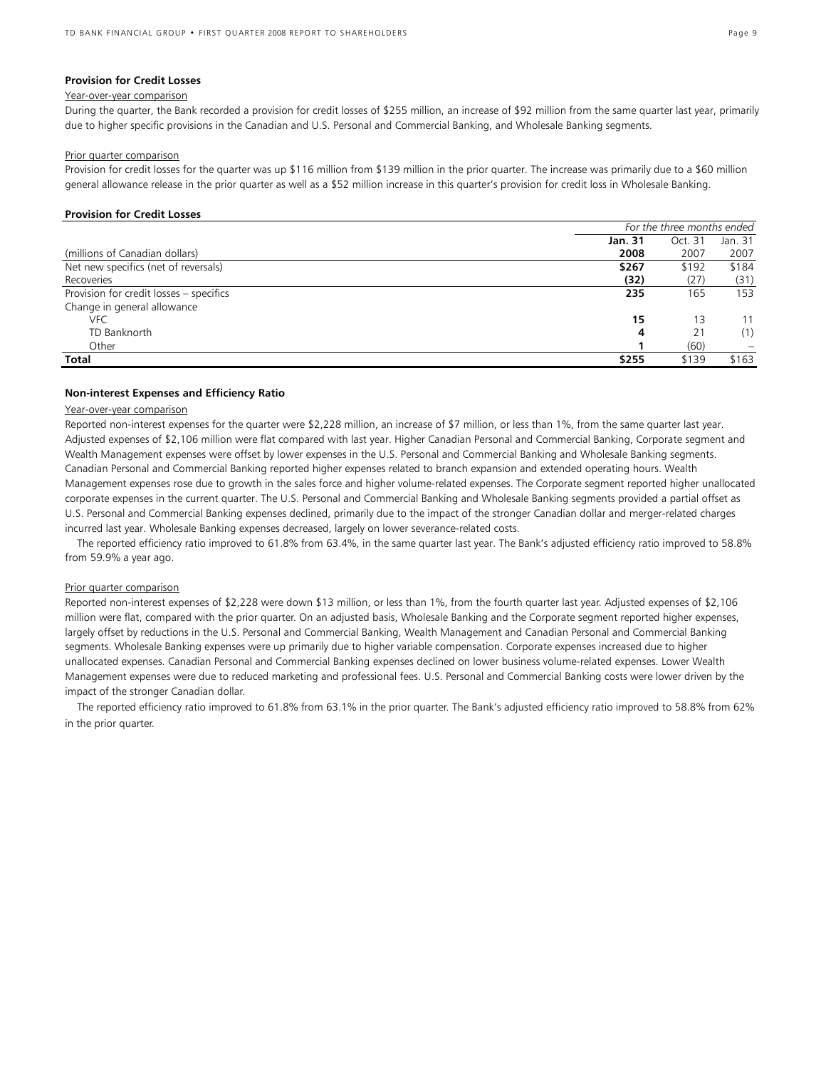#### **Provision for Credit Losses**

#### Year-over-year comparison

During the quarter, the Bank recorded a provision for credit losses of \$255 million, an increase of \$92 million from the same quarter last year, primarily due to higher specific provisions in the Canadian and U.S. Personal and Commercial Banking, and Wholesale Banking segments.

#### Prior quarter comparison

Provision for credit losses for the quarter was up \$116 million from \$139 million in the prior quarter. The increase was primarily due to a \$60 million general allowance release in the prior quarter as well as a \$52 million increase in this quarter's provision for credit loss in Wholesale Banking.

#### **Provision for Credit Losses**

|                                         | For the three months ended |         |         |
|-----------------------------------------|----------------------------|---------|---------|
|                                         | <b>Jan. 31</b>             | Oct. 31 | Jan. 31 |
| (millions of Canadian dollars)          | 2008                       | 2007    | 2007    |
| Net new specifics (net of reversals)    | \$267                      | \$192   | \$184   |
| Recoveries                              | (32)                       | (27)    | (31)    |
| Provision for credit losses - specifics | 235                        | 165     | 153     |
| Change in general allowance             |                            |         |         |
| VFC                                     | 15                         | 13      | 11      |
| TD Banknorth                            | 4                          | 21      | (1)     |
| Other                                   |                            | (60)    |         |
| Total                                   | \$255                      | \$139   | \$163   |

#### **Non-interest Expenses and Efficiency Ratio**

#### Year-over-year comparison

Reported non-interest expenses for the quarter were \$2,228 million, an increase of \$7 million, or less than 1%, from the same quarter last year. Adjusted expenses of \$2,106 million were flat compared with last year. Higher Canadian Personal and Commercial Banking, Corporate segment and Wealth Management expenses were offset by lower expenses in the U.S. Personal and Commercial Banking and Wholesale Banking segments. Canadian Personal and Commercial Banking reported higher expenses related to branch expansion and extended operating hours. Wealth Management expenses rose due to growth in the sales force and higher volume-related expenses. The Corporate segment reported higher unallocated corporate expenses in the current quarter. The U.S. Personal and Commercial Banking and Wholesale Banking segments provided a partial offset as U.S. Personal and Commercial Banking expenses declined, primarily due to the impact of the stronger Canadian dollar and merger-related charges incurred last year. Wholesale Banking expenses decreased, largely on lower severance-related costs.

 The reported efficiency ratio improved to 61.8% from 63.4%, in the same quarter last year. The Bank's adjusted efficiency ratio improved to 58.8% from 59.9% a year ago.

#### Prior quarter comparison

Reported non-interest expenses of \$2,228 were down \$13 million, or less than 1%, from the fourth quarter last year. Adjusted expenses of \$2,106 million were flat, compared with the prior quarter. On an adjusted basis, Wholesale Banking and the Corporate segment reported higher expenses, largely offset by reductions in the U.S. Personal and Commercial Banking, Wealth Management and Canadian Personal and Commercial Banking segments. Wholesale Banking expenses were up primarily due to higher variable compensation. Corporate expenses increased due to higher unallocated expenses. Canadian Personal and Commercial Banking expenses declined on lower business volume-related expenses. Lower Wealth Management expenses were due to reduced marketing and professional fees. U.S. Personal and Commercial Banking costs were lower driven by the impact of the stronger Canadian dollar.

The reported efficiency ratio improved to 61.8% from 63.1% in the prior quarter. The Bank's adjusted efficiency ratio improved to 58.8% from 62% in the prior quarter.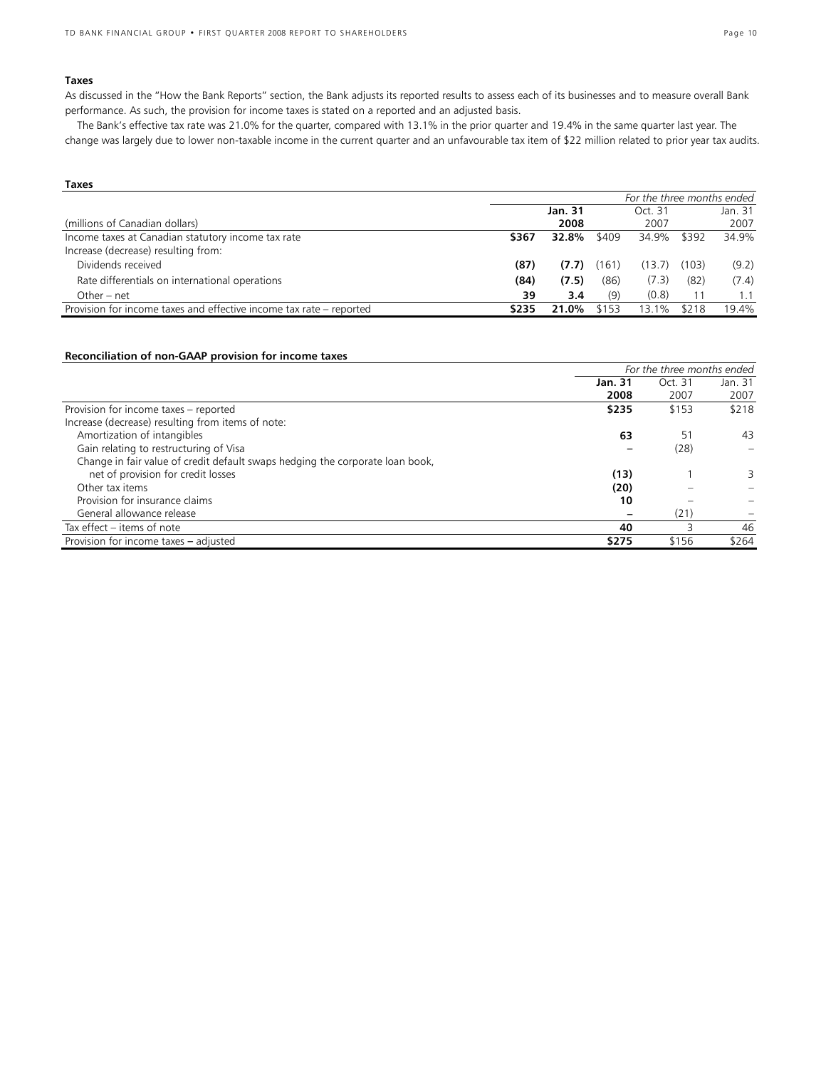#### **Taxes**

As discussed in the "How the Bank Reports" section, the Bank adjusts its reported results to assess each of its businesses and to measure overall Bank performance. As such, the provision for income taxes is stated on a reported and an adjusted basis.

 The Bank's effective tax rate was 21.0% for the quarter, compared with 13.1% in the prior quarter and 19.4% in the same quarter last year. The change was largely due to lower non-taxable income in the current quarter and an unfavourable tax item of \$22 million related to prior year tax audits.

| Taxes                                                               |                            |         |       |         |       |         |
|---------------------------------------------------------------------|----------------------------|---------|-------|---------|-------|---------|
|                                                                     | For the three months ended |         |       |         |       |         |
|                                                                     |                            | Jan. 31 |       | Oct. 31 |       | Jan. 31 |
| (millions of Canadian dollars)                                      |                            | 2008    |       | 2007    |       | 2007    |
| Income taxes at Canadian statutory income tax rate                  | \$367                      | 32.8%   | \$409 | 34.9%   | \$392 | 34.9%   |
| Increase (decrease) resulting from:                                 |                            |         |       |         |       |         |
| Dividends received                                                  | (87)                       | (7.7)   | (161) | (13.7)  | (103) | (9.2)   |
| Rate differentials on international operations                      | (84)                       | (7.5)   | (86)  | (7.3)   | (82)  | (7.4)   |
| Other – net                                                         | 39                         | 3.4     | (9)   | (0.8)   | 11    | 1.1     |
| Provision for income taxes and effective income tax rate – reported | \$235                      | 21.0%   | \$153 | 13.1%   | \$218 | 19.4%   |

## **Reconciliation of non-GAAP provision for income taxes**

|                                                                               | For the three months ended |         |         |
|-------------------------------------------------------------------------------|----------------------------|---------|---------|
|                                                                               | Jan. 31                    | Oct. 31 | Jan. 31 |
|                                                                               | 2008                       | 2007    | 2007    |
| Provision for income taxes - reported                                         | \$235                      | \$153   | \$218   |
| Increase (decrease) resulting from items of note:                             |                            |         |         |
| Amortization of intangibles                                                   | 63                         | 51      | 43      |
| Gain relating to restructuring of Visa                                        |                            | (28)    |         |
| Change in fair value of credit default swaps hedging the corporate loan book, |                            |         |         |
| net of provision for credit losses                                            | (13)                       |         | 3       |
| Other tax items                                                               | (20)                       |         |         |
| Provision for insurance claims                                                | 10                         |         |         |
| General allowance release                                                     |                            | (21)    |         |
| Tax effect – items of note                                                    | 40                         |         | 46      |
| Provision for income taxes - adjusted                                         | \$275                      | \$156   | \$264   |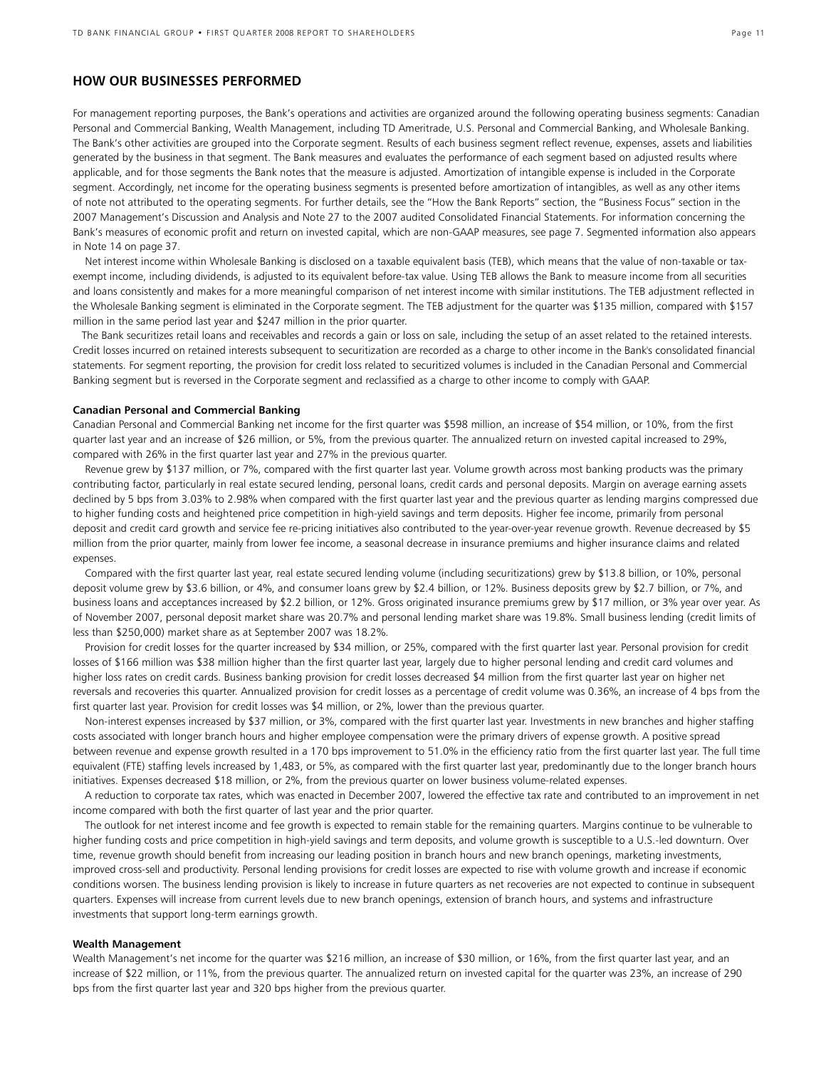## **HOW OUR BUSINESSES PERFORMED**

For management reporting purposes, the Bank's operations and activities are organized around the following operating business segments: Canadian Personal and Commercial Banking, Wealth Management, including TD Ameritrade, U.S. Personal and Commercial Banking, and Wholesale Banking. The Bank's other activities are grouped into the Corporate segment. Results of each business segment reflect revenue, expenses, assets and liabilities generated by the business in that segment. The Bank measures and evaluates the performance of each segment based on adjusted results where applicable, and for those segments the Bank notes that the measure is adjusted. Amortization of intangible expense is included in the Corporate segment. Accordingly, net income for the operating business segments is presented before amortization of intangibles, as well as any other items of note not attributed to the operating segments. For further details, see the "How the Bank Reports" section, the "Business Focus" section in the 2007 Management's Discussion and Analysis and Note 27 to the 2007 audited Consolidated Financial Statements. For information concerning the Bank's measures of economic profit and return on invested capital, which are non-GAAP measures, see page 7. Segmented information also appears in Note 14 on page 37.

 Net interest income within Wholesale Banking is disclosed on a taxable equivalent basis (TEB), which means that the value of non-taxable or taxexempt income, including dividends, is adjusted to its equivalent before-tax value. Using TEB allows the Bank to measure income from all securities and loans consistently and makes for a more meaningful comparison of net interest income with similar institutions. The TEB adjustment reflected in the Wholesale Banking segment is eliminated in the Corporate segment. The TEB adjustment for the quarter was \$135 million, compared with \$157 million in the same period last year and \$247 million in the prior quarter.

 The Bank securitizes retail loans and receivables and records a gain or loss on sale, including the setup of an asset related to the retained interests. Credit losses incurred on retained interests subsequent to securitization are recorded as a charge to other income in the Bank's consolidated financial statements. For segment reporting, the provision for credit loss related to securitized volumes is included in the Canadian Personal and Commercial Banking segment but is reversed in the Corporate segment and reclassified as a charge to other income to comply with GAAP.

#### **Canadian Personal and Commercial Banking**

Canadian Personal and Commercial Banking net income for the first quarter was \$598 million, an increase of \$54 million, or 10%, from the first quarter last year and an increase of \$26 million, or 5%, from the previous quarter. The annualized return on invested capital increased to 29%, compared with 26% in the first quarter last year and 27% in the previous quarter.

 Revenue grew by \$137 million, or 7%, compared with the first quarter last year. Volume growth across most banking products was the primary contributing factor, particularly in real estate secured lending, personal loans, credit cards and personal deposits. Margin on average earning assets declined by 5 bps from 3.03% to 2.98% when compared with the first quarter last year and the previous quarter as lending margins compressed due to higher funding costs and heightened price competition in high-yield savings and term deposits. Higher fee income, primarily from personal deposit and credit card growth and service fee re-pricing initiatives also contributed to the year-over-year revenue growth. Revenue decreased by \$5 million from the prior quarter, mainly from lower fee income, a seasonal decrease in insurance premiums and higher insurance claims and related expenses.

 Compared with the first quarter last year, real estate secured lending volume (including securitizations) grew by \$13.8 billion, or 10%, personal deposit volume grew by \$3.6 billion, or 4%, and consumer loans grew by \$2.4 billion, or 12%. Business deposits grew by \$2.7 billion, or 7%, and business loans and acceptances increased by \$2.2 billion, or 12%. Gross originated insurance premiums grew by \$17 million, or 3% year over year. As of November 2007, personal deposit market share was 20.7% and personal lending market share was 19.8%. Small business lending (credit limits of less than \$250,000) market share as at September 2007 was 18.2%.

 Provision for credit losses for the quarter increased by \$34 million, or 25%, compared with the first quarter last year. Personal provision for credit losses of \$166 million was \$38 million higher than the first quarter last year, largely due to higher personal lending and credit card volumes and higher loss rates on credit cards. Business banking provision for credit losses decreased \$4 million from the first quarter last year on higher net reversals and recoveries this quarter. Annualized provision for credit losses as a percentage of credit volume was 0.36%, an increase of 4 bps from the first quarter last year. Provision for credit losses was \$4 million, or 2%, lower than the previous quarter.

 Non-interest expenses increased by \$37 million, or 3%, compared with the first quarter last year. Investments in new branches and higher staffing costs associated with longer branch hours and higher employee compensation were the primary drivers of expense growth. A positive spread between revenue and expense growth resulted in a 170 bps improvement to 51.0% in the efficiency ratio from the first quarter last year. The full time equivalent (FTE) staffing levels increased by 1,483, or 5%, as compared with the first quarter last year, predominantly due to the longer branch hours initiatives. Expenses decreased \$18 million, or 2%, from the previous quarter on lower business volume-related expenses.

 A reduction to corporate tax rates, which was enacted in December 2007, lowered the effective tax rate and contributed to an improvement in net income compared with both the first quarter of last year and the prior quarter.

 The outlook for net interest income and fee growth is expected to remain stable for the remaining quarters. Margins continue to be vulnerable to higher funding costs and price competition in high-yield savings and term deposits, and volume growth is susceptible to a U.S.-led downturn. Over time, revenue growth should benefit from increasing our leading position in branch hours and new branch openings, marketing investments, improved cross-sell and productivity. Personal lending provisions for credit losses are expected to rise with volume growth and increase if economic conditions worsen. The business lending provision is likely to increase in future quarters as net recoveries are not expected to continue in subsequent quarters. Expenses will increase from current levels due to new branch openings, extension of branch hours, and systems and infrastructure investments that support long-term earnings growth.

#### **Wealth Management**

Wealth Management's net income for the quarter was \$216 million, an increase of \$30 million, or 16%, from the first quarter last year, and an increase of \$22 million, or 11%, from the previous quarter. The annualized return on invested capital for the quarter was 23%, an increase of 290 bps from the first quarter last year and 320 bps higher from the previous quarter.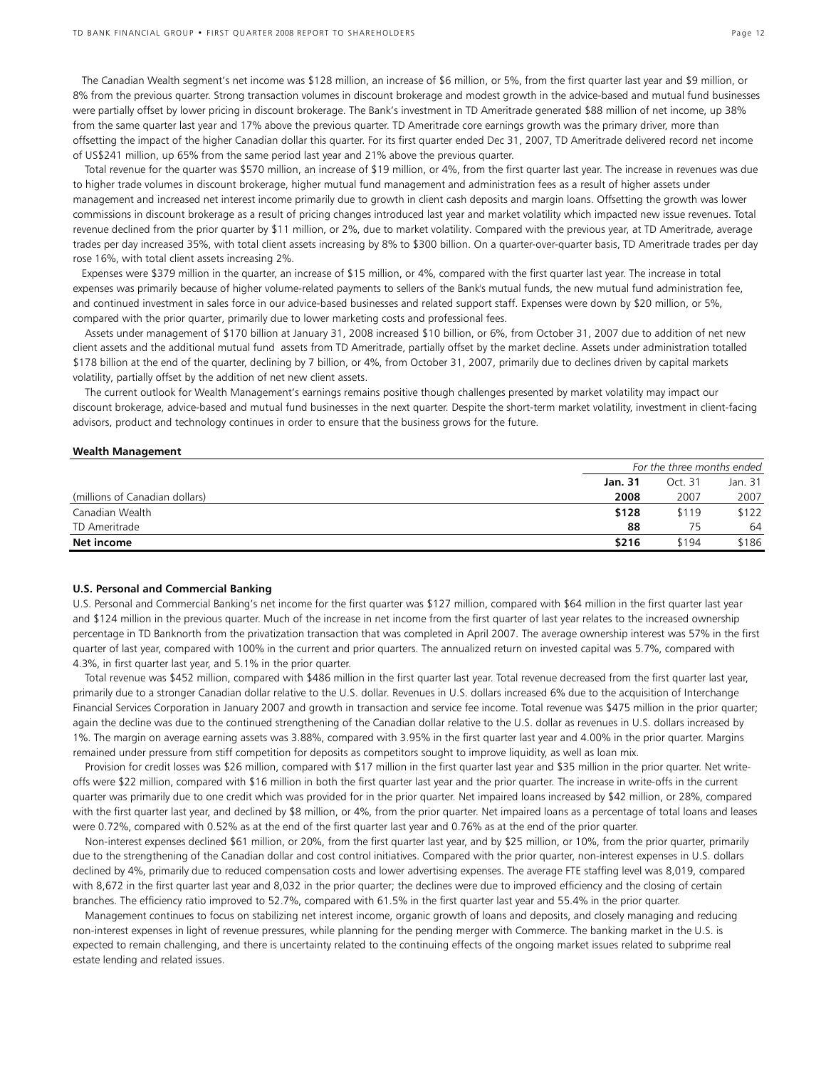The Canadian Wealth segment's net income was \$128 million, an increase of \$6 million, or 5%, from the first quarter last year and \$9 million, or 8% from the previous quarter. Strong transaction volumes in discount brokerage and modest growth in the advice-based and mutual fund businesses were partially offset by lower pricing in discount brokerage. The Bank's investment in TD Ameritrade generated \$88 million of net income, up 38% from the same quarter last year and 17% above the previous quarter. TD Ameritrade core earnings growth was the primary driver, more than offsetting the impact of the higher Canadian dollar this quarter. For its first quarter ended Dec 31, 2007, TD Ameritrade delivered record net income of US\$241 million, up 65% from the same period last year and 21% above the previous quarter.

 Total revenue for the quarter was \$570 million, an increase of \$19 million, or 4%, from the first quarter last year. The increase in revenues was due to higher trade volumes in discount brokerage, higher mutual fund management and administration fees as a result of higher assets under management and increased net interest income primarily due to growth in client cash deposits and margin loans. Offsetting the growth was lower commissions in discount brokerage as a result of pricing changes introduced last year and market volatility which impacted new issue revenues. Total revenue declined from the prior quarter by \$11 million, or 2%, due to market volatility. Compared with the previous year, at TD Ameritrade, average trades per day increased 35%, with total client assets increasing by 8% to \$300 billion. On a quarter-over-quarter basis, TD Ameritrade trades per day rose 16%, with total client assets increasing 2%.

 Expenses were \$379 million in the quarter, an increase of \$15 million, or 4%, compared with the first quarter last year. The increase in total expenses was primarily because of higher volume-related payments to sellers of the Bank's mutual funds, the new mutual fund administration fee, and continued investment in sales force in our advice-based businesses and related support staff. Expenses were down by \$20 million, or 5%, compared with the prior quarter, primarily due to lower marketing costs and professional fees.

 Assets under management of \$170 billion at January 31, 2008 increased \$10 billion, or 6%, from October 31, 2007 due to addition of net new client assets and the additional mutual fund assets from TD Ameritrade, partially offset by the market decline. Assets under administration totalled \$178 billion at the end of the quarter, declining by 7 billion, or 4%, from October 31, 2007, primarily due to declines driven by capital markets volatility, partially offset by the addition of net new client assets.

 The current outlook for Wealth Management's earnings remains positive though challenges presented by market volatility may impact our discount brokerage, advice-based and mutual fund businesses in the next quarter. Despite the short-term market volatility, investment in client-facing advisors, product and technology continues in order to ensure that the business grows for the future.

#### **Wealth Management**

|                                | For the three months ended |         |         |
|--------------------------------|----------------------------|---------|---------|
|                                | <b>Jan. 31</b>             | Oct. 31 | Jan. 31 |
| (millions of Canadian dollars) | 2008                       | 2007    | 2007    |
| Canadian Wealth                | \$128                      | \$119   | \$122   |
| TD Ameritrade                  | 88                         | 75      | 64      |
| Net income                     | \$216                      | \$194   | \$186   |

#### **U.S. Personal and Commercial Banking**

U.S. Personal and Commercial Banking's net income for the first quarter was \$127 million, compared with \$64 million in the first quarter last year and \$124 million in the previous quarter. Much of the increase in net income from the first quarter of last year relates to the increased ownership percentage in TD Banknorth from the privatization transaction that was completed in April 2007. The average ownership interest was 57% in the first quarter of last year, compared with 100% in the current and prior quarters. The annualized return on invested capital was 5.7%, compared with 4.3%, in first quarter last year, and 5.1% in the prior quarter.

 Total revenue was \$452 million, compared with \$486 million in the first quarter last year. Total revenue decreased from the first quarter last year, primarily due to a stronger Canadian dollar relative to the U.S. dollar. Revenues in U.S. dollars increased 6% due to the acquisition of Interchange Financial Services Corporation in January 2007 and growth in transaction and service fee income. Total revenue was \$475 million in the prior quarter; again the decline was due to the continued strengthening of the Canadian dollar relative to the U.S. dollar as revenues in U.S. dollars increased by 1%. The margin on average earning assets was 3.88%, compared with 3.95% in the first quarter last year and 4.00% in the prior quarter. Margins remained under pressure from stiff competition for deposits as competitors sought to improve liquidity, as well as loan mix.

 Provision for credit losses was \$26 million, compared with \$17 million in the first quarter last year and \$35 million in the prior quarter. Net writeoffs were \$22 million, compared with \$16 million in both the first quarter last year and the prior quarter. The increase in write-offs in the current quarter was primarily due to one credit which was provided for in the prior quarter. Net impaired loans increased by \$42 million, or 28%, compared with the first quarter last year, and declined by \$8 million, or 4%, from the prior quarter. Net impaired loans as a percentage of total loans and leases were 0.72%, compared with 0.52% as at the end of the first quarter last year and 0.76% as at the end of the prior quarter.

 Non-interest expenses declined \$61 million, or 20%, from the first quarter last year, and by \$25 million, or 10%, from the prior quarter, primarily due to the strengthening of the Canadian dollar and cost control initiatives. Compared with the prior quarter, non-interest expenses in U.S. dollars declined by 4%, primarily due to reduced compensation costs and lower advertising expenses. The average FTE staffing level was 8,019, compared with 8,672 in the first quarter last year and 8,032 in the prior quarter; the declines were due to improved efficiency and the closing of certain branches. The efficiency ratio improved to 52.7%, compared with 61.5% in the first quarter last year and 55.4% in the prior quarter.

 Management continues to focus on stabilizing net interest income, organic growth of loans and deposits, and closely managing and reducing non-interest expenses in light of revenue pressures, while planning for the pending merger with Commerce. The banking market in the U.S. is expected to remain challenging, and there is uncertainty related to the continuing effects of the ongoing market issues related to subprime real estate lending and related issues.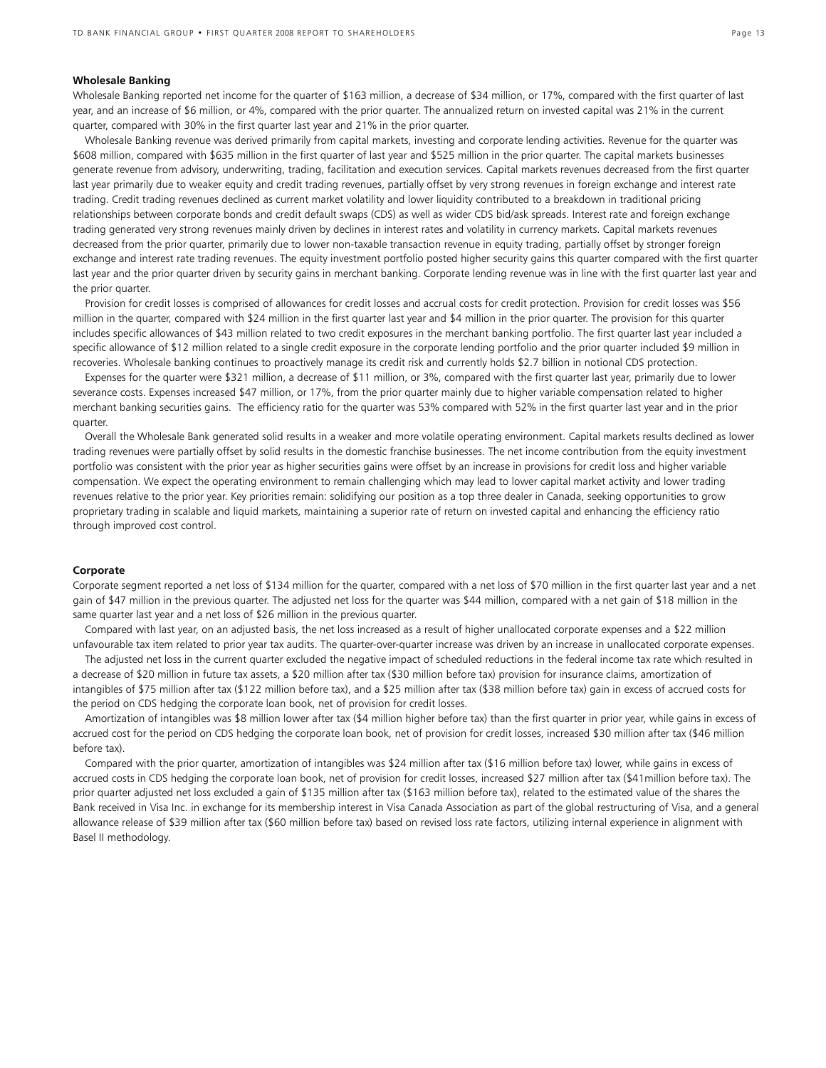#### **Wholesale Banking**

Wholesale Banking reported net income for the quarter of \$163 million, a decrease of \$34 million, or 17%, compared with the first quarter of last year, and an increase of \$6 million, or 4%, compared with the prior quarter. The annualized return on invested capital was 21% in the current quarter, compared with 30% in the first quarter last year and 21% in the prior quarter.

 Wholesale Banking revenue was derived primarily from capital markets, investing and corporate lending activities. Revenue for the quarter was \$608 million, compared with \$635 million in the first quarter of last year and \$525 million in the prior quarter. The capital markets businesses generate revenue from advisory, underwriting, trading, facilitation and execution services. Capital markets revenues decreased from the first quarter last year primarily due to weaker equity and credit trading revenues, partially offset by very strong revenues in foreign exchange and interest rate trading. Credit trading revenues declined as current market volatility and lower liquidity contributed to a breakdown in traditional pricing relationships between corporate bonds and credit default swaps (CDS) as well as wider CDS bid/ask spreads. Interest rate and foreign exchange trading generated very strong revenues mainly driven by declines in interest rates and volatility in currency markets. Capital markets revenues decreased from the prior quarter, primarily due to lower non-taxable transaction revenue in equity trading, partially offset by stronger foreign exchange and interest rate trading revenues. The equity investment portfolio posted higher security gains this quarter compared with the first quarter last year and the prior quarter driven by security gains in merchant banking. Corporate lending revenue was in line with the first quarter last year and the prior quarter.

 Provision for credit losses is comprised of allowances for credit losses and accrual costs for credit protection. Provision for credit losses was \$56 million in the quarter, compared with \$24 million in the first quarter last year and \$4 million in the prior quarter. The provision for this quarter includes specific allowances of \$43 million related to two credit exposures in the merchant banking portfolio. The first quarter last year included a specific allowance of \$12 million related to a single credit exposure in the corporate lending portfolio and the prior quarter included \$9 million in recoveries. Wholesale banking continues to proactively manage its credit risk and currently holds \$2.7 billion in notional CDS protection.

 Expenses for the quarter were \$321 million, a decrease of \$11 million, or 3%, compared with the first quarter last year, primarily due to lower severance costs. Expenses increased \$47 million, or 17%, from the prior quarter mainly due to higher variable compensation related to higher merchant banking securities gains. The efficiency ratio for the quarter was 53% compared with 52% in the first quarter last year and in the prior quarter.

 Overall the Wholesale Bank generated solid results in a weaker and more volatile operating environment. Capital markets results declined as lower trading revenues were partially offset by solid results in the domestic franchise businesses. The net income contribution from the equity investment portfolio was consistent with the prior year as higher securities gains were offset by an increase in provisions for credit loss and higher variable compensation. We expect the operating environment to remain challenging which may lead to lower capital market activity and lower trading revenues relative to the prior year. Key priorities remain: solidifying our position as a top three dealer in Canada, seeking opportunities to grow proprietary trading in scalable and liquid markets, maintaining a superior rate of return on invested capital and enhancing the efficiency ratio through improved cost control.

#### **Corporate**

Corporate segment reported a net loss of \$134 million for the quarter, compared with a net loss of \$70 million in the first quarter last year and a net gain of \$47 million in the previous quarter. The adjusted net loss for the quarter was \$44 million, compared with a net gain of \$18 million in the same quarter last year and a net loss of \$26 million in the previous quarter.

 Compared with last year, on an adjusted basis, the net loss increased as a result of higher unallocated corporate expenses and a \$22 million unfavourable tax item related to prior year tax audits. The quarter-over-quarter increase was driven by an increase in unallocated corporate expenses.

 The adjusted net loss in the current quarter excluded the negative impact of scheduled reductions in the federal income tax rate which resulted in a decrease of \$20 million in future tax assets, a \$20 million after tax (\$30 million before tax) provision for insurance claims, amortization of intangibles of \$75 million after tax (\$122 million before tax), and a \$25 million after tax (\$38 million before tax) gain in excess of accrued costs for the period on CDS hedging the corporate loan book, net of provision for credit losses.

 Amortization of intangibles was \$8 million lower after tax (\$4 million higher before tax) than the first quarter in prior year, while gains in excess of accrued cost for the period on CDS hedging the corporate loan book, net of provision for credit losses, increased \$30 million after tax (\$46 million before tax).

 Compared with the prior quarter, amortization of intangibles was \$24 million after tax (\$16 million before tax) lower, while gains in excess of accrued costs in CDS hedging the corporate loan book, net of provision for credit losses, increased \$27 million after tax (\$41million before tax). The prior quarter adjusted net loss excluded a gain of \$135 million after tax (\$163 million before tax), related to the estimated value of the shares the Bank received in Visa Inc. in exchange for its membership interest in Visa Canada Association as part of the global restructuring of Visa, and a general allowance release of \$39 million after tax (\$60 million before tax) based on revised loss rate factors, utilizing internal experience in alignment with Basel II methodology.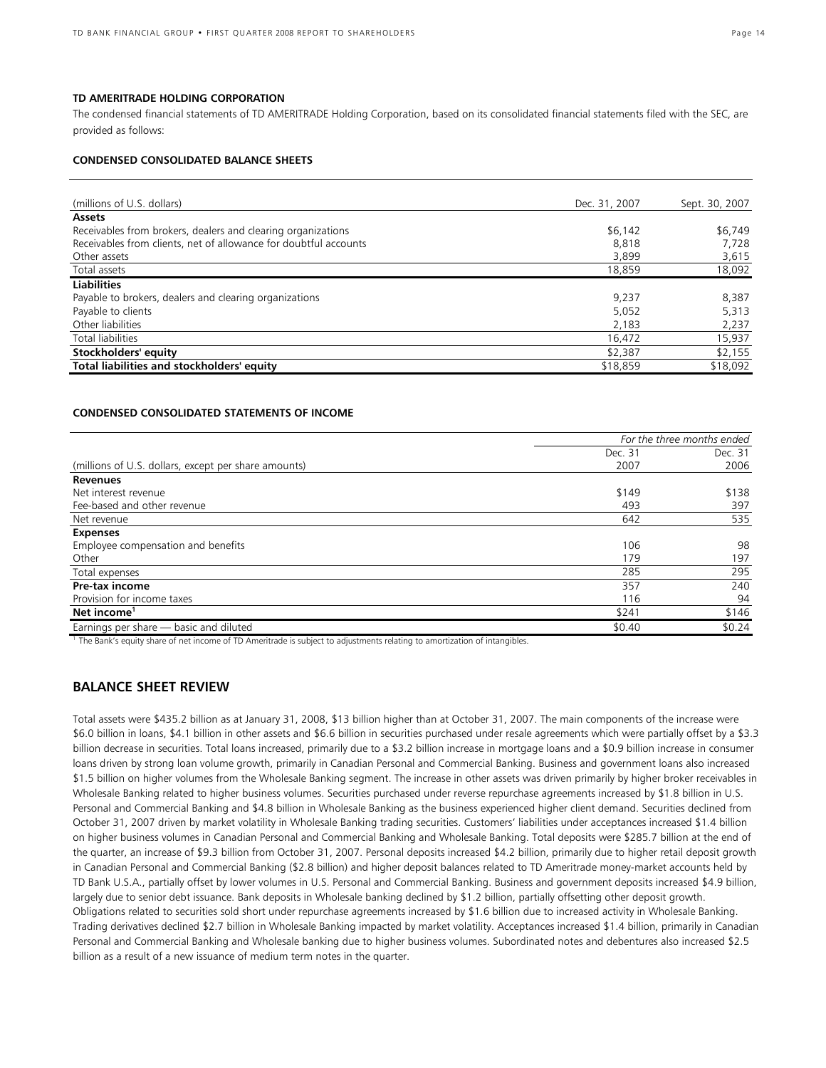#### **TD AMERITRADE HOLDING CORPORATION**

The condensed financial statements of TD AMERITRADE Holding Corporation, based on its consolidated financial statements filed with the SEC, are provided as follows:

### **CONDENSED CONSOLIDATED BALANCE SHEETS**

| (millions of U.S. dollars)                                       | Dec. 31, 2007 | Sept. 30, 2007 |
|------------------------------------------------------------------|---------------|----------------|
| <b>Assets</b>                                                    |               |                |
| Receivables from brokers, dealers and clearing organizations     | \$6,142       | \$6,749        |
| Receivables from clients, net of allowance for doubtful accounts | 8.818         | 7,728          |
| Other assets                                                     | 3,899         | 3,615          |
| Total assets                                                     | 18,859        | 18,092         |
| <b>Liabilities</b>                                               |               |                |
| Payable to brokers, dealers and clearing organizations           | 9,237         | 8,387          |
| Payable to clients                                               | 5.052         | 5,313          |
| Other liabilities                                                | 2,183         | 2,237          |
| Total liabilities                                                | 16,472        | 15,937         |
| Stockholders' equity                                             | \$2,387       | \$2,155        |
| Total liabilities and stockholders' equity                       | \$18,859      | \$18,092       |

#### **CONDENSED CONSOLIDATED STATEMENTS OF INCOME**

|                                                      | For the three months ended |         |  |
|------------------------------------------------------|----------------------------|---------|--|
|                                                      | Dec. 31                    | Dec. 31 |  |
| (millions of U.S. dollars, except per share amounts) | 2007                       | 2006    |  |
| <b>Revenues</b>                                      |                            |         |  |
| Net interest revenue                                 | \$149                      | \$138   |  |
| Fee-based and other revenue                          | 493                        | 397     |  |
| Net revenue                                          | 642                        | 535     |  |
| <b>Expenses</b>                                      |                            |         |  |
| Employee compensation and benefits                   | 106                        | 98      |  |
| Other                                                | 179                        | 197     |  |
| Total expenses                                       | 285                        | 295     |  |
| Pre-tax income                                       | 357                        | 240     |  |
| Provision for income taxes                           | 116                        | 94      |  |
| Net income <sup>1</sup>                              | \$241                      | \$146   |  |
| Earnings per share - basic and diluted               | \$0.40                     | \$0.24  |  |

1 The Bank's equity share of net income of TD Ameritrade is subject to adjustments relating to amortization of intangibles.

## **BALANCE SHEET REVIEW**

Total assets were \$435.2 billion as at January 31, 2008, \$13 billion higher than at October 31, 2007. The main components of the increase were \$6.0 billion in loans, \$4.1 billion in other assets and \$6.6 billion in securities purchased under resale agreements which were partially offset by a \$3.3 billion decrease in securities. Total loans increased, primarily due to a \$3.2 billion increase in mortgage loans and a \$0.9 billion increase in consumer loans driven by strong loan volume growth, primarily in Canadian Personal and Commercial Banking. Business and government loans also increased \$1.5 billion on higher volumes from the Wholesale Banking segment. The increase in other assets was driven primarily by higher broker receivables in Wholesale Banking related to higher business volumes. Securities purchased under reverse repurchase agreements increased by \$1.8 billion in U.S. Personal and Commercial Banking and \$4.8 billion in Wholesale Banking as the business experienced higher client demand. Securities declined from October 31, 2007 driven by market volatility in Wholesale Banking trading securities. Customers' liabilities under acceptances increased \$1.4 billion on higher business volumes in Canadian Personal and Commercial Banking and Wholesale Banking. Total deposits were \$285.7 billion at the end of the quarter, an increase of \$9.3 billion from October 31, 2007. Personal deposits increased \$4.2 billion, primarily due to higher retail deposit growth in Canadian Personal and Commercial Banking (\$2.8 billion) and higher deposit balances related to TD Ameritrade money-market accounts held by TD Bank U.S.A., partially offset by lower volumes in U.S. Personal and Commercial Banking. Business and government deposits increased \$4.9 billion, largely due to senior debt issuance. Bank deposits in Wholesale banking declined by \$1.2 billion, partially offsetting other deposit growth. Obligations related to securities sold short under repurchase agreements increased by \$1.6 billion due to increased activity in Wholesale Banking. Trading derivatives declined \$2.7 billion in Wholesale Banking impacted by market volatility. Acceptances increased \$1.4 billion, primarily in Canadian Personal and Commercial Banking and Wholesale banking due to higher business volumes. Subordinated notes and debentures also increased \$2.5 billion as a result of a new issuance of medium term notes in the quarter.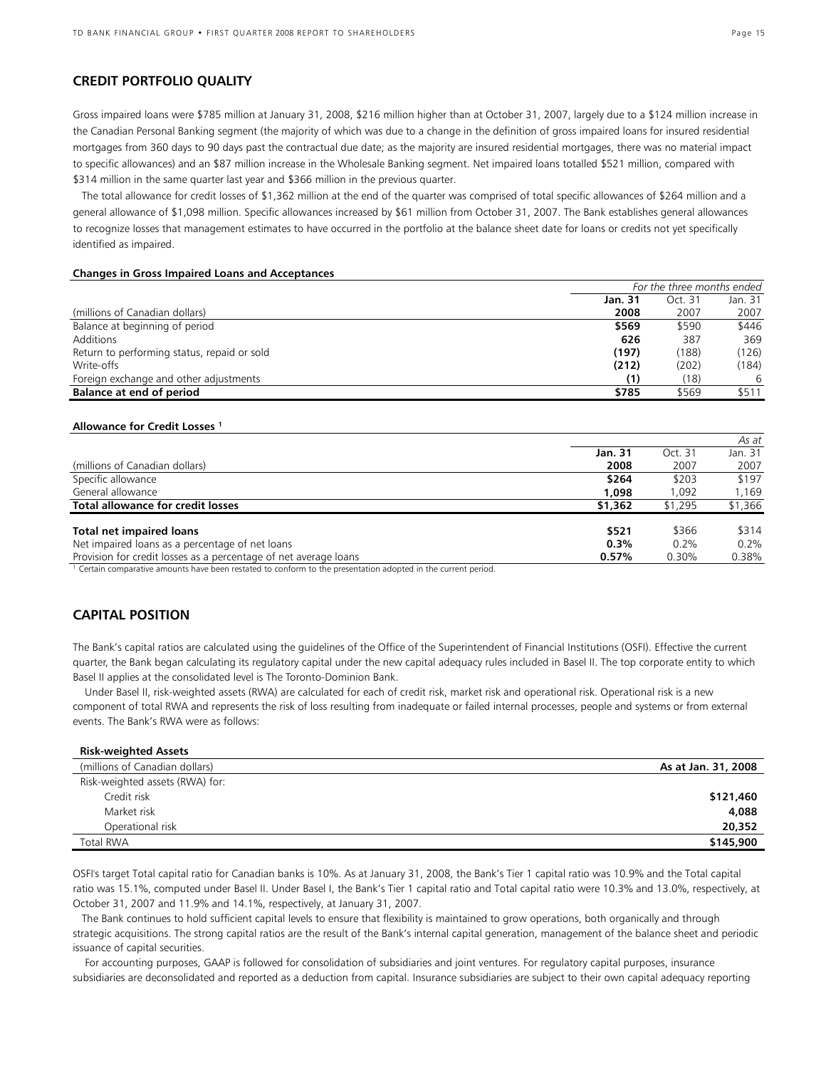## **CREDIT PORTFOLIO QUALITY**

Gross impaired loans were \$785 million at January 31, 2008, \$216 million higher than at October 31, 2007, largely due to a \$124 million increase in the Canadian Personal Banking segment (the majority of which was due to a change in the definition of gross impaired loans for insured residential mortgages from 360 days to 90 days past the contractual due date; as the majority are insured residential mortgages, there was no material impact to specific allowances) and an \$87 million increase in the Wholesale Banking segment. Net impaired loans totalled \$521 million, compared with \$314 million in the same quarter last year and \$366 million in the previous quarter.

 The total allowance for credit losses of \$1,362 million at the end of the quarter was comprised of total specific allowances of \$264 million and a general allowance of \$1,098 million. Specific allowances increased by \$61 million from October 31, 2007. The Bank establishes general allowances to recognize losses that management estimates to have occurred in the portfolio at the balance sheet date for loans or credits not yet specifically identified as impaired.

#### **Changes in Gross Impaired Loans and Acceptances**

|                                             | For the three months ended |         |         |  |
|---------------------------------------------|----------------------------|---------|---------|--|
|                                             | Jan. 31                    | Oct. 31 | Jan. 31 |  |
| (millions of Canadian dollars)              | 2008                       | 2007    | 2007    |  |
| Balance at beginning of period              | \$569                      | \$590   | \$446   |  |
| Additions                                   | 626                        | 387     | 369     |  |
| Return to performing status, repaid or sold | (197)                      | (188)   | (126)   |  |
| Write-offs                                  | (212)                      | (202)   | (184)   |  |
| Foreign exchange and other adjustments      | (1)                        | (18)    | 6       |  |
| Balance at end of period                    | \$785                      | \$569   | \$511   |  |

#### **Allowance for Credit Losses 1**

|                                                                                                                                                       |         |         | As at   |
|-------------------------------------------------------------------------------------------------------------------------------------------------------|---------|---------|---------|
|                                                                                                                                                       | Jan. 31 | Oct. 31 | Jan. 31 |
| (millions of Canadian dollars)                                                                                                                        | 2008    | 2007    | 2007    |
| Specific allowance                                                                                                                                    | \$264   | \$203   | \$197   |
| General allowance                                                                                                                                     | 1.098   | 1.092   | 1,169   |
| Total allowance for credit losses                                                                                                                     | \$1,362 | \$1,295 | \$1,366 |
| <b>Total net impaired loans</b>                                                                                                                       | \$521   | \$366   | \$314   |
| Net impaired loans as a percentage of net loans                                                                                                       | 0.3%    | 0.2%    | $0.2\%$ |
| Provision for credit losses as a percentage of net average loans                                                                                      | 0.57%   | 0.30%   | 0.38%   |
| $\sim$ $\sim$ $\sim$ $\sim$ $\sim$<br>the contract of the contract of the contract of the contract of the contract of the contract of the contract of |         |         |         |

Certain comparative amounts have been restated to conform to the presentation adopted in the current period.

## **CAPITAL POSITION**

The Bank's capital ratios are calculated using the guidelines of the Office of the Superintendent of Financial Institutions (OSFI). Effective the current quarter, the Bank began calculating its regulatory capital under the new capital adequacy rules included in Basel II. The top corporate entity to which Basel II applies at the consolidated level is The Toronto-Dominion Bank.

 Under Basel II, risk-weighted assets (RWA) are calculated for each of credit risk, market risk and operational risk. Operational risk is a new component of total RWA and represents the risk of loss resulting from inadequate or failed internal processes, people and systems or from external events. The Bank's RWA were as follows:

| <b>Risk-weighted Assets</b>     |                     |
|---------------------------------|---------------------|
| (millions of Canadian dollars)  | As at Jan. 31, 2008 |
| Risk-weighted assets (RWA) for: |                     |
| Credit risk                     | \$121,460           |
| Market risk                     | 4,088               |
| Operational risk                | 20,352              |
| <b>Total RWA</b>                | \$145,900           |

OSFI's target Total capital ratio for Canadian banks is 10%. As at January 31, 2008, the Bank's Tier 1 capital ratio was 10.9% and the Total capital ratio was 15.1%, computed under Basel II. Under Basel I, the Bank's Tier 1 capital ratio and Total capital ratio were 10.3% and 13.0%, respectively, at October 31, 2007 and 11.9% and 14.1%, respectively, at January 31, 2007.

 The Bank continues to hold sufficient capital levels to ensure that flexibility is maintained to grow operations, both organically and through strategic acquisitions. The strong capital ratios are the result of the Bank's internal capital generation, management of the balance sheet and periodic issuance of capital securities.

 For accounting purposes, GAAP is followed for consolidation of subsidiaries and joint ventures. For regulatory capital purposes, insurance subsidiaries are deconsolidated and reported as a deduction from capital. Insurance subsidiaries are subject to their own capital adequacy reporting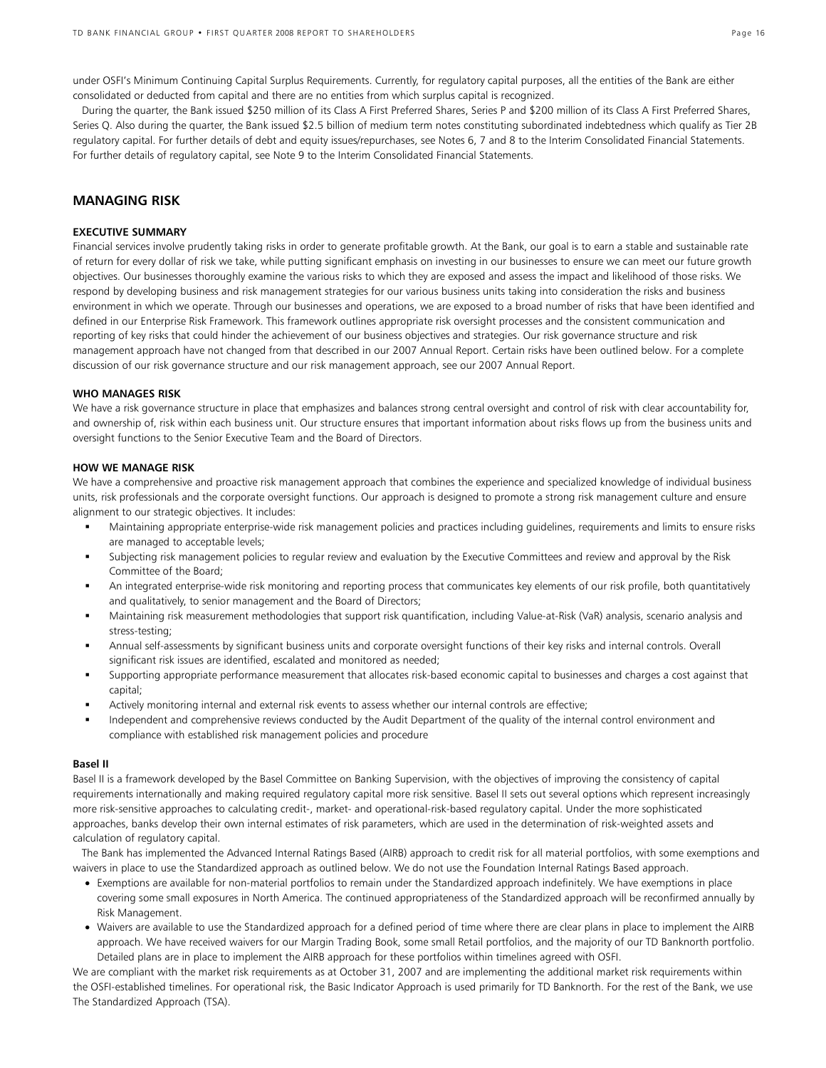under OSFI's Minimum Continuing Capital Surplus Requirements. Currently, for regulatory capital purposes, all the entities of the Bank are either consolidated or deducted from capital and there are no entities from which surplus capital is recognized.

 During the quarter, the Bank issued \$250 million of its Class A First Preferred Shares, Series P and \$200 million of its Class A First Preferred Shares, Series Q. Also during the quarter, the Bank issued \$2.5 billion of medium term notes constituting subordinated indebtedness which qualify as Tier 2B regulatory capital. For further details of debt and equity issues/repurchases, see Notes 6, 7 and 8 to the Interim Consolidated Financial Statements. For further details of regulatory capital, see Note 9 to the Interim Consolidated Financial Statements.

## **MANAGING RISK**

## **EXECUTIVE SUMMARY**

Financial services involve prudently taking risks in order to generate profitable growth. At the Bank, our goal is to earn a stable and sustainable rate of return for every dollar of risk we take, while putting significant emphasis on investing in our businesses to ensure we can meet our future growth objectives. Our businesses thoroughly examine the various risks to which they are exposed and assess the impact and likelihood of those risks. We respond by developing business and risk management strategies for our various business units taking into consideration the risks and business environment in which we operate. Through our businesses and operations, we are exposed to a broad number of risks that have been identified and defined in our Enterprise Risk Framework. This framework outlines appropriate risk oversight processes and the consistent communication and reporting of key risks that could hinder the achievement of our business objectives and strategies. Our risk governance structure and risk management approach have not changed from that described in our 2007 Annual Report. Certain risks have been outlined below. For a complete discussion of our risk governance structure and our risk management approach, see our 2007 Annual Report.

#### **WHO MANAGES RISK**

We have a risk governance structure in place that emphasizes and balances strong central oversight and control of risk with clear accountability for, and ownership of, risk within each business unit. Our structure ensures that important information about risks flows up from the business units and oversight functions to the Senior Executive Team and the Board of Directors.

#### **HOW WE MANAGE RISK**

We have a comprehensive and proactive risk management approach that combines the experience and specialized knowledge of individual business units, risk professionals and the corporate oversight functions. Our approach is designed to promote a strong risk management culture and ensure alignment to our strategic objectives. It includes:

- Maintaining appropriate enterprise-wide risk management policies and practices including guidelines, requirements and limits to ensure risks are managed to acceptable levels;
- Subjecting risk management policies to regular review and evaluation by the Executive Committees and review and approval by the Risk Committee of the Board;
- An integrated enterprise-wide risk monitoring and reporting process that communicates key elements of our risk profile, both quantitatively and qualitatively, to senior management and the Board of Directors;
- Maintaining risk measurement methodologies that support risk quantification, including Value-at-Risk (VaR) analysis, scenario analysis and stress-testing;
- Annual self-assessments by significant business units and corporate oversight functions of their key risks and internal controls. Overall significant risk issues are identified, escalated and monitored as needed;
- Supporting appropriate performance measurement that allocates risk-based economic capital to businesses and charges a cost against that capital;
- Actively monitoring internal and external risk events to assess whether our internal controls are effective;
- Independent and comprehensive reviews conducted by the Audit Department of the quality of the internal control environment and compliance with established risk management policies and procedure

#### **Basel II**

Basel II is a framework developed by the Basel Committee on Banking Supervision, with the objectives of improving the consistency of capital requirements internationally and making required regulatory capital more risk sensitive. Basel II sets out several options which represent increasingly more risk-sensitive approaches to calculating credit-, market- and operational-risk-based regulatory capital. Under the more sophisticated approaches, banks develop their own internal estimates of risk parameters, which are used in the determination of risk-weighted assets and calculation of regulatory capital.

The Bank has implemented the Advanced Internal Ratings Based (AIRB) approach to credit risk for all material portfolios, with some exemptions and waivers in place to use the Standardized approach as outlined below. We do not use the Foundation Internal Ratings Based approach.

- Exemptions are available for non-material portfolios to remain under the Standardized approach indefinitely. We have exemptions in place covering some small exposures in North America. The continued appropriateness of the Standardized approach will be reconfirmed annually by Risk Management.
- Waivers are available to use the Standardized approach for a defined period of time where there are clear plans in place to implement the AIRB approach. We have received waivers for our Margin Trading Book, some small Retail portfolios, and the majority of our TD Banknorth portfolio. Detailed plans are in place to implement the AIRB approach for these portfolios within timelines agreed with OSFI.

We are compliant with the market risk requirements as at October 31, 2007 and are implementing the additional market risk requirements within the OSFI-established timelines. For operational risk, the Basic Indicator Approach is used primarily for TD Banknorth. For the rest of the Bank, we use The Standardized Approach (TSA).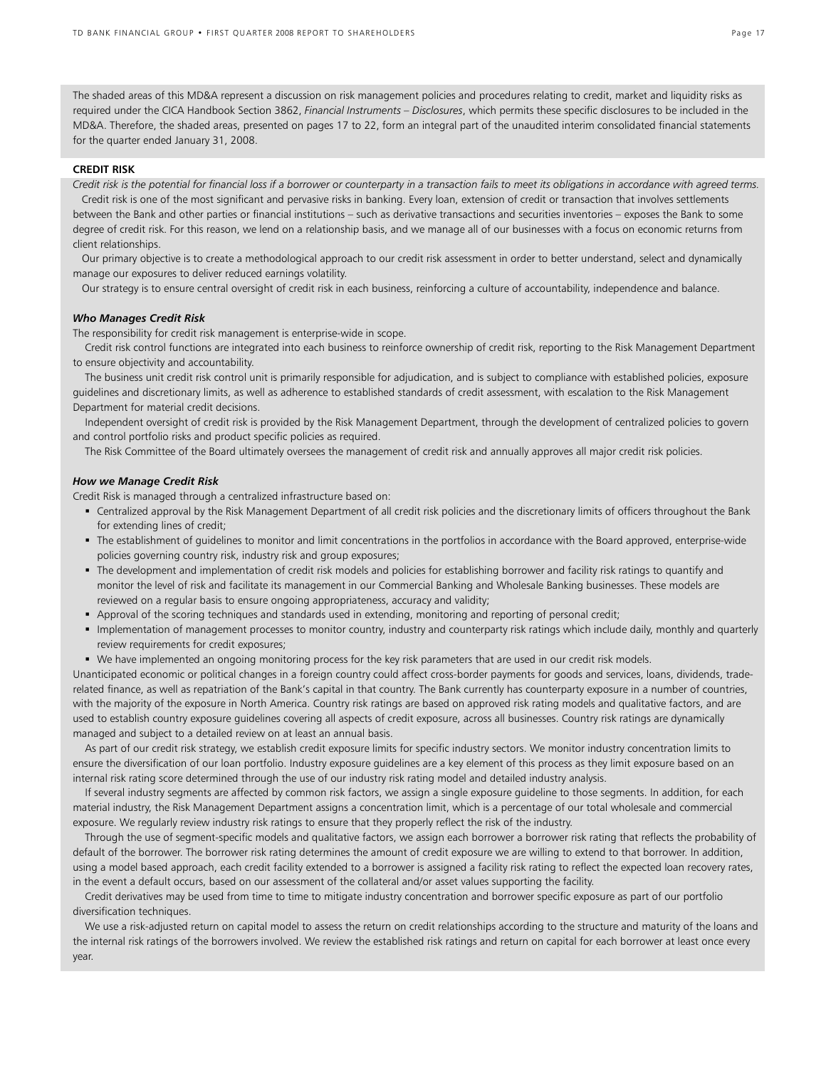The shaded areas of this MD&A represent a discussion on risk management policies and procedures relating to credit, market and liquidity risks as required under the CICA Handbook Section 3862, *Financial Instruments – Disclosures*, which permits these specific disclosures to be included in the MD&A. Therefore, the shaded areas, presented on pages 17 to 22, form an integral part of the unaudited interim consolidated financial statements for the quarter ended January 31, 2008.

#### **CREDIT RISK**

*Credit risk is the potential for financial loss if a borrower or counterparty in a transaction fails to meet its obligations in accordance with agreed terms.* Credit risk is one of the most significant and pervasive risks in banking. Every loan, extension of credit or transaction that involves settlements between the Bank and other parties or financial institutions – such as derivative transactions and securities inventories – exposes the Bank to some degree of credit risk. For this reason, we lend on a relationship basis, and we manage all of our businesses with a focus on economic returns from client relationships.

 Our primary objective is to create a methodological approach to our credit risk assessment in order to better understand, select and dynamically manage our exposures to deliver reduced earnings volatility.

Our strategy is to ensure central oversight of credit risk in each business, reinforcing a culture of accountability, independence and balance.

#### *Who Manages Credit Risk*

The responsibility for credit risk management is enterprise-wide in scope.

 Credit risk control functions are integrated into each business to reinforce ownership of credit risk, reporting to the Risk Management Department to ensure objectivity and accountability.

The business unit credit risk control unit is primarily responsible for adjudication, and is subject to compliance with established policies, exposure guidelines and discretionary limits, as well as adherence to established standards of credit assessment, with escalation to the Risk Management Department for material credit decisions.

Independent oversight of credit risk is provided by the Risk Management Department, through the development of centralized policies to govern and control portfolio risks and product specific policies as required.

The Risk Committee of the Board ultimately oversees the management of credit risk and annually approves all major credit risk policies.

#### *How we Manage Credit Risk*

Credit Risk is managed through a centralized infrastructure based on:

- Centralized approval by the Risk Management Department of all credit risk policies and the discretionary limits of officers throughout the Bank for extending lines of credit;
- The establishment of guidelines to monitor and limit concentrations in the portfolios in accordance with the Board approved, enterprise-wide policies governing country risk, industry risk and group exposures;
- The development and implementation of credit risk models and policies for establishing borrower and facility risk ratings to quantify and monitor the level of risk and facilitate its management in our Commercial Banking and Wholesale Banking businesses. These models are reviewed on a regular basis to ensure ongoing appropriateness, accuracy and validity;
- Approval of the scoring techniques and standards used in extending, monitoring and reporting of personal credit;
- " Implementation of management processes to monitor country, industry and counterparty risk ratings which include daily, monthly and quarterly review requirements for credit exposures;
- We have implemented an ongoing monitoring process for the key risk parameters that are used in our credit risk models.

Unanticipated economic or political changes in a foreign country could affect cross-border payments for goods and services, loans, dividends, traderelated finance, as well as repatriation of the Bank's capital in that country. The Bank currently has counterparty exposure in a number of countries, with the majority of the exposure in North America. Country risk ratings are based on approved risk rating models and qualitative factors, and are used to establish country exposure guidelines covering all aspects of credit exposure, across all businesses. Country risk ratings are dynamically managed and subject to a detailed review on at least an annual basis.

 As part of our credit risk strategy, we establish credit exposure limits for specific industry sectors. We monitor industry concentration limits to ensure the diversification of our loan portfolio. Industry exposure guidelines are a key element of this process as they limit exposure based on an internal risk rating score determined through the use of our industry risk rating model and detailed industry analysis.

 If several industry segments are affected by common risk factors, we assign a single exposure guideline to those segments. In addition, for each material industry, the Risk Management Department assigns a concentration limit, which is a percentage of our total wholesale and commercial exposure. We regularly review industry risk ratings to ensure that they properly reflect the risk of the industry.

 Through the use of segment-specific models and qualitative factors, we assign each borrower a borrower risk rating that reflects the probability of default of the borrower. The borrower risk rating determines the amount of credit exposure we are willing to extend to that borrower. In addition, using a model based approach, each credit facility extended to a borrower is assigned a facility risk rating to reflect the expected loan recovery rates, in the event a default occurs, based on our assessment of the collateral and/or asset values supporting the facility.

 Credit derivatives may be used from time to time to mitigate industry concentration and borrower specific exposure as part of our portfolio diversification techniques.

 We use a risk-adjusted return on capital model to assess the return on credit relationships according to the structure and maturity of the loans and the internal risk ratings of the borrowers involved. We review the established risk ratings and return on capital for each borrower at least once every year.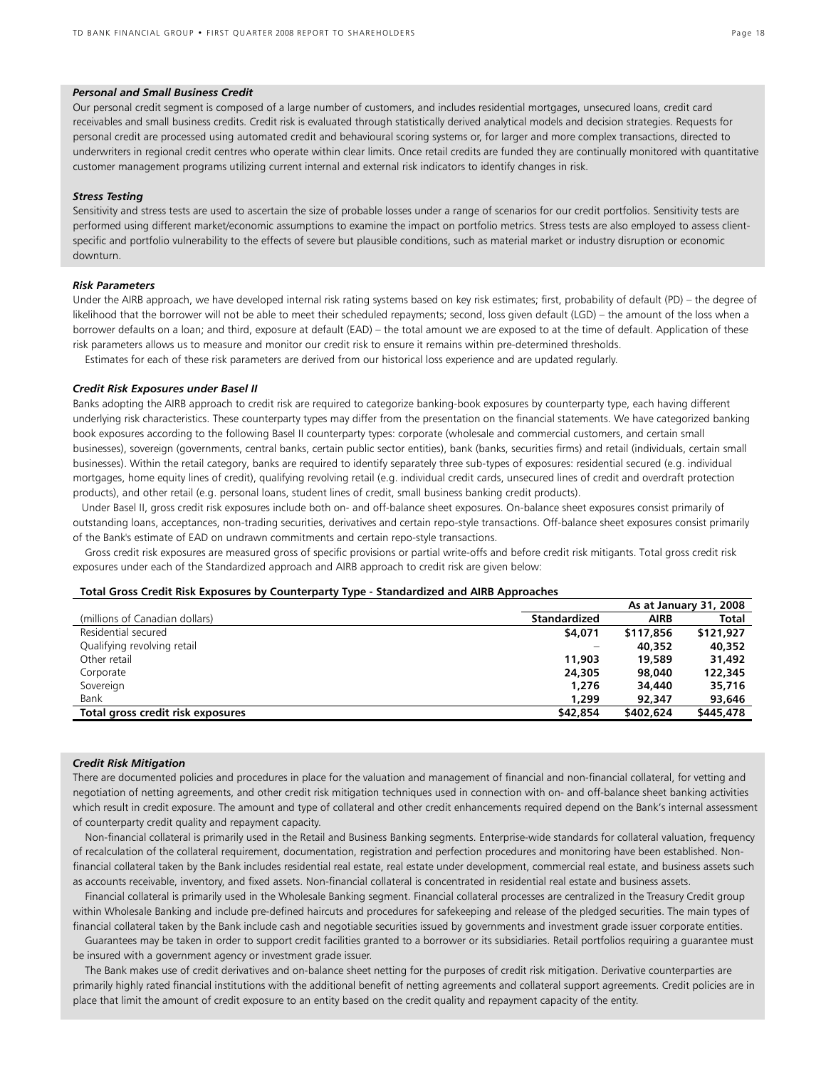#### *Personal and Small Business Credit*

Our personal credit segment is composed of a large number of customers, and includes residential mortgages, unsecured loans, credit card receivables and small business credits. Credit risk is evaluated through statistically derived analytical models and decision strategies. Requests for personal credit are processed using automated credit and behavioural scoring systems or, for larger and more complex transactions, directed to underwriters in regional credit centres who operate within clear limits. Once retail credits are funded they are continually monitored with quantitative customer management programs utilizing current internal and external risk indicators to identify changes in risk.

#### *Stress Testing*

Sensitivity and stress tests are used to ascertain the size of probable losses under a range of scenarios for our credit portfolios. Sensitivity tests are performed using different market/economic assumptions to examine the impact on portfolio metrics. Stress tests are also employed to assess clientspecific and portfolio vulnerability to the effects of severe but plausible conditions, such as material market or industry disruption or economic downturn.

#### *Risk Parameters*

Under the AIRB approach, we have developed internal risk rating systems based on key risk estimates; first, probability of default (PD) – the degree of likelihood that the borrower will not be able to meet their scheduled repayments; second, loss given default (LGD) – the amount of the loss when a borrower defaults on a loan; and third, exposure at default (EAD) – the total amount we are exposed to at the time of default. Application of these risk parameters allows us to measure and monitor our credit risk to ensure it remains within pre-determined thresholds.

Estimates for each of these risk parameters are derived from our historical loss experience and are updated regularly.

#### *Credit Risk Exposures under Basel II*

Banks adopting the AIRB approach to credit risk are required to categorize banking-book exposures by counterparty type, each having different underlying risk characteristics. These counterparty types may differ from the presentation on the financial statements. We have categorized banking book exposures according to the following Basel II counterparty types: corporate (wholesale and commercial customers, and certain small businesses), sovereign (governments, central banks, certain public sector entities), bank (banks, securities firms) and retail (individuals, certain small businesses). Within the retail category, banks are required to identify separately three sub-types of exposures: residential secured (e.g. individual mortgages, home equity lines of credit), qualifying revolving retail (e.g. individual credit cards, unsecured lines of credit and overdraft protection products), and other retail (e.g. personal loans, student lines of credit, small business banking credit products).

 Under Basel II, gross credit risk exposures include both on- and off-balance sheet exposures. On-balance sheet exposures consist primarily of outstanding loans, acceptances, non-trading securities, derivatives and certain repo-style transactions. Off-balance sheet exposures consist primarily of the Bank's estimate of EAD on undrawn commitments and certain repo-style transactions.

 Gross credit risk exposures are measured gross of specific provisions or partial write-offs and before credit risk mitigants. Total gross credit risk exposures under each of the Standardized approach and AIRB approach to credit risk are given below:

#### **Total Gross Credit Risk Exposures by Counterparty Type - Standardized and AIRB Approaches**

|                                   |                     |             | As at January 31, 2008 |
|-----------------------------------|---------------------|-------------|------------------------|
| (millions of Canadian dollars)    | <b>Standardized</b> | <b>AIRB</b> | <b>Total</b>           |
| Residential secured               | \$4,071             | \$117,856   | \$121,927              |
| Qualifying revolving retail       |                     | 40,352      | 40,352                 |
| Other retail                      | 11,903              | 19,589      | 31,492                 |
| Corporate                         | 24,305              | 98,040      | 122,345                |
| Sovereign                         | 1,276               | 34,440      | 35,716                 |
| Bank                              | 1,299               | 92,347      | 93,646                 |
| Total gross credit risk exposures | \$42,854            | \$402,624   | \$445,478              |
|                                   |                     |             |                        |

#### *Credit Risk Mitigation*

There are documented policies and procedures in place for the valuation and management of financial and non-financial collateral, for vetting and negotiation of netting agreements, and other credit risk mitigation techniques used in connection with on- and off-balance sheet banking activities which result in credit exposure. The amount and type of collateral and other credit enhancements required depend on the Bank's internal assessment of counterparty credit quality and repayment capacity.

 Non-financial collateral is primarily used in the Retail and Business Banking segments. Enterprise-wide standards for collateral valuation, frequency of recalculation of the collateral requirement, documentation, registration and perfection procedures and monitoring have been established. Nonfinancial collateral taken by the Bank includes residential real estate, real estate under development, commercial real estate, and business assets such as accounts receivable, inventory, and fixed assets. Non-financial collateral is concentrated in residential real estate and business assets.

 Financial collateral is primarily used in the Wholesale Banking segment. Financial collateral processes are centralized in the Treasury Credit group within Wholesale Banking and include pre-defined haircuts and procedures for safekeeping and release of the pledged securities. The main types of financial collateral taken by the Bank include cash and negotiable securities issued by governments and investment grade issuer corporate entities.

 Guarantees may be taken in order to support credit facilities granted to a borrower or its subsidiaries. Retail portfolios requiring a guarantee must be insured with a government agency or investment grade issuer.

 The Bank makes use of credit derivatives and on-balance sheet netting for the purposes of credit risk mitigation. Derivative counterparties are primarily highly rated financial institutions with the additional benefit of netting agreements and collateral support agreements. Credit policies are in place that limit the amount of credit exposure to an entity based on the credit quality and repayment capacity of the entity.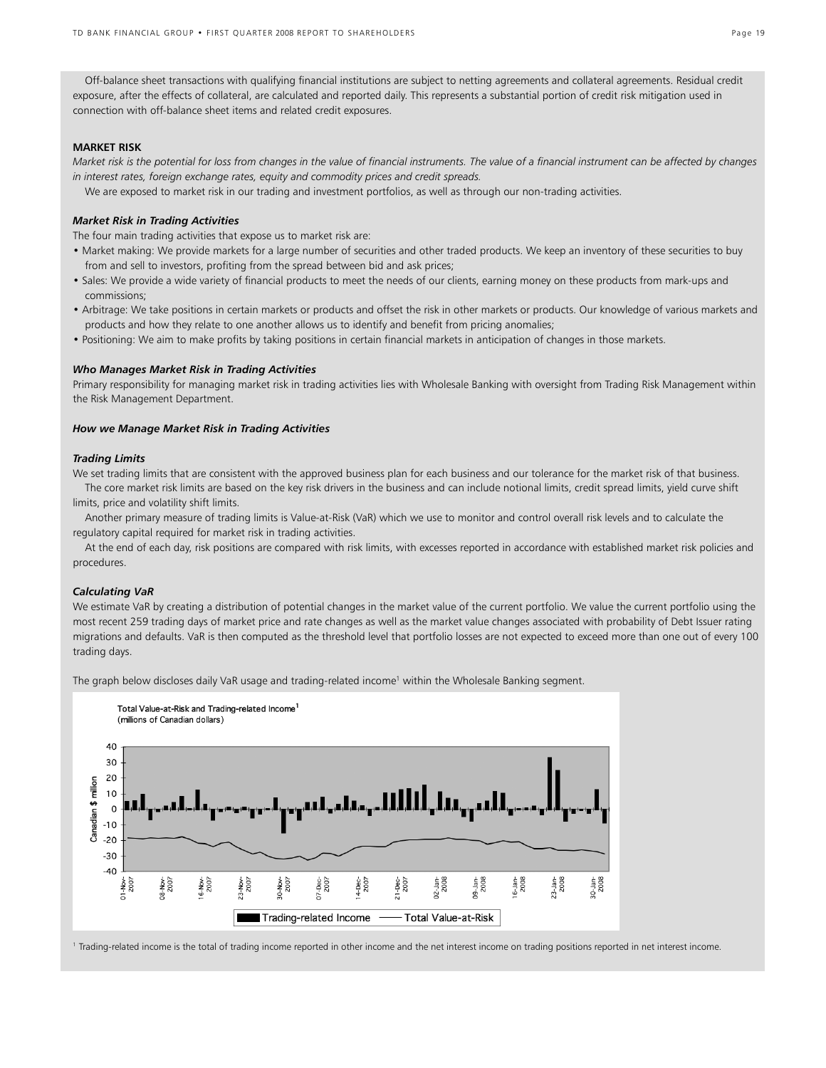Off-balance sheet transactions with qualifying financial institutions are subject to netting agreements and collateral agreements. Residual credit exposure, after the effects of collateral, are calculated and reported daily. This represents a substantial portion of credit risk mitigation used in connection with off-balance sheet items and related credit exposures.

#### **MARKET RISK**

*Market risk is the potential for loss from changes in the value of financial instruments. The value of a financial instrument can be affected by changes in interest rates, foreign exchange rates, equity and commodity prices and credit spreads.* 

We are exposed to market risk in our trading and investment portfolios, as well as through our non-trading activities.

## *Market Risk in Trading Activities*

The four main trading activities that expose us to market risk are:

- Market making: We provide markets for a large number of securities and other traded products. We keep an inventory of these securities to buy from and sell to investors, profiting from the spread between bid and ask prices;
- Sales: We provide a wide variety of financial products to meet the needs of our clients, earning money on these products from mark-ups and commissions;
- Arbitrage: We take positions in certain markets or products and offset the risk in other markets or products. Our knowledge of various markets and products and how they relate to one another allows us to identify and benefit from pricing anomalies;
- Positioning: We aim to make profits by taking positions in certain financial markets in anticipation of changes in those markets.

#### *Who Manages Market Risk in Trading Activities*

Primary responsibility for managing market risk in trading activities lies with Wholesale Banking with oversight from Trading Risk Management within the Risk Management Department.

#### *How we Manage Market Risk in Trading Activities*

#### *Trading Limits*

We set trading limits that are consistent with the approved business plan for each business and our tolerance for the market risk of that business. The core market risk limits are based on the key risk drivers in the business and can include notional limits, credit spread limits, yield curve shift limits, price and volatility shift limits.

 Another primary measure of trading limits is Value-at-Risk (VaR) which we use to monitor and control overall risk levels and to calculate the regulatory capital required for market risk in trading activities.

 At the end of each day, risk positions are compared with risk limits, with excesses reported in accordance with established market risk policies and procedures.

#### *Calculating VaR*

We estimate VaR by creating a distribution of potential changes in the market value of the current portfolio. We value the current portfolio using the most recent 259 trading days of market price and rate changes as well as the market value changes associated with probability of Debt Issuer rating migrations and defaults. VaR is then computed as the threshold level that portfolio losses are not expected to exceed more than one out of every 100 trading days.

The graph below discloses daily VaR usage and trading-related income<sup>1</sup> within the Wholesale Banking segment.



<sup>1</sup> Trading-related income is the total of trading income reported in other income and the net interest income on trading positions reported in net interest income.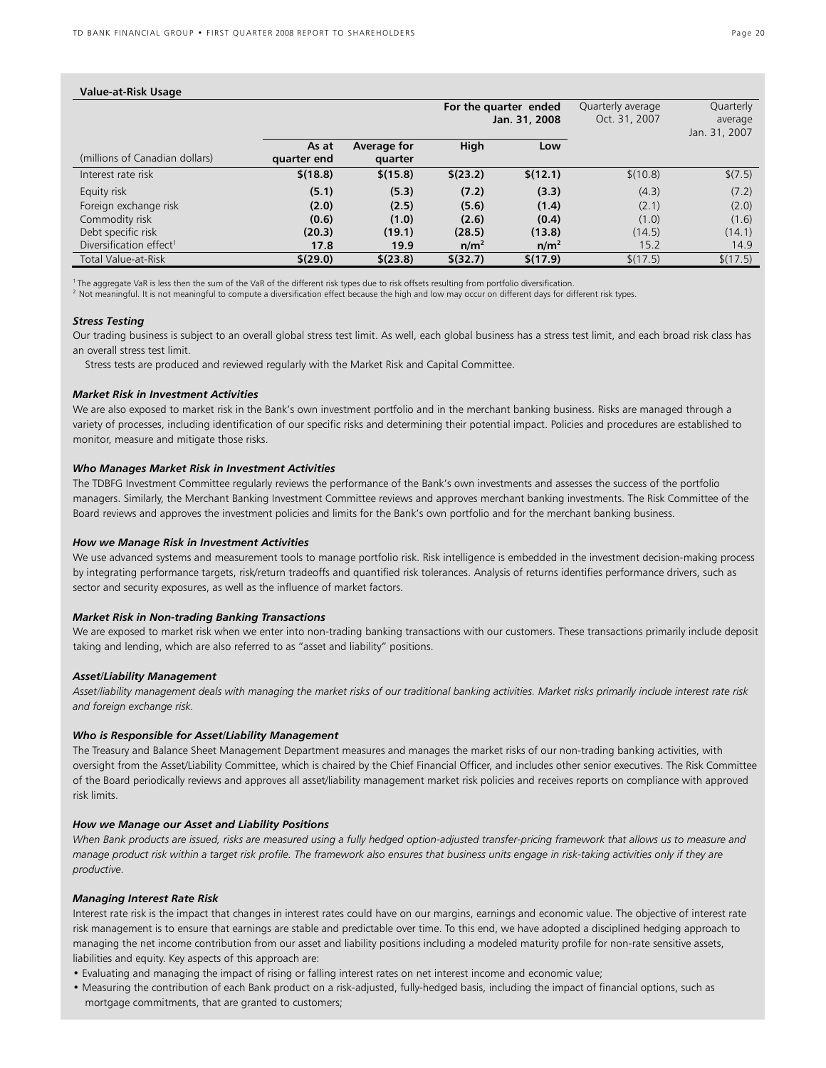| Value-at-Risk Usage                 |                      |                        |                                        |                  |                                    |                                       |
|-------------------------------------|----------------------|------------------------|----------------------------------------|------------------|------------------------------------|---------------------------------------|
|                                     |                      |                        | For the quarter ended<br>Jan. 31, 2008 |                  | Quarterly average<br>Oct. 31, 2007 | Quarterly<br>average<br>Jan. 31, 2007 |
| (millions of Canadian dollars)      | As at<br>quarter end | Average for<br>quarter | High                                   | Low              |                                    |                                       |
| Interest rate risk                  | \$(18.8)             | \$(15.8)               | \$(23.2)                               | \$(12.1)         | \$(10.8)                           | \$(7.5)                               |
| Equity risk                         | (5.1)                | (5.3)                  | (7.2)                                  | (3.3)            | (4.3)                              | (7.2)                                 |
| Foreign exchange risk               | (2.0)                | (2.5)                  | (5.6)                                  | (1.4)            | (2.1)                              | (2.0)                                 |
| Commodity risk                      | (0.6)                | (1.0)                  | (2.6)                                  | (0.4)            | (1.0)                              | (1.6)                                 |
| Debt specific risk                  | (20.3)               | (19.1)                 | (28.5)                                 | (13.8)           | (14.5)                             | (14.1)                                |
| Diversification effect <sup>1</sup> | 17.8                 | 19.9                   | n/m <sup>2</sup>                       | n/m <sup>2</sup> | 15.2                               | 14.9                                  |
| <b>Total Value-at-Risk</b>          | \$(29.0)             | \$(23.8)               | \$ (32.7)                              | \$(17.9)         | \$(17.5)                           | \$(17.5)                              |

<sup>1</sup>The aggregate VaR is less then the sum of the VaR of the different risk types due to risk offsets resulting from portfolio diversification.<br><sup>2</sup> Not meaningful. It is not meaningful to compute a diversification effect b

#### *Stress Testing*

Our trading business is subject to an overall global stress test limit. As well, each global business has a stress test limit, and each broad risk class has an overall stress test limit.

Stress tests are produced and reviewed regularly with the Market Risk and Capital Committee.

#### *Market Risk in Investment Activities*

We are also exposed to market risk in the Bank's own investment portfolio and in the merchant banking business. Risks are managed through a variety of processes, including identification of our specific risks and determining their potential impact. Policies and procedures are established to monitor, measure and mitigate those risks.

#### *Who Manages Market Risk in Investment Activities*

The TDBFG Investment Committee regularly reviews the performance of the Bank's own investments and assesses the success of the portfolio managers. Similarly, the Merchant Banking Investment Committee reviews and approves merchant banking investments. The Risk Committee of the Board reviews and approves the investment policies and limits for the Bank's own portfolio and for the merchant banking business.

#### *How we Manage Risk in Investment Activities*

We use advanced systems and measurement tools to manage portfolio risk. Risk intelligence is embedded in the investment decision-making process by integrating performance targets, risk/return tradeoffs and quantified risk tolerances. Analysis of returns identifies performance drivers, such as sector and security exposures, as well as the influence of market factors.

#### *Market Risk in Non-trading Banking Transactions*

We are exposed to market risk when we enter into non-trading banking transactions with our customers. These transactions primarily include deposit taking and lending, which are also referred to as "asset and liability" positions.

#### *Asset/Liability Management*

*Asset/liability management deals with managing the market risks of our traditional banking activities. Market risks primarily include interest rate risk and foreign exchange risk.* 

#### *Who is Responsible for Asset/Liability Management*

The Treasury and Balance Sheet Management Department measures and manages the market risks of our non-trading banking activities, with oversight from the Asset/Liability Committee, which is chaired by the Chief Financial Officer, and includes other senior executives. The Risk Committee of the Board periodically reviews and approves all asset/liability management market risk policies and receives reports on compliance with approved risk limits.

#### *How we Manage our Asset and Liability Positions*

*When Bank products are issued, risks are measured using a fully hedged option-adjusted transfer-pricing framework that allows us to measure and manage product risk within a target risk profile. The framework also ensures that business units engage in risk-taking activities only if they are productive.* 

#### *Managing Interest Rate Risk*

Interest rate risk is the impact that changes in interest rates could have on our margins, earnings and economic value. The objective of interest rate risk management is to ensure that earnings are stable and predictable over time. To this end, we have adopted a disciplined hedging approach to managing the net income contribution from our asset and liability positions including a modeled maturity profile for non-rate sensitive assets, liabilities and equity. Key aspects of this approach are:

- Evaluating and managing the impact of rising or falling interest rates on net interest income and economic value;
- Measuring the contribution of each Bank product on a risk-adjusted, fully-hedged basis, including the impact of financial options, such as mortgage commitments, that are granted to customers;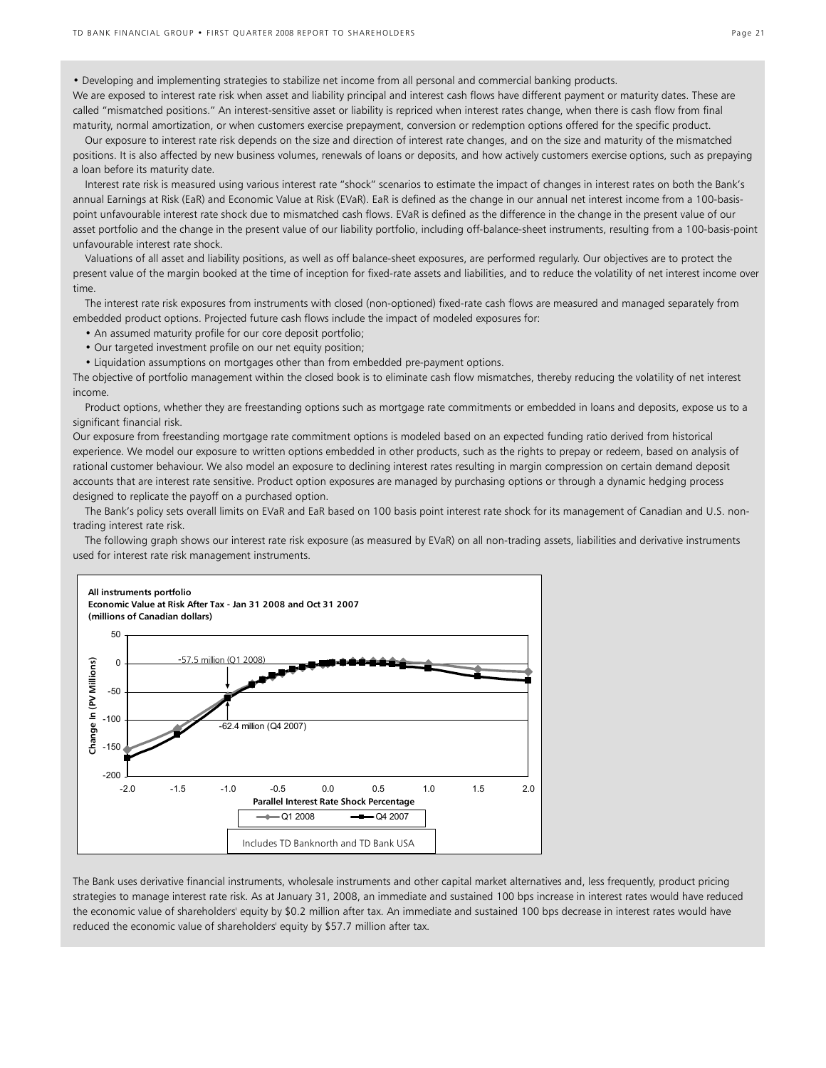• Developing and implementing strategies to stabilize net income from all personal and commercial banking products.

We are exposed to interest rate risk when asset and liability principal and interest cash flows have different payment or maturity dates. These are called "mismatched positions." An interest-sensitive asset or liability is repriced when interest rates change, when there is cash flow from final maturity, normal amortization, or when customers exercise prepayment, conversion or redemption options offered for the specific product.

 Our exposure to interest rate risk depends on the size and direction of interest rate changes, and on the size and maturity of the mismatched positions. It is also affected by new business volumes, renewals of loans or deposits, and how actively customers exercise options, such as prepaying a loan before its maturity date.

 Interest rate risk is measured using various interest rate "shock" scenarios to estimate the impact of changes in interest rates on both the Bank's annual Earnings at Risk (EaR) and Economic Value at Risk (EVaR). EaR is defined as the change in our annual net interest income from a 100-basispoint unfavourable interest rate shock due to mismatched cash flows. EVaR is defined as the difference in the change in the present value of our asset portfolio and the change in the present value of our liability portfolio, including off-balance-sheet instruments, resulting from a 100-basis-point unfavourable interest rate shock.

 Valuations of all asset and liability positions, as well as off balance-sheet exposures, are performed regularly. Our objectives are to protect the present value of the margin booked at the time of inception for fixed-rate assets and liabilities, and to reduce the volatility of net interest income over time.

 The interest rate risk exposures from instruments with closed (non-optioned) fixed-rate cash flows are measured and managed separately from embedded product options. Projected future cash flows include the impact of modeled exposures for:

- An assumed maturity profile for our core deposit portfolio;
- Our targeted investment profile on our net equity position;
- Liquidation assumptions on mortgages other than from embedded pre-payment options.

The objective of portfolio management within the closed book is to eliminate cash flow mismatches, thereby reducing the volatility of net interest income.

 Product options, whether they are freestanding options such as mortgage rate commitments or embedded in loans and deposits, expose us to a significant financial risk.

Our exposure from freestanding mortgage rate commitment options is modeled based on an expected funding ratio derived from historical experience. We model our exposure to written options embedded in other products, such as the rights to prepay or redeem, based on analysis of rational customer behaviour. We also model an exposure to declining interest rates resulting in margin compression on certain demand deposit accounts that are interest rate sensitive. Product option exposures are managed by purchasing options or through a dynamic hedging process designed to replicate the payoff on a purchased option.

 The Bank's policy sets overall limits on EVaR and EaR based on 100 basis point interest rate shock for its management of Canadian and U.S. nontrading interest rate risk.

 The following graph shows our interest rate risk exposure (as measured by EVaR) on all non-trading assets, liabilities and derivative instruments used for interest rate risk management instruments.



The Bank uses derivative financial instruments, wholesale instruments and other capital market alternatives and, less frequently, product pricing strategies to manage interest rate risk. As at January 31, 2008, an immediate and sustained 100 bps increase in interest rates would have reduced the economic value of shareholders' equity by \$0.2 million after tax. An immediate and sustained 100 bps decrease in interest rates would have reduced the economic value of shareholders' equity by \$57.7 million after tax.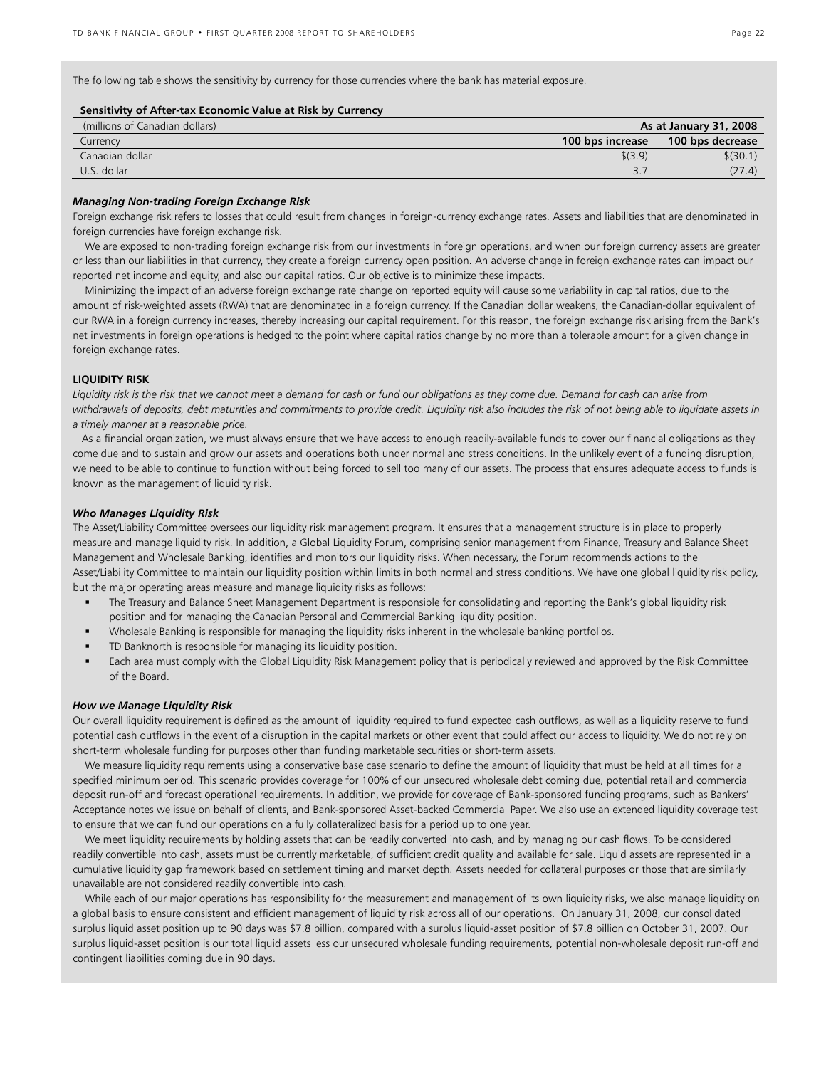The following table shows the sensitivity by currency for those currencies where the bank has material exposure.

#### **Sensitivity of After-tax Economic Value at Risk by Currency**

| (millions of Canadian dollars) |                  | As at January 31, 2008 |
|--------------------------------|------------------|------------------------|
| Currency                       | 100 bps increase | 100 bps decrease       |
| Canadian dollar                | \$(3.9)          | \$(30.1)               |
| U.S. dollar                    |                  | (27.4)                 |

#### *Managing Non-trading Foreign Exchange Risk*

Foreign exchange risk refers to losses that could result from changes in foreign-currency exchange rates. Assets and liabilities that are denominated in foreign currencies have foreign exchange risk.

 We are exposed to non-trading foreign exchange risk from our investments in foreign operations, and when our foreign currency assets are greater or less than our liabilities in that currency, they create a foreign currency open position. An adverse change in foreign exchange rates can impact our reported net income and equity, and also our capital ratios. Our objective is to minimize these impacts.

 Minimizing the impact of an adverse foreign exchange rate change on reported equity will cause some variability in capital ratios, due to the amount of risk-weighted assets (RWA) that are denominated in a foreign currency. If the Canadian dollar weakens, the Canadian-dollar equivalent of our RWA in a foreign currency increases, thereby increasing our capital requirement. For this reason, the foreign exchange risk arising from the Bank's net investments in foreign operations is hedged to the point where capital ratios change by no more than a tolerable amount for a given change in foreign exchange rates.

#### **LIQUIDITY RISK**

*Liquidity risk is the risk that we cannot meet a demand for cash or fund our obligations as they come due. Demand for cash can arise from withdrawals of deposits, debt maturities and commitments to provide credit. Liquidity risk also includes the risk of not being able to liquidate assets in a timely manner at a reasonable price.* 

 As a financial organization, we must always ensure that we have access to enough readily-available funds to cover our financial obligations as they come due and to sustain and grow our assets and operations both under normal and stress conditions. In the unlikely event of a funding disruption, we need to be able to continue to function without being forced to sell too many of our assets. The process that ensures adequate access to funds is known as the management of liquidity risk.

#### *Who Manages Liquidity Risk*

The Asset/Liability Committee oversees our liquidity risk management program. It ensures that a management structure is in place to properly measure and manage liquidity risk. In addition, a Global Liquidity Forum, comprising senior management from Finance, Treasury and Balance Sheet Management and Wholesale Banking, identifies and monitors our liquidity risks. When necessary, the Forum recommends actions to the Asset/Liability Committee to maintain our liquidity position within limits in both normal and stress conditions. We have one global liquidity risk policy, but the major operating areas measure and manage liquidity risks as follows:

- The Treasury and Balance Sheet Management Department is responsible for consolidating and reporting the Bank's global liquidity risk position and for managing the Canadian Personal and Commercial Banking liquidity position.
- Wholesale Banking is responsible for managing the liquidity risks inherent in the wholesale banking portfolios.
- TD Banknorth is responsible for managing its liquidity position.
- Each area must comply with the Global Liquidity Risk Management policy that is periodically reviewed and approved by the Risk Committee of the Board.

#### *How we Manage Liquidity Risk*

Our overall liquidity requirement is defined as the amount of liquidity required to fund expected cash outflows, as well as a liquidity reserve to fund potential cash outflows in the event of a disruption in the capital markets or other event that could affect our access to liquidity. We do not rely on short-term wholesale funding for purposes other than funding marketable securities or short-term assets.

We measure liquidity requirements using a conservative base case scenario to define the amount of liquidity that must be held at all times for a specified minimum period. This scenario provides coverage for 100% of our unsecured wholesale debt coming due, potential retail and commercial deposit run-off and forecast operational requirements. In addition, we provide for coverage of Bank-sponsored funding programs, such as Bankers' Acceptance notes we issue on behalf of clients, and Bank-sponsored Asset-backed Commercial Paper. We also use an extended liquidity coverage test to ensure that we can fund our operations on a fully collateralized basis for a period up to one year.

 We meet liquidity requirements by holding assets that can be readily converted into cash, and by managing our cash flows. To be considered readily convertible into cash, assets must be currently marketable, of sufficient credit quality and available for sale. Liquid assets are represented in a cumulative liquidity gap framework based on settlement timing and market depth. Assets needed for collateral purposes or those that are similarly unavailable are not considered readily convertible into cash.

 While each of our major operations has responsibility for the measurement and management of its own liquidity risks, we also manage liquidity on a global basis to ensure consistent and efficient management of liquidity risk across all of our operations. On January 31, 2008, our consolidated surplus liquid asset position up to 90 days was \$7.8 billion, compared with a surplus liquid-asset position of \$7.8 billion on October 31, 2007. Our surplus liquid-asset position is our total liquid assets less our unsecured wholesale funding requirements, potential non-wholesale deposit run-off and contingent liabilities coming due in 90 days.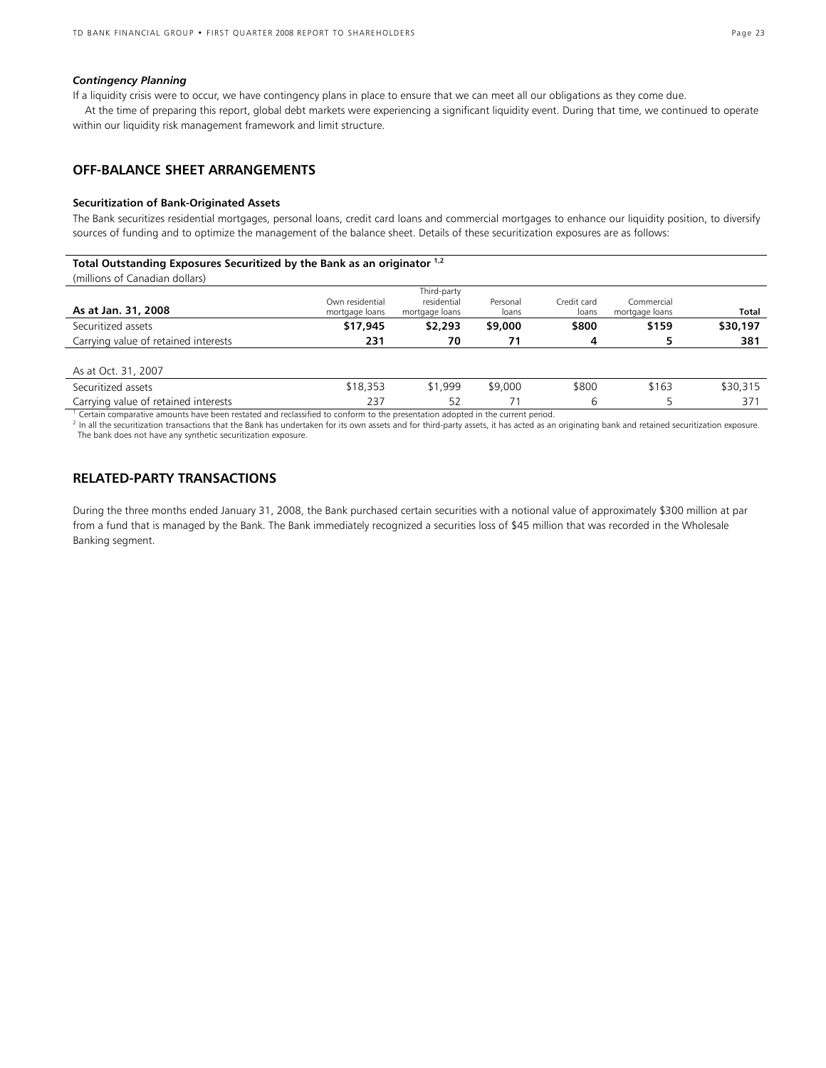#### *Contingency Planning*

If a liquidity crisis were to occur, we have contingency plans in place to ensure that we can meet all our obligations as they come due.

At the time of preparing this report, global debt markets were experiencing a significant liquidity event. During that time, we continued to operate within our liquidity risk management framework and limit structure.

## **OFF-BALANCE SHEET ARRANGEMENTS**

#### **Securitization of Bank-Originated Assets**

The Bank securitizes residential mortgages, personal loans, credit card loans and commercial mortgages to enhance our liquidity position, to diversify sources of funding and to optimize the management of the balance sheet. Details of these securitization exposures are as follows:

## **Total Outstanding Exposures Securitized by the Bank as an originator 1,2**

(millions of Canadian dollars)

| As at Jan. 31, 2008                  | Own residential<br>mortgage loans | Third-party<br>residential<br>mortgage loans | Personal<br>loans | Credit card<br>loans | Commercial<br>mortgage loans | Total    |
|--------------------------------------|-----------------------------------|----------------------------------------------|-------------------|----------------------|------------------------------|----------|
| Securitized assets                   | \$17,945                          | \$2,293                                      | \$9,000           | \$800                | \$159                        | \$30,197 |
| Carrying value of retained interests | 231                               | 70                                           | 71                | 4                    |                              | 381      |
|                                      |                                   |                                              |                   |                      |                              |          |
| As at Oct. 31, 2007                  |                                   |                                              |                   |                      |                              |          |
| Securitized assets                   | \$18,353                          | \$1,999                                      | \$9,000           | \$800                | \$163                        | \$30,315 |
| Carrying value of retained interests | 237                               | 52                                           |                   | 6                    |                              | 371      |

Certain comparative amounts have been restated and reclassified to conform to the presentation adopted in the current period.

<sup>2</sup> In all the securitization transactions that the Bank has undertaken for its own assets and for third-party assets, it has acted as an originating bank and retained securitization exposure. The bank does not have any synthetic securitization exposure.

## **RELATED-PARTY TRANSACTIONS**

During the three months ended January 31, 2008, the Bank purchased certain securities with a notional value of approximately \$300 million at par from a fund that is managed by the Bank. The Bank immediately recognized a securities loss of \$45 million that was recorded in the Wholesale Banking segment.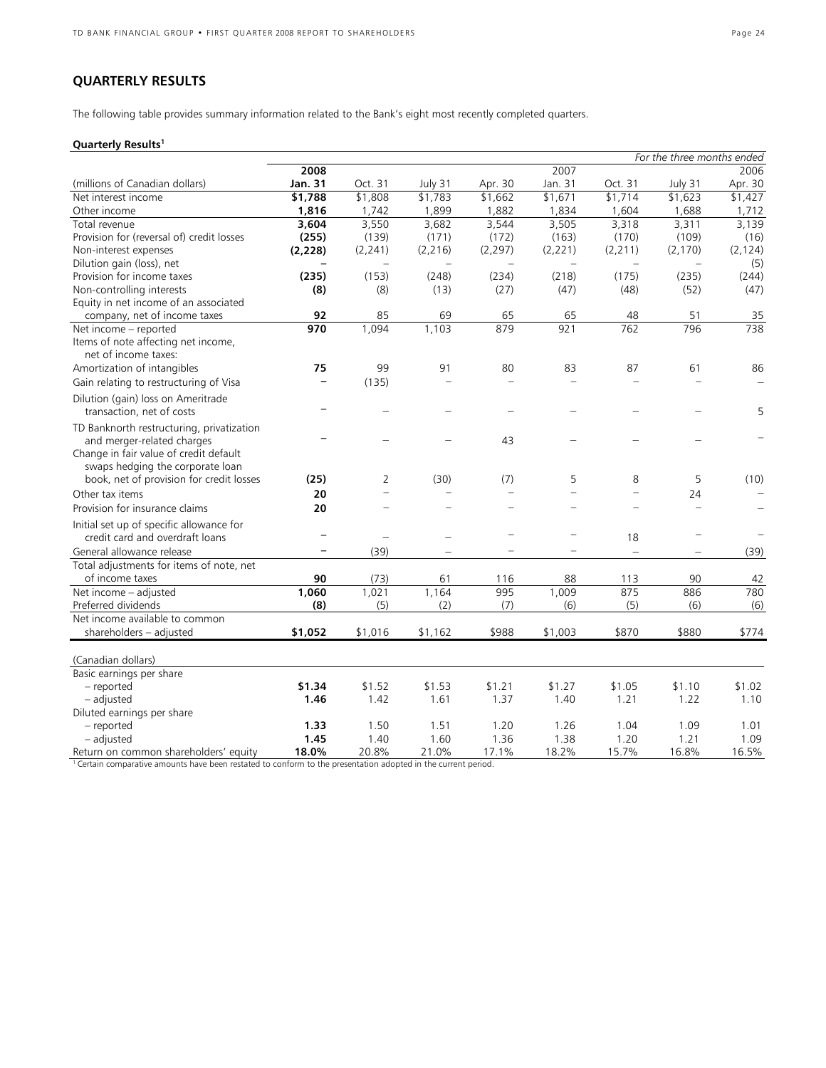## **QUARTERLY RESULTS**

The following table provides summary information related to the Bank's eight most recently completed quarters.

## **Quarterly Results1**

|                                           |          |          |                          |          |                          | For the three months ended |          |          |
|-------------------------------------------|----------|----------|--------------------------|----------|--------------------------|----------------------------|----------|----------|
|                                           | 2008     |          |                          |          | 2007                     |                            |          | 2006     |
| (millions of Canadian dollars)            | Jan. 31  | Oct. 31  | July 31                  | Apr. 30  | Jan. 31                  | Oct. 31                    | July 31  | Apr. 30  |
| Net interest income                       | \$1,788  | \$1,808  | \$1,783                  | \$1,662  | \$1,671                  | \$1,714                    | \$1,623  | \$1,427  |
| Other income                              | 1,816    | 1,742    | 1,899                    | 1,882    | 1,834                    | 1,604                      | 1,688    | 1,712    |
| Total revenue                             | 3,604    | 3,550    | 3,682                    | 3,544    | 3,505                    | 3,318                      | 3,311    | 3,139    |
| Provision for (reversal of) credit losses | (255)    | (139)    | (171)                    | (172)    | (163)                    | (170)                      | (109)    | (16)     |
| Non-interest expenses                     | (2, 228) | (2, 241) | (2, 216)                 | (2, 297) | (2, 221)                 | (2, 211)                   | (2, 170) | (2, 124) |
| Dilution gain (loss), net                 |          |          |                          |          | $\overline{\phantom{0}}$ |                            |          | (5)      |
| Provision for income taxes                | (235)    | (153)    | (248)                    | (234)    | (218)                    | (175)                      | (235)    | (244)    |
| Non-controlling interests                 | (8)      | (8)      | (13)                     | (27)     | (47)                     | (48)                       | (52)     | (47)     |
| Equity in net income of an associated     |          |          |                          |          |                          |                            |          |          |
| company, net of income taxes              | 92       | 85       | 69                       | 65       | 65                       | 48                         | 51       | 35       |
| Net income - reported                     | 970      | 1,094    | 1,103                    | 879      | 921                      | 762                        | 796      | 738      |
| Items of note affecting net income,       |          |          |                          |          |                          |                            |          |          |
| net of income taxes:                      |          |          |                          |          |                          |                            |          |          |
| Amortization of intangibles               | 75       | 99       | 91                       | 80       | 83                       | 87                         | 61       | 86       |
| Gain relating to restructuring of Visa    |          | (135)    |                          | $\equiv$ |                          |                            |          |          |
| Dilution (gain) loss on Ameritrade        |          |          |                          |          |                          |                            |          |          |
| transaction, net of costs                 |          |          |                          |          |                          |                            |          | 5        |
| TD Banknorth restructuring, privatization |          |          |                          |          |                          |                            |          |          |
| and merger-related charges                |          |          |                          | 43       |                          |                            |          |          |
| Change in fair value of credit default    |          |          |                          |          |                          |                            |          |          |
| swaps hedging the corporate loan          |          |          |                          |          |                          |                            |          |          |
| book, net of provision for credit losses  | (25)     | 2        | (30)                     | (7)      | 5                        | 8                          | 5        | (10)     |
| Other tax items                           | 20       | ÷        |                          | $\equiv$ | $\equiv$                 |                            | 24       |          |
| Provision for insurance claims            | 20       |          |                          | $\equiv$ | $\equiv$                 |                            | $\equiv$ |          |
| Initial set up of specific allowance for  |          |          |                          |          |                          |                            |          |          |
| credit card and overdraft loans           |          |          | $\overline{\phantom{0}}$ |          |                          | 18                         |          |          |
| General allowance release                 |          | (39)     |                          |          |                          | $\qquad \qquad -$          |          | (39)     |
| Total adjustments for items of note, net  |          |          |                          |          |                          |                            |          |          |
| of income taxes                           | 90       | (73)     | 61                       | 116      | 88                       | 113                        | 90       | 42       |
| Net income - adjusted                     | 1,060    | 1,021    | 1,164                    | 995      | 1,009                    | 875                        | 886      | 780      |
| Preferred dividends                       | (8)      | (5)      | (2)                      | (7)      | (6)                      | (5)                        | (6)      | (6)      |
| Net income available to common            |          |          |                          |          |                          |                            |          |          |
| shareholders - adjusted                   | \$1,052  | \$1,016  | \$1,162                  | \$988    | \$1,003                  | \$870                      | \$880    | \$774    |
|                                           |          |          |                          |          |                          |                            |          |          |
| (Canadian dollars)                        |          |          |                          |          |                          |                            |          |          |
| Basic earnings per share                  |          |          |                          |          |                          |                            |          |          |
| - reported                                | \$1.34   | \$1.52   | \$1.53                   | \$1.21   | \$1.27                   | \$1.05                     | \$1.10   | \$1.02   |
| - adjusted                                | 1.46     | 1.42     | 1.61                     | 1.37     | 1.40                     | 1.21                       | 1.22     | 1.10     |
| Diluted earnings per share                |          |          |                          |          |                          |                            |          |          |
| - reported                                | 1.33     | 1.50     | 1.51                     | 1.20     | 1.26                     | 1.04                       | 1.09     | 1.01     |
| - adjusted                                | 1.45     | 1.40     | 1.60                     | 1.36     | 1.38                     | 1.20                       | 1.21     | 1.09     |
| Return on common shareholders' equity     | 18.0%    | 20.8%    | 21.0%                    | 17.1%    | 18.2%                    | 15.7%                      | 16.8%    | 16.5%    |
|                                           |          |          |                          |          |                          |                            |          |          |

<sup>1</sup> Certain comparative amounts have been restated to conform to the presentation adopted in the current period.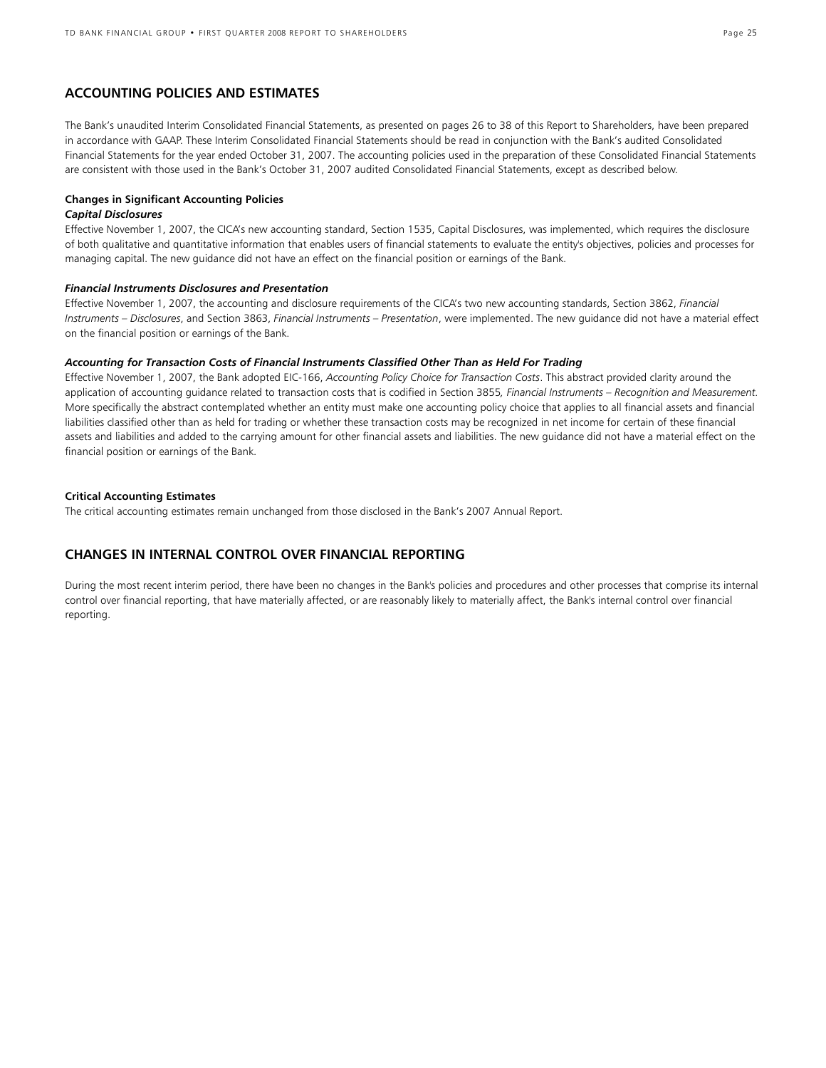## **ACCOUNTING POLICIES AND ESTIMATES**

The Bank's unaudited Interim Consolidated Financial Statements, as presented on pages 26 to 38 of this Report to Shareholders, have been prepared in accordance with GAAP. These Interim Consolidated Financial Statements should be read in conjunction with the Bank's audited Consolidated Financial Statements for the year ended October 31, 2007. The accounting policies used in the preparation of these Consolidated Financial Statements are consistent with those used in the Bank's October 31, 2007 audited Consolidated Financial Statements, except as described below.

#### **Changes in Significant Accounting Policies**

## *Capital Disclosures*

Effective November 1, 2007, the CICA's new accounting standard, Section 1535, Capital Disclosures, was implemented, which requires the disclosure of both qualitative and quantitative information that enables users of financial statements to evaluate the entity's objectives, policies and processes for managing capital. The new guidance did not have an effect on the financial position or earnings of the Bank.

### *Financial Instruments Disclosures and Presentation*

Effective November 1, 2007, the accounting and disclosure requirements of the CICA's two new accounting standards, Section 3862, *Financial Instruments – Disclosures*, and Section 3863, *Financial Instruments – Presentation*, were implemented. The new guidance did not have a material effect on the financial position or earnings of the Bank.

#### *Accounting for Transaction Costs of Financial Instruments Classified Other Than as Held For Trading*

Effective November 1, 2007, the Bank adopted EIC-166, *Accounting Policy Choice for Transaction Costs*. This abstract provided clarity around the application of accounting guidance related to transaction costs that is codified in Section 3855*, Financial Instruments – Recognition and Measurement.*  More specifically the abstract contemplated whether an entity must make one accounting policy choice that applies to all financial assets and financial liabilities classified other than as held for trading or whether these transaction costs may be recognized in net income for certain of these financial assets and liabilities and added to the carrying amount for other financial assets and liabilities. The new guidance did not have a material effect on the financial position or earnings of the Bank.

## **Critical Accounting Estimates**

The critical accounting estimates remain unchanged from those disclosed in the Bank's 2007 Annual Report.

## **CHANGES IN INTERNAL CONTROL OVER FINANCIAL REPORTING**

During the most recent interim period, there have been no changes in the Bank's policies and procedures and other processes that comprise its internal control over financial reporting, that have materially affected, or are reasonably likely to materially affect, the Bank's internal control over financial reporting.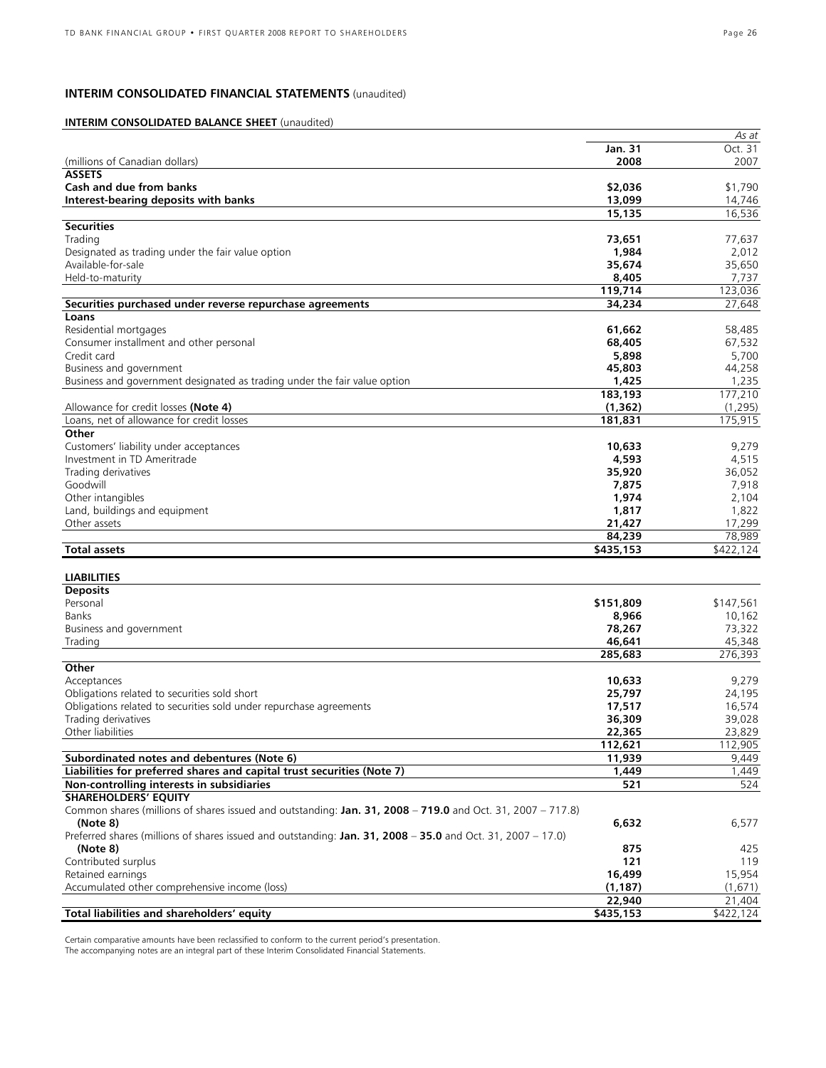## **INTERIM CONSOLIDATED FINANCIAL STATEMENTS** (unaudited)

## **INTERIM CONSOLIDATED BALANCE SHEET** (unaudited)

|                                                                                                             |                | As at     |
|-------------------------------------------------------------------------------------------------------------|----------------|-----------|
|                                                                                                             | <b>Jan. 31</b> | Oct. 31   |
| (millions of Canadian dollars)                                                                              | 2008           | 2007      |
| <b>ASSETS</b>                                                                                               |                |           |
| Cash and due from banks                                                                                     | \$2,036        | \$1,790   |
| Interest-bearing deposits with banks                                                                        | 13,099         | 14,746    |
|                                                                                                             | 15,135         | 16,536    |
| <b>Securities</b>                                                                                           |                |           |
| Trading                                                                                                     | 73,651         | 77,637    |
| Designated as trading under the fair value option                                                           | 1,984          | 2,012     |
| Available-for-sale                                                                                          | 35,674         | 35,650    |
| Held-to-maturity                                                                                            | 8,405          | 7,737     |
|                                                                                                             | 119.714        | 123,036   |
| Securities purchased under reverse repurchase agreements                                                    | 34,234         | 27,648    |
| Loans                                                                                                       |                |           |
|                                                                                                             |                |           |
| Residential mortgages                                                                                       | 61,662         | 58,485    |
| Consumer installment and other personal                                                                     | 68,405         | 67,532    |
| Credit card                                                                                                 | 5,898          | 5,700     |
| Business and government                                                                                     | 45,803         | 44,258    |
| Business and government designated as trading under the fair value option                                   | 1,425          | 1,235     |
|                                                                                                             | 183,193        | 177,210   |
| Allowance for credit losses (Note 4)                                                                        | (1, 362)       | (1, 295)  |
| Loans, net of allowance for credit losses                                                                   | 181,831        | 175,915   |
| Other                                                                                                       |                |           |
| Customers' liability under acceptances                                                                      | 10,633         | 9,279     |
| Investment in TD Ameritrade                                                                                 | 4,593          | 4,515     |
| Trading derivatives                                                                                         | 35,920         | 36,052    |
| Goodwill                                                                                                    | 7,875          | 7,918     |
| Other intangibles                                                                                           | 1,974          | 2,104     |
| Land, buildings and equipment                                                                               | 1,817          | 1,822     |
| Other assets                                                                                                | 21,427         | 17,299    |
|                                                                                                             | 84,239         | 78,989    |
| Total assets                                                                                                | \$435,153      | \$422,124 |
|                                                                                                             |                |           |
| <b>LIABILITIES</b>                                                                                          |                |           |
| <b>Deposits</b>                                                                                             |                |           |
| Personal                                                                                                    | \$151,809      | \$147,561 |
| Banks                                                                                                       | 8,966          | 10,162    |
| Business and government                                                                                     | 78,267         | 73,322    |
| Trading                                                                                                     | 46,641         | 45,348    |
|                                                                                                             | 285,683        | 276,393   |
|                                                                                                             |                |           |
| Other                                                                                                       |                |           |
| Acceptances                                                                                                 | 10,633         | 9,279     |
| Obligations related to securities sold short                                                                | 25,797         | 24,195    |
| Obligations related to securities sold under repurchase agreements                                          | 17,517         | 16,574    |
| Trading derivatives                                                                                         | 36,309         | 39,028    |
| Other liabilities                                                                                           | 22,365         | 23,829    |
|                                                                                                             | 112,621        | 112,905   |
| Subordinated notes and debentures (Note 6)                                                                  | 11,939         | 9,449     |
| Liabilities for preferred shares and capital trust securities (Note 7)                                      | 1,449          | 1,449     |
| Non-controlling interests in subsidiaries                                                                   | 521            | 524       |
| <b>SHAREHOLDERS' EOUITY</b>                                                                                 |                |           |
| Common shares (millions of shares issued and outstanding: Jan. 31, 2008 - 719.0 and Oct. 31, 2007 - 717.8)  |                |           |
| (Note 8)                                                                                                    | 6,632          | 6,577     |
| Preferred shares (millions of shares issued and outstanding: Jan. 31, 2008 – 35.0 and Oct. 31, 2007 – 17.0) |                |           |
| (Note 8)                                                                                                    | 875            | 425       |
| Contributed surplus                                                                                         | 121            | 119       |
| Retained earnings                                                                                           | 16,499         | 15,954    |
| Accumulated other comprehensive income (loss)                                                               | (1, 187)       | (1,671)   |
|                                                                                                             | 22,940         | 21,404    |
|                                                                                                             |                |           |
| Total liabilities and shareholders' equity                                                                  | \$435,153      | \$422,124 |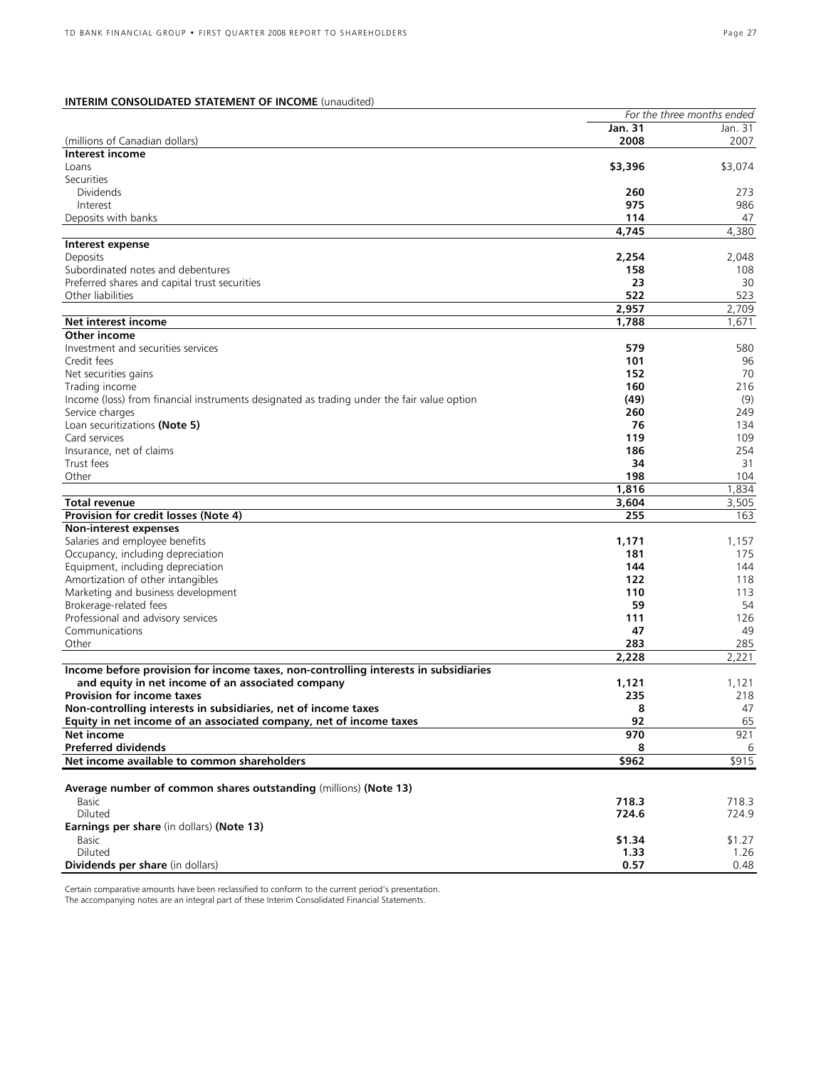## **INTERIM CONSOLIDATED STATEMENT OF INCOME** (unaudited)

|                                                                                                               |             | For the three months ended |
|---------------------------------------------------------------------------------------------------------------|-------------|----------------------------|
|                                                                                                               | Jan. 31     | Jan. 31                    |
| (millions of Canadian dollars)                                                                                | 2008        | 2007                       |
| Interest income                                                                                               |             |                            |
| Loans                                                                                                         | \$3,396     | \$3,074                    |
| Securities                                                                                                    |             |                            |
| <b>Dividends</b>                                                                                              | 260<br>975  | 273                        |
| Interest<br>Deposits with banks                                                                               | 114         | 986<br>47                  |
|                                                                                                               | 4,745       | 4,380                      |
| Interest expense                                                                                              |             |                            |
| Deposits                                                                                                      | 2,254       | 2,048                      |
| Subordinated notes and debentures                                                                             | 158         | 108                        |
| Preferred shares and capital trust securities                                                                 | 23          | 30                         |
| Other liabilities                                                                                             | 522         | 523                        |
|                                                                                                               | 2,957       | 2,709                      |
| Net interest income                                                                                           | 1,788       | 1,671                      |
| Other income                                                                                                  |             |                            |
| Investment and securities services                                                                            | 579         | 580                        |
| Credit fees                                                                                                   | 101         | 96                         |
| Net securities gains                                                                                          | 152         | 70                         |
| Trading income                                                                                                | 160         | 216                        |
| Income (loss) from financial instruments designated as trading under the fair value option<br>Service charges | (49)<br>260 | (9)<br>249                 |
| Loan securitizations (Note 5)                                                                                 | 76          | 134                        |
| Card services                                                                                                 | 119         | 109                        |
| Insurance, net of claims                                                                                      | 186         | 254                        |
| Trust fees                                                                                                    | 34          | 31                         |
| Other                                                                                                         | 198         | 104                        |
|                                                                                                               | 1,816       | 1,834                      |
| Total revenue                                                                                                 | 3,604       | 3,505                      |
| Provision for credit losses (Note 4)                                                                          | 255         | 163                        |
| Non-interest expenses                                                                                         |             |                            |
| Salaries and employee benefits                                                                                | 1,171       | 1,157                      |
| Occupancy, including depreciation                                                                             | 181         | 175                        |
| Equipment, including depreciation                                                                             | 144         | 144                        |
| Amortization of other intangibles                                                                             | 122         | 118                        |
| Marketing and business development                                                                            | 110<br>59   | 113<br>54                  |
| Brokerage-related fees<br>Professional and advisory services                                                  | 111         | 126                        |
| Communications                                                                                                | 47          | 49                         |
| Other                                                                                                         | 283         | 285                        |
|                                                                                                               | 2,228       | 2,221                      |
| Income before provision for income taxes, non-controlling interests in subsidiaries                           |             |                            |
| and equity in net income of an associated company                                                             | 1,121       | 1,121                      |
| <b>Provision for income taxes</b>                                                                             | 235         | 218                        |
| Non-controlling interests in subsidiaries, net of income taxes                                                | 8           | 47                         |
| Equity in net income of an associated company, net of income taxes                                            | 92          | 65                         |
| <b>Net income</b>                                                                                             | 970         | 921                        |
| <b>Preferred dividends</b>                                                                                    | 8           | 6                          |
| Net income available to common shareholders                                                                   | \$962       | \$915                      |
|                                                                                                               |             |                            |
| Average number of common shares outstanding (millions) (Note 13)<br>Basic                                     | 718.3       | 718.3                      |
| Diluted                                                                                                       | 724.6       | 724.9                      |
| Earnings per share (in dollars) (Note 13)                                                                     |             |                            |
| Basic                                                                                                         | \$1.34      | \$1.27                     |
| Diluted                                                                                                       | 1.33        | 1.26                       |
| Dividends per share (in dollars)                                                                              | 0.57        | 0.48                       |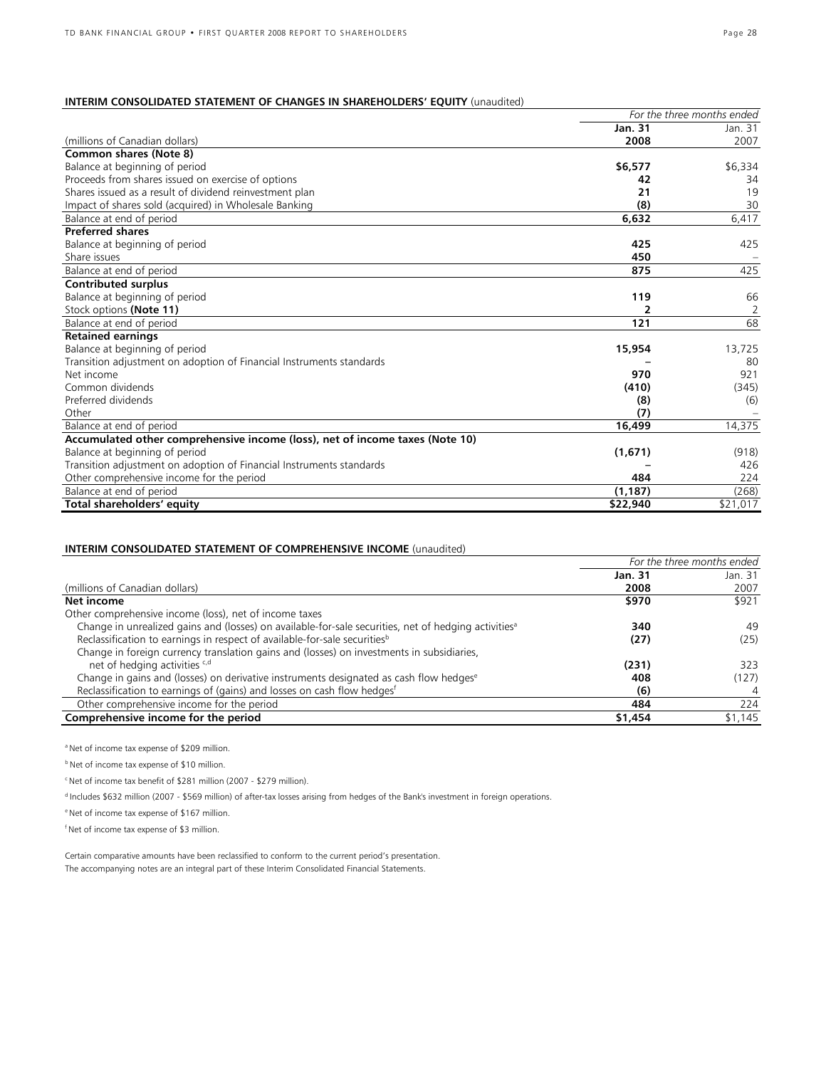## **INTERIM CONSOLIDATED STATEMENT OF CHANGES IN SHAREHOLDERS' EQUITY** (unaudited)

|                                                                              | For the three months ended |          |
|------------------------------------------------------------------------------|----------------------------|----------|
|                                                                              | Jan. 31                    | Jan. 31  |
| (millions of Canadian dollars)                                               | 2008                       | 2007     |
| <b>Common shares (Note 8)</b>                                                |                            |          |
| Balance at beginning of period                                               | \$6,577                    | \$6,334  |
| Proceeds from shares issued on exercise of options                           | 42                         | 34       |
| Shares issued as a result of dividend reinvestment plan                      | 21                         | 19       |
| Impact of shares sold (acquired) in Wholesale Banking                        | (8)                        | 30       |
| Balance at end of period                                                     | 6,632                      | 6,417    |
| <b>Preferred shares</b>                                                      |                            |          |
| Balance at beginning of period                                               | 425                        | 425      |
| Share issues                                                                 | 450                        |          |
| Balance at end of period                                                     | 875                        | 425      |
| <b>Contributed surplus</b>                                                   |                            |          |
| Balance at beginning of period                                               | 119                        | 66       |
| Stock options (Note 11)                                                      | 2                          | 2        |
| Balance at end of period                                                     | 121                        | 68       |
| <b>Retained earnings</b>                                                     |                            |          |
| Balance at beginning of period                                               | 15,954                     | 13,725   |
| Transition adjustment on adoption of Financial Instruments standards         |                            | 80       |
| Net income                                                                   | 970                        | 921      |
| Common dividends                                                             | (410)                      | (345)    |
| Preferred dividends                                                          | (8)                        | (6)      |
| Other                                                                        | (7)                        |          |
| Balance at end of period                                                     | 16,499                     | 14,375   |
| Accumulated other comprehensive income (loss), net of income taxes (Note 10) |                            |          |
| Balance at beginning of period                                               | (1,671)                    | (918)    |
| Transition adjustment on adoption of Financial Instruments standards         |                            | 426      |
| Other comprehensive income for the period                                    | 484                        | 224      |
| Balance at end of period                                                     | (1, 187)                   | (268)    |
| Total shareholders' equity                                                   | \$22,940                   | \$21,017 |

## **INTERIM CONSOLIDATED STATEMENT OF COMPREHENSIVE INCOME** (unaudited)

|                                                                                                                  | For the three months ended |         |
|------------------------------------------------------------------------------------------------------------------|----------------------------|---------|
|                                                                                                                  | Jan. 31                    | Jan. 31 |
| (millions of Canadian dollars)                                                                                   | 2008                       | 2007    |
| Net income                                                                                                       | \$970                      | \$921   |
| Other comprehensive income (loss), net of income taxes                                                           |                            |         |
| Change in unrealized gains and (losses) on available-for-sale securities, net of hedging activities <sup>a</sup> | 340                        | 49      |
| Reclassification to earnings in respect of available-for-sale securities <sup>b</sup>                            | (27)                       | (25)    |
| Change in foreign currency translation gains and (losses) on investments in subsidiaries,                        |                            |         |
| net of hedging activities <sup>e,d</sup>                                                                         | (231)                      | 323     |
| Change in gains and (losses) on derivative instruments designated as cash flow hedgese                           | 408                        | (127)   |
| Reclassification to earnings of (gains) and losses on cash flow hedges <sup>f</sup>                              | (6)                        | 4       |
| Other comprehensive income for the period                                                                        | 484                        | 224     |
| Comprehensive income for the period                                                                              | \$1,454                    | \$1,145 |

a Net of income tax expense of \$209 million.

**b** Net of income tax expense of \$10 million.

c Net of income tax benefit of \$281 million (2007 - \$279 million).

d Includes \$632 million (2007 - \$569 million) of after-tax losses arising from hedges of the Bank's investment in foreign operations.

e Net of income tax expense of \$167 million.

f Net of income tax expense of \$3 million.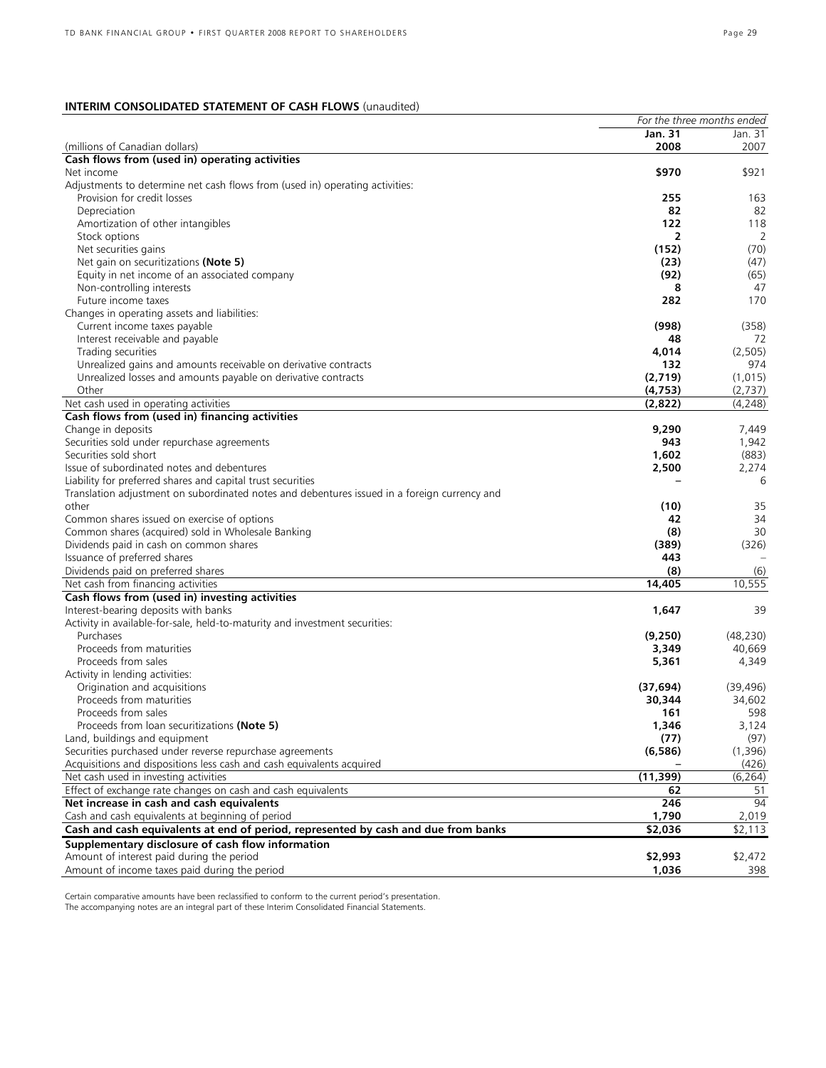## **INTERIM CONSOLIDATED STATEMENT OF CASH FLOWS** (unaudited)

|                                                                                                       | For the three months ended |           |
|-------------------------------------------------------------------------------------------------------|----------------------------|-----------|
|                                                                                                       | <b>Jan. 31</b>             | Jan. 31   |
| (millions of Canadian dollars)                                                                        | 2008                       | 2007      |
| Cash flows from (used in) operating activities                                                        |                            |           |
| Net income                                                                                            | \$970                      | \$921     |
| Adjustments to determine net cash flows from (used in) operating activities:                          |                            |           |
| Provision for credit losses                                                                           | 255                        | 163       |
| Depreciation                                                                                          | 82                         | 82        |
| Amortization of other intangibles                                                                     | 122                        | 118       |
| Stock options                                                                                         | $\overline{2}$             | 2         |
| Net securities gains                                                                                  | (152)                      | (70)      |
| Net gain on securitizations (Note 5)                                                                  | (23)                       | (47)      |
| Equity in net income of an associated company                                                         | (92)                       | (65)      |
| Non-controlling interests                                                                             | 8                          | 47        |
| Future income taxes                                                                                   | 282                        | 170       |
| Changes in operating assets and liabilities:                                                          |                            |           |
| Current income taxes payable                                                                          | (998)                      | (358)     |
| Interest receivable and payable                                                                       | 48                         | 72        |
| Trading securities                                                                                    | 4,014                      | (2, 505)  |
| Unrealized gains and amounts receivable on derivative contracts                                       | 132                        | 974       |
| Unrealized losses and amounts payable on derivative contracts                                         | (2,719)                    | (1,015)   |
| Other                                                                                                 | (4, 753)                   | (2,737)   |
| Net cash used in operating activities                                                                 | (2,822)                    | (4,248)   |
| Cash flows from (used in) financing activities                                                        |                            |           |
| Change in deposits                                                                                    | 9,290                      | 7,449     |
| Securities sold under repurchase agreements                                                           | 943                        | 1,942     |
| Securities sold short                                                                                 | 1,602                      | (883)     |
| Issue of subordinated notes and debentures                                                            | 2,500                      | 2,274     |
| Liability for preferred shares and capital trust securities                                           |                            | 6         |
|                                                                                                       |                            |           |
| Translation adjustment on subordinated notes and debentures issued in a foreign currency and<br>other | (10)                       | 35        |
|                                                                                                       |                            |           |
| Common shares issued on exercise of options                                                           | 42                         | 34        |
| Common shares (acquired) sold in Wholesale Banking                                                    | (8)                        | 30        |
| Dividends paid in cash on common shares                                                               | (389)                      | (326)     |
| Issuance of preferred shares                                                                          | 443                        |           |
| Dividends paid on preferred shares                                                                    | (8)                        | (6)       |
| Net cash from financing activities                                                                    | 14,405                     | 10,555    |
| Cash flows from (used in) investing activities                                                        |                            |           |
| Interest-bearing deposits with banks                                                                  | 1,647                      | 39        |
| Activity in available-for-sale, held-to-maturity and investment securities:                           |                            |           |
| Purchases                                                                                             | (9,250)                    | (48, 230) |
| Proceeds from maturities                                                                              | 3,349                      | 40,669    |
| Proceeds from sales                                                                                   | 5,361                      | 4,349     |
| Activity in lending activities:                                                                       |                            |           |
| Origination and acquisitions                                                                          | (37, 694)                  | (39, 496) |
| Proceeds from maturities                                                                              | 30,344                     | 34,602    |
| Proceeds from sales                                                                                   | 161                        | 598       |
| Proceeds from loan securitizations (Note 5)                                                           | 1,346                      | 3,124     |
| Land, buildings and equipment                                                                         | (77)                       | (97)      |
| Securities purchased under reverse repurchase agreements                                              | (6,586)                    | (1,396)   |
| Acquisitions and dispositions less cash and cash equivalents acquired                                 |                            | (426)     |
| Net cash used in investing activities                                                                 | (11, 399)                  | (6, 264)  |
| Effect of exchange rate changes on cash and cash equivalents                                          | 62                         | 51        |
| Net increase in cash and cash equivalents                                                             | 246                        | 94        |
| Cash and cash equivalents at beginning of period                                                      | 1,790                      | 2,019     |
| Cash and cash equivalents at end of period, represented by cash and due from banks                    | \$2,036                    | \$2,113   |
| Supplementary disclosure of cash flow information                                                     |                            |           |
| Amount of interest paid during the period                                                             | \$2,993                    | \$2,472   |
| Amount of income taxes paid during the period                                                         | 1,036                      | 398       |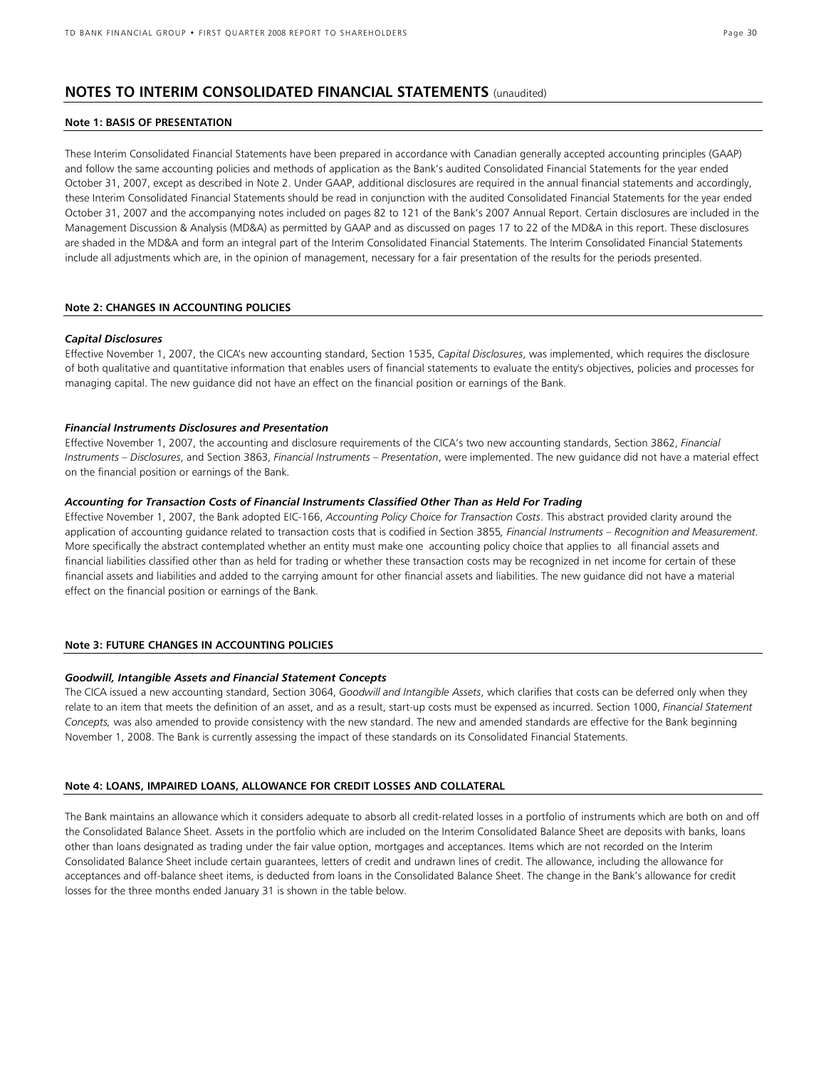## **NOTES TO INTERIM CONSOLIDATED FINANCIAL STATEMENTS** (unaudited)

#### **Note 1: BASIS OF PRESENTATION**

These Interim Consolidated Financial Statements have been prepared in accordance with Canadian generally accepted accounting principles (GAAP) and follow the same accounting policies and methods of application as the Bank's audited Consolidated Financial Statements for the year ended October 31, 2007, except as described in Note 2. Under GAAP, additional disclosures are required in the annual financial statements and accordingly, these Interim Consolidated Financial Statements should be read in conjunction with the audited Consolidated Financial Statements for the year ended October 31, 2007 and the accompanying notes included on pages 82 to 121 of the Bank's 2007 Annual Report. Certain disclosures are included in the Management Discussion & Analysis (MD&A) as permitted by GAAP and as discussed on pages 17 to 22 of the MD&A in this report. These disclosures are shaded in the MD&A and form an integral part of the Interim Consolidated Financial Statements. The Interim Consolidated Financial Statements include all adjustments which are, in the opinion of management, necessary for a fair presentation of the results for the periods presented.

## **Note 2: CHANGES IN ACCOUNTING POLICIES**

#### *Capital Disclosures*

Effective November 1, 2007, the CICA's new accounting standard, Section 1535, *Capital Disclosures*, was implemented, which requires the disclosure of both qualitative and quantitative information that enables users of financial statements to evaluate the entity's objectives, policies and processes for managing capital. The new guidance did not have an effect on the financial position or earnings of the Bank.

#### *Financial Instruments Disclosures and Presentation*

Effective November 1, 2007, the accounting and disclosure requirements of the CICA's two new accounting standards, Section 3862, *Financial Instruments – Disclosures*, and Section 3863, *Financial Instruments – Presentation*, were implemented. The new guidance did not have a material effect on the financial position or earnings of the Bank.

#### *Accounting for Transaction Costs of Financial Instruments Classified Other Than as Held For Trading*

Effective November 1, 2007, the Bank adopted EIC-166, *Accounting Policy Choice for Transaction Costs*. This abstract provided clarity around the application of accounting guidance related to transaction costs that is codified in Section 3855*, Financial Instruments – Recognition and Measurement.*  More specifically the abstract contemplated whether an entity must make one accounting policy choice that applies to all financial assets and financial liabilities classified other than as held for trading or whether these transaction costs may be recognized in net income for certain of these financial assets and liabilities and added to the carrying amount for other financial assets and liabilities. The new guidance did not have a material effect on the financial position or earnings of the Bank.

### **Note 3: FUTURE CHANGES IN ACCOUNTING POLICIES**

#### *Goodwill, Intangible Assets and Financial Statement Concepts*

The CICA issued a new accounting standard, Section 3064, *Goodwill and Intangible Assets*, which clarifies that costs can be deferred only when they relate to an item that meets the definition of an asset, and as a result, start-up costs must be expensed as incurred. Section 1000, *Financial Statement Concepts,* was also amended to provide consistency with the new standard. The new and amended standards are effective for the Bank beginning November 1, 2008. The Bank is currently assessing the impact of these standards on its Consolidated Financial Statements.

#### **Note 4: LOANS, IMPAIRED LOANS, ALLOWANCE FOR CREDIT LOSSES AND COLLATERAL**

The Bank maintains an allowance which it considers adequate to absorb all credit-related losses in a portfolio of instruments which are both on and off the Consolidated Balance Sheet. Assets in the portfolio which are included on the Interim Consolidated Balance Sheet are deposits with banks, loans other than loans designated as trading under the fair value option, mortgages and acceptances. Items which are not recorded on the Interim Consolidated Balance Sheet include certain guarantees, letters of credit and undrawn lines of credit. The allowance, including the allowance for acceptances and off-balance sheet items, is deducted from loans in the Consolidated Balance Sheet. The change in the Bank's allowance for credit losses for the three months ended January 31 is shown in the table below.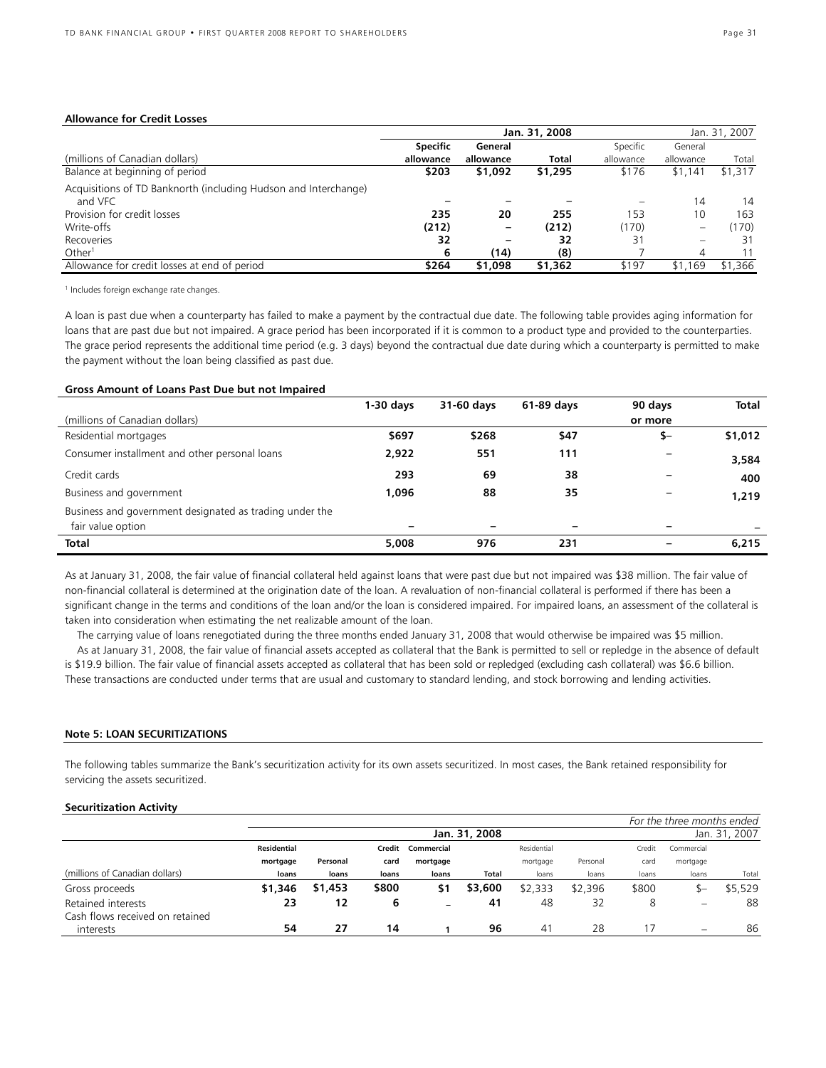#### **Allowance for Credit Losses**

|                                                                 | Jan. 31, 2008   |           |              |                          |           | Jan. 31, 2007 |
|-----------------------------------------------------------------|-----------------|-----------|--------------|--------------------------|-----------|---------------|
|                                                                 | <b>Specific</b> | General   |              | Specific                 | General   |               |
| (millions of Canadian dollars)                                  | allowance       | allowance | <b>Total</b> | allowance                | allowance | Total         |
| Balance at beginning of period                                  | \$203           | \$1,092   | \$1,295      | \$176                    | \$1,141   | \$1,317       |
| Acquisitions of TD Banknorth (including Hudson and Interchange) |                 |           |              |                          |           |               |
| and VFC                                                         |                 |           |              | $\overline{\phantom{0}}$ | 14        | 14            |
| Provision for credit losses                                     | 235             | 20        | 255          | 153                      | 10        | 163           |
| Write-offs                                                      | (212)           |           | (212)        | (170)                    |           | (170)         |
| Recoveries                                                      | 32              |           | 32           | 31                       |           | 31            |
| Other <sup>1</sup>                                              | 6               | (14)      | (8)          |                          | $\Delta$  |               |
| Allowance for credit losses at end of period                    | \$264           | \$1,098   | \$1,362      | \$197                    | \$1,169   | \$1,366       |

<sup>1</sup> Includes foreign exchange rate changes.

A loan is past due when a counterparty has failed to make a payment by the contractual due date. The following table provides aging information for loans that are past due but not impaired. A grace period has been incorporated if it is common to a product type and provided to the counterparties. The grace period represents the additional time period (e.g. 3 days) beyond the contractual due date during which a counterparty is permitted to make the payment without the loan being classified as past due.

#### **Gross Amount of Loans Past Due but not Impaired**

|                                                                              | $1-30$ days | 31-60 days | 61-89 days               | 90 days | Total   |
|------------------------------------------------------------------------------|-------------|------------|--------------------------|---------|---------|
| (millions of Canadian dollars)                                               |             |            |                          | or more |         |
| Residential mortgages                                                        | \$697       | \$268      | \$47                     | \$-     | \$1,012 |
| Consumer installment and other personal loans                                | 2,922       | 551        | 111                      |         | 3,584   |
| Credit cards                                                                 | 293         | 69         | 38                       |         | 400     |
| Business and government                                                      | 1.096       | 88         | 35                       |         | 1,219   |
| Business and government designated as trading under the<br>fair value option |             |            | $\overline{\phantom{0}}$ |         |         |
| <b>Total</b>                                                                 | 5,008       | 976        | 231                      | -       | 6,215   |

As at January 31, 2008, the fair value of financial collateral held against loans that were past due but not impaired was \$38 million. The fair value of non-financial collateral is determined at the origination date of the loan. A revaluation of non-financial collateral is performed if there has been a significant change in the terms and conditions of the loan and/or the loan is considered impaired. For impaired loans, an assessment of the collateral is taken into consideration when estimating the net realizable amount of the loan.

The carrying value of loans renegotiated during the three months ended January 31, 2008 that would otherwise be impaired was \$5 million. As at January 31, 2008, the fair value of financial assets accepted as collateral that the Bank is permitted to sell or repledge in the absence of default is \$19.9 billion. The fair value of financial assets accepted as collateral that has been sold or repledged (excluding cash collateral) was \$6.6 billion. These transactions are conducted under terms that are usual and customary to standard lending, and stock borrowing and lending activities.

#### **Note 5: LOAN SECURITIZATIONS**

The following tables summarize the Bank's securitization activity for its own assets securitized. In most cases, the Bank retained responsibility for servicing the assets securitized.

#### **Securitization Activity**

|                                 |             |               |       |                   |         |             |          |        | For the three months ended      |         |
|---------------------------------|-------------|---------------|-------|-------------------|---------|-------------|----------|--------|---------------------------------|---------|
|                                 |             | Jan. 31, 2008 |       |                   |         |             |          |        | Jan. 31, 2007                   |         |
|                                 | Residential |               |       | Credit Commercial |         | Residential |          | Credit | Commercial                      |         |
|                                 | mortgage    | Personal      | card  | mortgage          |         | mortgage    | Personal | card   | mortgage                        |         |
| (millions of Canadian dollars)  | loans       | loans         | loans | loans             | Total   | loans       | loans    | loans  | loans                           | Total   |
| Gross proceeds                  | \$1,346     | \$1,453       | \$800 | \$1               | \$3,600 | \$2,333     | \$2,396  | \$800  | $S-$                            | \$5,529 |
| Retained interests              | 23          | 12            | 6     | -                 | 41      | 48          | 32       | 8      | $\qquad \qquad \  \  \, \bar{}$ | 88      |
| Cash flows received on retained |             |               |       |                   |         |             |          |        |                                 |         |
| interests                       | 54          | 27            | 14    |                   | 96      | 41          | 28       |        | $\overline{\phantom{0}}$        | 86      |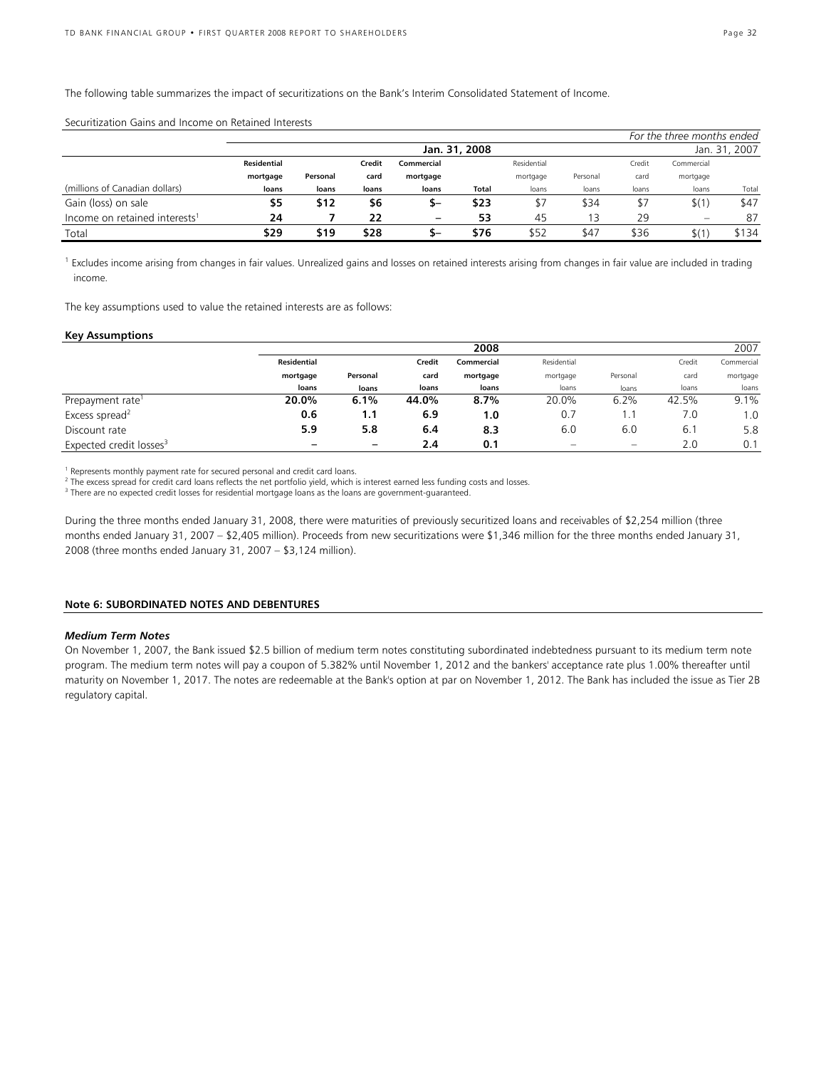The following table summarizes the impact of securitizations on the Bank's Interim Consolidated Statement of Income.

| <u> 2000 - 2010 - 2010 - 2010 - 2010 - 2010 - 2010 - 2010 - 2010 - 2010 - 2010 - 2010 - 2010 - 2010 - 2010 - 20</u> |               |          |        |                 |       |             |          |        |                            |               |
|---------------------------------------------------------------------------------------------------------------------|---------------|----------|--------|-----------------|-------|-------------|----------|--------|----------------------------|---------------|
|                                                                                                                     |               |          |        |                 |       |             |          |        | For the three months ended |               |
|                                                                                                                     | Jan. 31, 2008 |          |        |                 |       |             |          |        |                            | Jan. 31, 2007 |
|                                                                                                                     | Residential   |          | Credit | Commercial      |       | Residential |          | Credit | Commercial                 |               |
|                                                                                                                     | mortgage      | Personal | card   | mortgage        |       | mortgage    | Personal | card   | mortgage                   |               |
| (millions of Canadian dollars)                                                                                      | loans         | loans    | loans  | loans           | Total | loans       | loans    | loans  | loans                      | Total         |
| Gain (loss) on sale                                                                                                 | \$5           | \$12     | \$6    | –כ              | \$23  | \$7         | \$34     | \$7    | \$(1)                      | \$47          |
| Income on retained interests <sup>1</sup>                                                                           | 24            |          | 22     | $\qquad \qquad$ | 53    | 45          | 3        | 29     | $\overline{\phantom{0}}$   | 87            |
| Total                                                                                                               | \$29          | \$19     | \$28   | ъ–              | \$76  | \$52        | \$47     | \$36   | \$(1)                      | \$134         |

Securitization Gains and Income on Retained Interests

<sup>1</sup> Excludes income arising from changes in fair values. Unrealized gains and losses on retained interests arising from changes in fair value are included in trading income.

The key assumptions used to value the retained interests are as follows:

#### **Key Assumptions**

|                                     |                    | 2008     |        |                      |             |       |          | 2007       |
|-------------------------------------|--------------------|----------|--------|----------------------|-------------|-------|----------|------------|
|                                     | <b>Residential</b> |          | Credit | Commercial           | Residential |       | Credit   | Commercial |
|                                     | mortgage           | Personal | card   | mortgage<br>mortgage | Personal    | card  | mortgage |            |
|                                     | loans              | loans    | loans  | loans                | loans       | loans | loans    | loans      |
| Prepayment rate <sup>1</sup>        | 20.0%              | 6.1%     | 44.0%  | 8.7%                 | 20.0%       | 6.2%  | 42.5%    | 9.1%       |
| Excess spread <sup>2</sup>          | 0.6                | 1.1      | 6.9    | 1.0                  | 0.7         |       | 7.0      | 1.0        |
| Discount rate                       | 5.9                | 5.8      | 6.4    | 8.3                  | 6.0         | 6.0   | 6.1      | 5.8        |
| Expected credit losses <sup>3</sup> |                    | -        | 2.4    | 0.1                  | -           | -     | 2.0      | 0.1        |

<sup>1</sup> Represents monthly payment rate for secured personal and credit card loans.

<sup>2</sup> The excess spread for credit card loans reflects the net portfolio yield, which is interest earned less funding costs and losses.<br><sup>3</sup> There are no expected credit losses for residential mertaage loans as the loans are

<sup>3</sup> There are no expected credit losses for residential mortgage loans as the loans are government-guaranteed.

During the three months ended January 31, 2008, there were maturities of previously securitized loans and receivables of \$2,254 million (three months ended January 31, 2007 – \$2,405 million). Proceeds from new securitizations were \$1,346 million for the three months ended January 31, 2008 (three months ended January 31, 2007 – \$3,124 million).

#### **Note 6: SUBORDINATED NOTES AND DEBENTURES**

#### *Medium Term Notes*

On November 1, 2007, the Bank issued \$2.5 billion of medium term notes constituting subordinated indebtedness pursuant to its medium term note program. The medium term notes will pay a coupon of 5.382% until November 1, 2012 and the bankers' acceptance rate plus 1.00% thereafter until maturity on November 1, 2017. The notes are redeemable at the Bank's option at par on November 1, 2012. The Bank has included the issue as Tier 2B regulatory capital.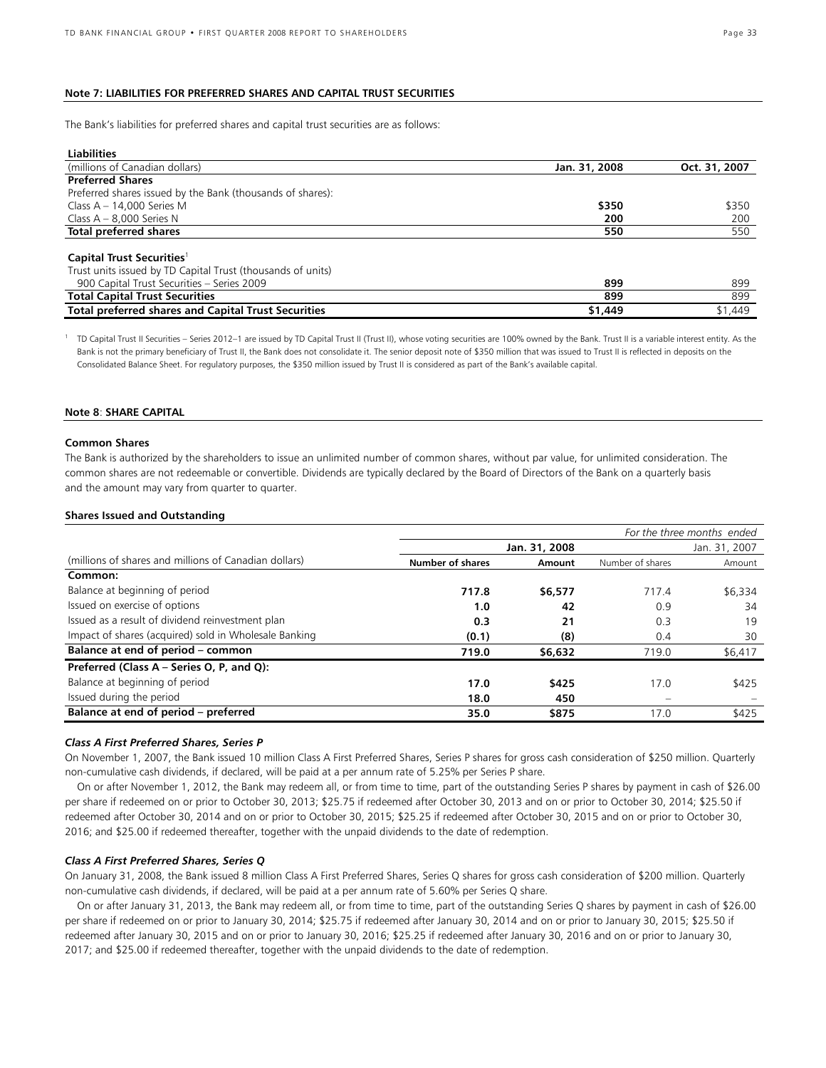#### **Note 7: LIABILITIES FOR PREFERRED SHARES AND CAPITAL TRUST SECURITIES**

The Bank's liabilities for preferred shares and capital trust securities are as follows:

| <b>Liabilities</b>                                          |               |               |
|-------------------------------------------------------------|---------------|---------------|
| (millions of Canadian dollars)                              | Jan. 31, 2008 | Oct. 31, 2007 |
| <b>Preferred Shares</b>                                     |               |               |
| Preferred shares issued by the Bank (thousands of shares):  |               |               |
| Class $A - 14,000$ Series M                                 | \$350         | \$350         |
| Class $A - 8,000$ Series N                                  | 200           | 200           |
| Total preferred shares                                      | 550           | 550           |
|                                                             |               |               |
| Capital Trust Securities <sup>1</sup>                       |               |               |
| Trust units issued by TD Capital Trust (thousands of units) |               |               |
| 900 Capital Trust Securities - Series 2009                  | 899           | 899           |
| <b>Total Capital Trust Securities</b>                       | 899           | 899           |
| <b>Total preferred shares and Capital Trust Securities</b>  | \$1,449       | \$1,449       |

<sup>1</sup> TD Capital Trust II Securities – Series 2012–1 are issued by TD Capital Trust II (Trust II), whose voting securities are 100% owned by the Bank. Trust II is a variable interest entity. As the Bank is not the primary beneficiary of Trust II, the Bank does not consolidate it. The senior deposit note of \$350 million that was issued to Trust II is reflected in deposits on the Consolidated Balance Sheet. For regulatory purposes, the \$350 million issued by Trust II is considered as part of the Bank's available capital.

#### **Note 8**: **SHARE CAPITAL**

#### **Common Shares**

The Bank is authorized by the shareholders to issue an unlimited number of common shares, without par value, for unlimited consideration. The common shares are not redeemable or convertible. Dividends are typically declared by the Board of Directors of the Bank on a quarterly basis and the amount may vary from quarter to quarter.

#### **Shares Issued and Outstanding**

|                                                       |                         |               |                          | For the three months ended |
|-------------------------------------------------------|-------------------------|---------------|--------------------------|----------------------------|
|                                                       |                         | Jan. 31, 2008 |                          | Jan. 31, 2007              |
| (millions of shares and millions of Canadian dollars) | <b>Number of shares</b> | Amount        | Number of shares         | Amount                     |
| Common:                                               |                         |               |                          |                            |
| Balance at beginning of period                        | 717.8                   | \$6,577       | 717.4                    | \$6,334                    |
| Issued on exercise of options                         | 1.0                     | 42            | 0.9                      | 34                         |
| Issued as a result of dividend reinvestment plan      | 0.3                     | 21            | 0.3                      | 19                         |
| Impact of shares (acquired) sold in Wholesale Banking | (0.1)                   | (8)           | 0.4                      | 30                         |
| Balance at end of period - common                     | 719.0                   | \$6,632       | 719.0                    | \$6,417                    |
| Preferred (Class A - Series O, P, and Q):             |                         |               |                          |                            |
| Balance at beginning of period                        | 17.0                    | \$425         | 17.0                     | \$425                      |
| Issued during the period                              | 18.0                    | 450           | $\overline{\phantom{a}}$ |                            |
| Balance at end of period - preferred                  | 35.0                    | \$875         | 17.0                     | \$425                      |

#### *Class A First Preferred Shares, Series P*

On November 1, 2007, the Bank issued 10 million Class A First Preferred Shares, Series P shares for gross cash consideration of \$250 million. Quarterly non-cumulative cash dividends, if declared, will be paid at a per annum rate of 5.25% per Series P share.

 On or after November 1, 2012, the Bank may redeem all, or from time to time, part of the outstanding Series P shares by payment in cash of \$26.00 per share if redeemed on or prior to October 30, 2013; \$25.75 if redeemed after October 30, 2013 and on or prior to October 30, 2014; \$25.50 if redeemed after October 30, 2014 and on or prior to October 30, 2015; \$25.25 if redeemed after October 30, 2015 and on or prior to October 30, 2016; and \$25.00 if redeemed thereafter, together with the unpaid dividends to the date of redemption.

#### *Class A First Preferred Shares, Series Q*

On January 31, 2008, the Bank issued 8 million Class A First Preferred Shares, Series Q shares for gross cash consideration of \$200 million. Quarterly non-cumulative cash dividends, if declared, will be paid at a per annum rate of 5.60% per Series Q share.

 On or after January 31, 2013, the Bank may redeem all, or from time to time, part of the outstanding Series Q shares by payment in cash of \$26.00 per share if redeemed on or prior to January 30, 2014; \$25.75 if redeemed after January 30, 2014 and on or prior to January 30, 2015; \$25.50 if redeemed after January 30, 2015 and on or prior to January 30, 2016; \$25.25 if redeemed after January 30, 2016 and on or prior to January 30, 2017; and \$25.00 if redeemed thereafter, together with the unpaid dividends to the date of redemption.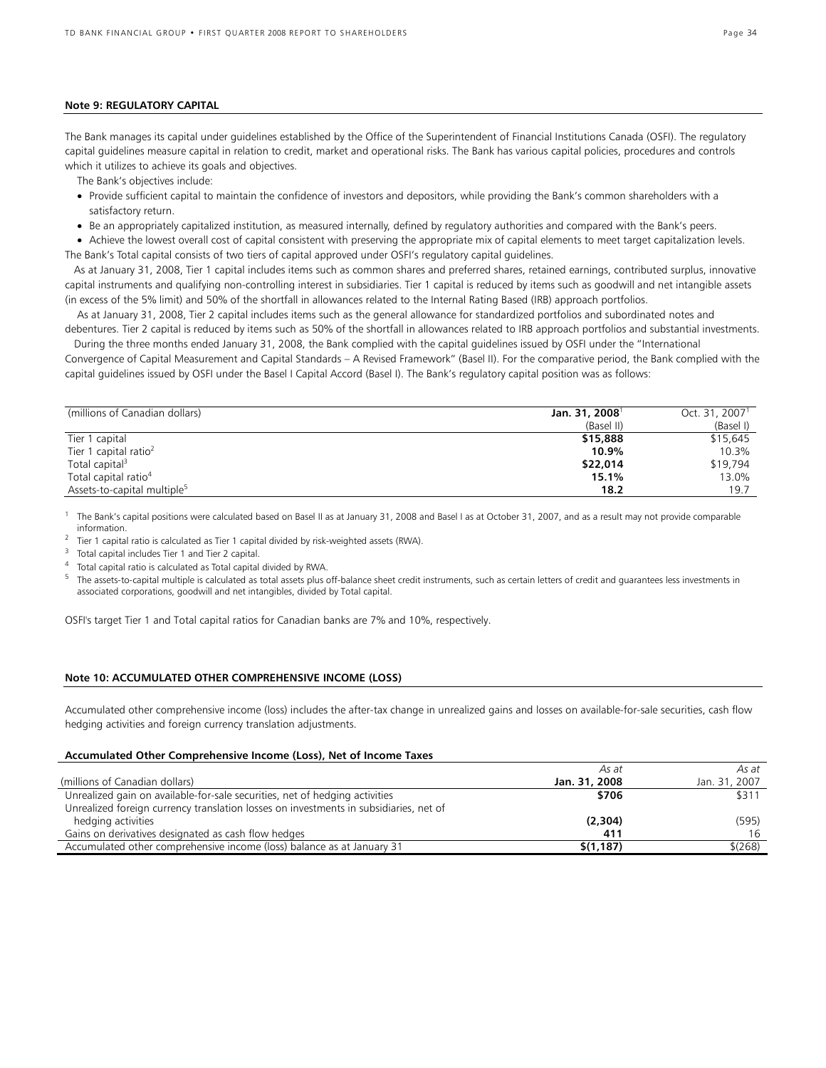#### **Note 9: REGULATORY CAPITAL**

The Bank manages its capital under guidelines established by the Office of the Superintendent of Financial Institutions Canada (OSFI). The regulatory capital guidelines measure capital in relation to credit, market and operational risks. The Bank has various capital policies, procedures and controls which it utilizes to achieve its goals and objectives.

The Bank's objectives include:

- Provide sufficient capital to maintain the confidence of investors and depositors, while providing the Bank's common shareholders with a satisfactory return.
- Be an appropriately capitalized institution, as measured internally, defined by regulatory authorities and compared with the Bank's peers.

• Achieve the lowest overall cost of capital consistent with preserving the appropriate mix of capital elements to meet target capitalization levels. The Bank's Total capital consists of two tiers of capital approved under OSFI's regulatory capital guidelines.

 As at January 31, 2008, Tier 1 capital includes items such as common shares and preferred shares, retained earnings, contributed surplus, innovative capital instruments and qualifying non-controlling interest in subsidiaries. Tier 1 capital is reduced by items such as goodwill and net intangible assets (in excess of the 5% limit) and 50% of the shortfall in allowances related to the Internal Rating Based (IRB) approach portfolios.

 As at January 31, 2008, Tier 2 capital includes items such as the general allowance for standardized portfolios and subordinated notes and debentures. Tier 2 capital is reduced by items such as 50% of the shortfall in allowances related to IRB approach portfolios and substantial investments.

 During the three months ended January 31, 2008, the Bank complied with the capital guidelines issued by OSFI under the "International Convergence of Capital Measurement and Capital Standards – A Revised Framework" (Basel II). For the comparative period, the Bank complied with the capital guidelines issued by OSFI under the Basel I Capital Accord (Basel I). The Bank's regulatory capital position was as follows:

| (millions of Canadian dollars)          | Jan. 31, 2008 <sup>1</sup> | Oct. $31, 20071$ |
|-----------------------------------------|----------------------------|------------------|
|                                         | (Basel II)                 | (Basel I)        |
| Tier 1 capital                          | \$15,888                   | \$15,645         |
| Tier 1 capital ratio <sup>2</sup>       | 10.9%                      | 10.3%            |
| Total capital <sup>3</sup>              | \$22,014                   | \$19.794         |
| Total capital ratio <sup>4</sup>        | 15.1%                      | 13.0%            |
| Assets-to-capital multiple <sup>5</sup> | 18.2                       | 19.7             |

1 The Bank's capital positions were calculated based on Basel II as at January 31, 2008 and Basel I as at October 31, 2007, and as a result may not provide comparable information.<br><sup>2</sup> Tier 1 capital

 $^2$  Tier 1 capital ratio is calculated as Tier 1 capital divided by risk-weighted assets (RWA).  $^3$  Total capital includes Tier 1 and Tier 2 capital.

<sup>4</sup> Total capital ratio is calculated as Total capital divided by RWA.

 $5$  The assets-to-capital multiple is calculated as total assets plus off-balance sheet credit instruments, such as certain letters of credit and guarantees less investments in associated corporations, goodwill and net intangibles, divided by Total capital.

OSFI's target Tier 1 and Total capital ratios for Canadian banks are 7% and 10%, respectively.

#### **Note 10: ACCUMULATED OTHER COMPREHENSIVE INCOME (LOSS)**

Accumulated other comprehensive income (loss) includes the after-tax change in unrealized gains and losses on available-for-sale securities, cash flow hedging activities and foreign currency translation adjustments.

#### **Accumulated Other Comprehensive Income (Loss), Net of Income Taxes**

|                                                                                       | As at         | As at         |
|---------------------------------------------------------------------------------------|---------------|---------------|
| (millions of Canadian dollars)                                                        | Jan. 31, 2008 | Jan. 31, 2007 |
| Unrealized gain on available-for-sale securities, net of hedging activities           | \$706         | \$311         |
| Unrealized foreign currency translation losses on investments in subsidiaries, net of |               |               |
| hedging activities                                                                    | (2,304)       | (595)         |
| Gains on derivatives designated as cash flow hedges                                   | 411           |               |
| Accumulated other comprehensive income (loss) balance as at January 31                | \$(1,187)     | \$(268)       |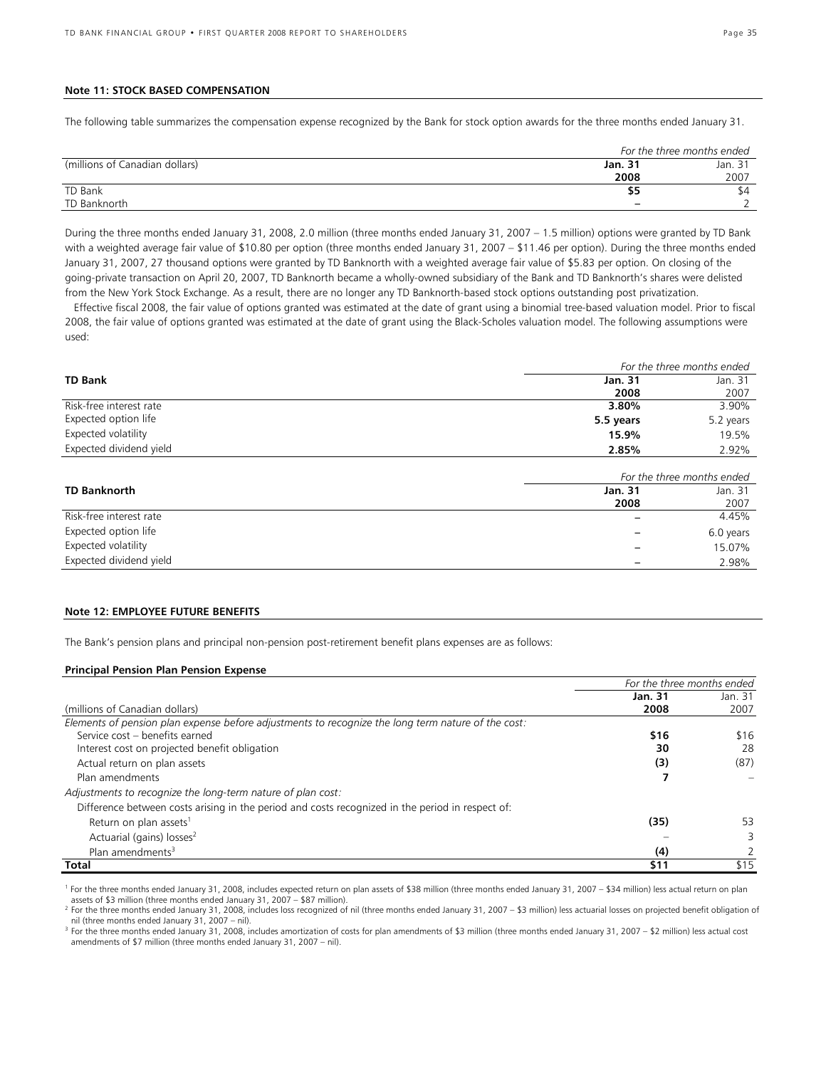#### **Note 11: STOCK BASED COMPENSATION**

The following table summarizes the compensation expense recognized by the Bank for stock option awards for the three months ended January 31.

|                                |         | For the three months ended |  |  |  |
|--------------------------------|---------|----------------------------|--|--|--|
| (millions of Canadian dollars) | Jan. 31 | Jan. 31                    |  |  |  |
|                                | 2008    | 2007                       |  |  |  |
| TD Bank                        |         | \$4                        |  |  |  |
| TD Banknorth                   | -       |                            |  |  |  |

During the three months ended January 31, 2008, 2.0 million (three months ended January 31, 2007 – 1.5 million) options were granted by TD Bank with a weighted average fair value of \$10.80 per option (three months ended January 31, 2007 – \$11.46 per option). During the three months ended January 31, 2007, 27 thousand options were granted by TD Banknorth with a weighted average fair value of \$5.83 per option. On closing of the going-private transaction on April 20, 2007, TD Banknorth became a wholly-owned subsidiary of the Bank and TD Banknorth's shares were delisted from the New York Stock Exchange. As a result, there are no longer any TD Banknorth-based stock options outstanding post privatization.

 Effective fiscal 2008, the fair value of options granted was estimated at the date of grant using a binomial tree-based valuation model. Prior to fiscal 2008, the fair value of options granted was estimated at the date of grant using the Black-Scholes valuation model. The following assumptions were used:

|                         | For the three months ended |           |  |  |
|-------------------------|----------------------------|-----------|--|--|
| <b>TD Bank</b>          | Jan. 31                    | Jan. 31   |  |  |
|                         | 2008                       | 2007      |  |  |
| Risk-free interest rate | 3.80%                      | 3.90%     |  |  |
| Expected option life    | 5.5 years                  | 5.2 years |  |  |
| Expected volatility     | 15.9%                      | 19.5%     |  |  |
| Expected dividend yield | 2.85%                      | 2.92%     |  |  |

|                         | For the three months ended |           |  |
|-------------------------|----------------------------|-----------|--|
| <b>TD Banknorth</b>     | Jan. 31                    | Jan. 31   |  |
|                         | 2008                       | 2007      |  |
| Risk-free interest rate |                            | 4.45%     |  |
| Expected option life    |                            | 6.0 years |  |
| Expected volatility     |                            | 15.07%    |  |
| Expected dividend yield |                            | 2.98%     |  |

#### **Note 12: EMPLOYEE FUTURE BENEFITS**

The Bank's pension plans and principal non-pension post-retirement benefit plans expenses are as follows:

#### **Principal Pension Plan Pension Expense**

|                                                                                                    | For the three months ended |         |  |
|----------------------------------------------------------------------------------------------------|----------------------------|---------|--|
|                                                                                                    | Jan. 31                    | Jan. 31 |  |
| (millions of Canadian dollars)                                                                     | 2008                       | 2007    |  |
| Elements of pension plan expense before adjustments to recognize the long term nature of the cost: |                            |         |  |
| Service cost - benefits earned                                                                     | \$16                       | \$16    |  |
| Interest cost on projected benefit obligation                                                      | 30                         | 28      |  |
| Actual return on plan assets                                                                       | (3)                        | (87)    |  |
| Plan amendments                                                                                    |                            |         |  |
| Adjustments to recognize the long-term nature of plan cost:                                        |                            |         |  |
| Difference between costs arising in the period and costs recognized in the period in respect of:   |                            |         |  |
| Return on plan assets <sup>1</sup>                                                                 | (35)                       | 53      |  |
| Actuarial (gains) losses <sup>2</sup>                                                              |                            | 3       |  |
| Plan amendments <sup>3</sup>                                                                       | (4)                        |         |  |
| Total                                                                                              | \$11                       | \$15    |  |

<sup>1</sup> For the three months ended January 31, 2008, includes expected return on plan assets of \$38 million (three months ended January 31, 2007 – \$34 million) less actual return on plan assets of \$3 million (three months ended January 31, 2007 – \$87 million).

<sup>2</sup> For the three months ended January 31, 2008, includes loss recognized of nil (three months ended January 31, 2007 – \$3 million) less actuarial losses on projected benefit obligation of nil (three months ended January 31, 2007 – nil).

<sup>3</sup> For the three months ended January 31, 2008, includes amortization of costs for plan amendments of \$3 million (three months ended January 31, 2007 – \$2 million) less actual cost amendments of \$7 million (three months ended January 31, 2007 – nil).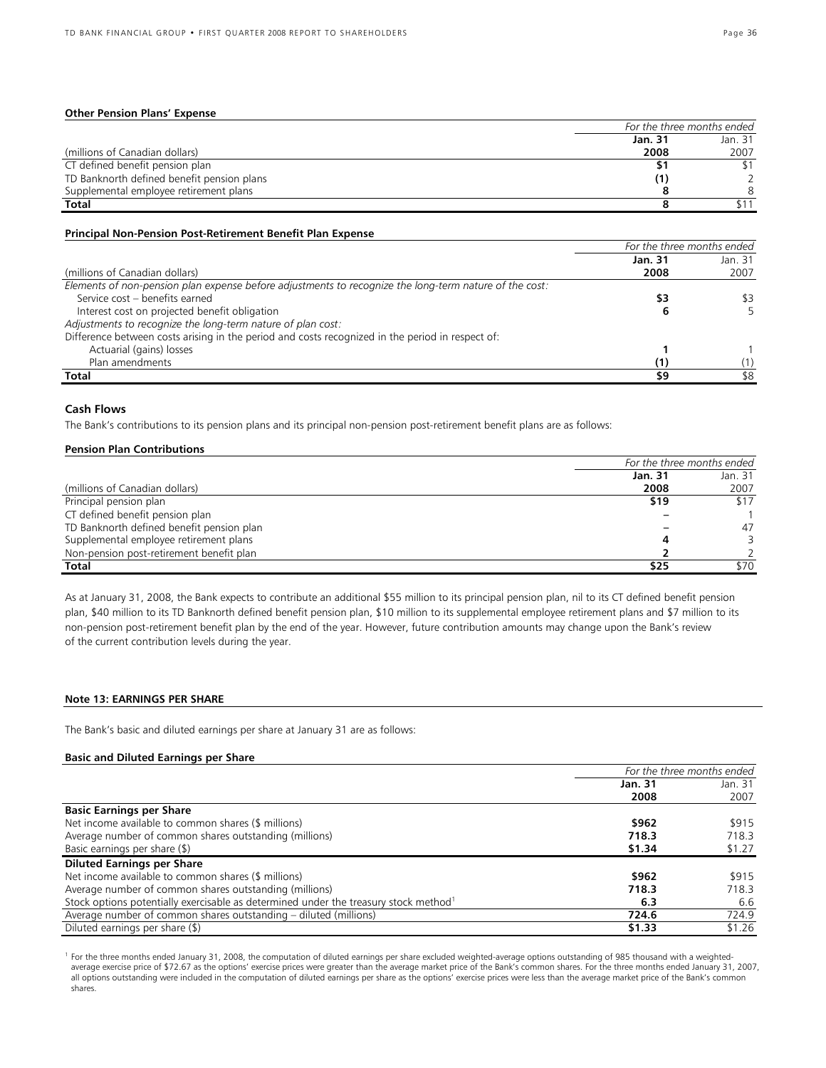#### **Other Pension Plans' Expense**

|                                            | For the three months ended |         |
|--------------------------------------------|----------------------------|---------|
|                                            | Jan. 31                    | Jan. 31 |
| (millions of Canadian dollars)             | 2008                       | 2007    |
| CT defined benefit pension plan            |                            |         |
| TD Banknorth defined benefit pension plans |                            |         |
| Supplemental employee retirement plans     |                            |         |
| Total                                      |                            |         |

#### **Principal Non-Pension Post-Retirement Benefit Plan Expense**

|                                                                                                        | For the three months ended |         |
|--------------------------------------------------------------------------------------------------------|----------------------------|---------|
|                                                                                                        | Jan. 31                    | Jan. 31 |
| (millions of Canadian dollars)                                                                         | 2008                       | 2007    |
| Elements of non-pension plan expense before adjustments to recognize the long-term nature of the cost: |                            |         |
| Service cost - benefits earned                                                                         | \$3                        | \$3     |
| Interest cost on projected benefit obligation                                                          |                            |         |
| Adjustments to recognize the long-term nature of plan cost:                                            |                            |         |
| Difference between costs arising in the period and costs recognized in the period in respect of:       |                            |         |
| Actuarial (gains) losses                                                                               |                            |         |
| Plan amendments                                                                                        |                            |         |
| Total                                                                                                  | \$9                        | \$8     |

#### **Cash Flows**

The Bank's contributions to its pension plans and its principal non-pension post-retirement benefit plans are as follows:

#### **Pension Plan Contributions**

|                                           | For the three months ended |         |  |
|-------------------------------------------|----------------------------|---------|--|
|                                           | Jan. 31                    | Jan. 31 |  |
| (millions of Canadian dollars)            | 2008                       | 2007    |  |
| Principal pension plan                    | \$19                       | \$17    |  |
| CT defined benefit pension plan           |                            |         |  |
| TD Banknorth defined benefit pension plan |                            | 47      |  |
| Supplemental employee retirement plans    |                            |         |  |
| Non-pension post-retirement benefit plan  |                            |         |  |
| <b>Total</b>                              | \$25                       | \$70    |  |

As at January 31, 2008, the Bank expects to contribute an additional \$55 million to its principal pension plan, nil to its CT defined benefit pension plan, \$40 million to its TD Banknorth defined benefit pension plan, \$10 million to its supplemental employee retirement plans and \$7 million to its non-pension post-retirement benefit plan by the end of the year. However, future contribution amounts may change upon the Bank's review of the current contribution levels during the year.

#### **Note 13: EARNINGS PER SHARE**

The Bank's basic and diluted earnings per share at January 31 are as follows:

#### **Basic and Diluted Earnings per Share**

|                                                                                                  | For the three months ended |        |
|--------------------------------------------------------------------------------------------------|----------------------------|--------|
|                                                                                                  | Jan. 31<br>Jan. 31         |        |
|                                                                                                  | 2008                       | 2007   |
| <b>Basic Earnings per Share</b>                                                                  |                            |        |
| Net income available to common shares (\$ millions)                                              | \$962                      | \$915  |
| Average number of common shares outstanding (millions)                                           | 718.3                      | 718.3  |
| Basic earnings per share (\$)                                                                    | \$1.34<br>\$1.27           |        |
| <b>Diluted Earnings per Share</b>                                                                |                            |        |
| Net income available to common shares (\$ millions)                                              | \$962                      | \$915  |
| Average number of common shares outstanding (millions)                                           | 718.3                      | 718.3  |
| Stock options potentially exercisable as determined under the treasury stock method <sup>1</sup> | 6.3                        | 6.6    |
| Average number of common shares outstanding – diluted (millions)                                 | 724.6                      | 724.9  |
| Diluted earnings per share (\$)                                                                  | \$1.33                     | \$1.26 |

<sup>1</sup> For the three months ended January 31, 2008, the computation of diluted earnings per share excluded weighted-average options outstanding of 985 thousand with a weightedaverage exercise price of \$72.67 as the options' exercise prices were greater than the average market price of the Bank's common shares. For the three months ended January 31, 2007, all options outstanding were included in the computation of diluted earnings per share as the options' exercise prices were less than the average market price of the Bank's common shares.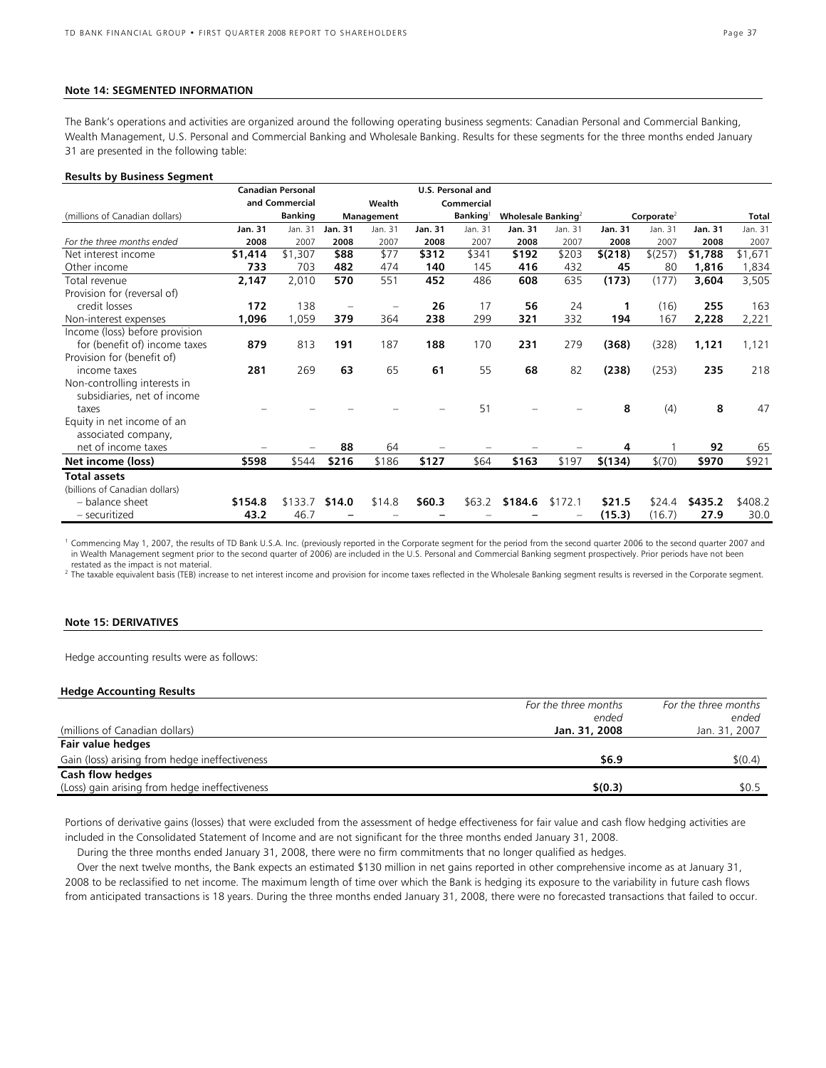#### **Note 14: SEGMENTED INFORMATION**

The Bank's operations and activities are organized around the following operating business segments: Canadian Personal and Commercial Banking, Wealth Management, U.S. Personal and Commercial Banking and Wholesale Banking. Results for these segments for the three months ended January 31 are presented in the following table:

#### **Results by Business Segment**

|                                |         | <b>Canadian Personal</b> |                |            |         | U.S. Personal and |                        |         |         |                        |         |              |
|--------------------------------|---------|--------------------------|----------------|------------|---------|-------------------|------------------------|---------|---------|------------------------|---------|--------------|
|                                |         | and Commercial           |                | Wealth     |         | Commercial        |                        |         |         |                        |         |              |
| (millions of Canadian dollars) |         | <b>Banking</b>           |                | Management |         | <b>Banking</b>    | Wholesale Banking $^2$ |         |         | Corporate <sup>2</sup> |         | <b>Total</b> |
|                                | Jan. 31 | Jan. 31                  | <b>Jan. 31</b> | Jan. 31    | Jan. 31 | Jan. 31           | <b>Jan. 31</b>         | Jan. 31 | Jan. 31 | Jan. 31                | Jan. 31 | Jan. 31      |
| For the three months ended     | 2008    | 2007                     | 2008           | 2007       | 2008    | 2007              | 2008                   | 2007    | 2008    | 2007                   | 2008    | 2007         |
| Net interest income            | \$1,414 | \$1,307                  | \$88           | \$77       | \$312   | \$341             | \$192                  | \$203   | \$(218) | \$(257)                | \$1,788 | \$1,671      |
| Other income                   | 733     | 703                      | 482            | 474        | 140     | 145               | 416                    | 432     | 45      | 80                     | 1,816   | 1,834        |
| Total revenue                  | 2,147   | 2,010                    | 570            | 551        | 452     | 486               | 608                    | 635     | (173)   | (177)                  | 3,604   | 3,505        |
| Provision for (reversal of)    |         |                          |                |            |         |                   |                        |         |         |                        |         |              |
| credit losses                  | 172     | 138                      |                |            | 26      | 17                | 56                     | 24      | 1       | (16)                   | 255     | 163          |
| Non-interest expenses          | 1,096   | 1,059                    | 379            | 364        | 238     | 299               | 321                    | 332     | 194     | 167                    | 2,228   | 2,221        |
| Income (loss) before provision |         |                          |                |            |         |                   |                        |         |         |                        |         |              |
| for (benefit of) income taxes  | 879     | 813                      | 191            | 187        | 188     | 170               | 231                    | 279     | (368)   | (328)                  | 1,121   | 1,121        |
| Provision for (benefit of)     |         |                          |                |            |         |                   |                        |         |         |                        |         |              |
| income taxes                   | 281     | 269                      | 63             | 65         | 61      | 55                | 68                     | 82      | (238)   | (253)                  | 235     | 218          |
| Non-controlling interests in   |         |                          |                |            |         |                   |                        |         |         |                        |         |              |
| subsidiaries, net of income    |         |                          |                |            |         |                   |                        |         |         |                        |         |              |
| taxes                          |         |                          |                |            |         | 51                |                        |         | 8       | (4)                    | 8       | 47           |
| Equity in net income of an     |         |                          |                |            |         |                   |                        |         |         |                        |         |              |
| associated company,            |         |                          |                |            |         |                   |                        |         |         |                        |         |              |
| net of income taxes            |         |                          | 88             | 64         |         |                   |                        |         | 4       |                        | 92      | 65           |
| Net income (loss)              | \$598   | \$544                    | \$216          | \$186      | \$127   | \$64              | \$163                  | \$197   | \$(134) | \$(70)                 | \$970   | \$921        |
| <b>Total assets</b>            |         |                          |                |            |         |                   |                        |         |         |                        |         |              |
| (billions of Canadian dollars) |         |                          |                |            |         |                   |                        |         |         |                        |         |              |
| - balance sheet                | \$154.8 | \$133.7                  | \$14.0         | \$14.8     | \$60.3  | \$63.2            | \$184.6                | \$172.1 | \$21.5  | \$24.4                 | \$435.2 | \$408.2      |
| - securitized                  | 43.2    | 46.7                     |                |            |         |                   |                        |         | (15.3)  | (16.7)                 | 27.9    | 30.0         |

<sup>1</sup> Commencing May 1, 2007, the results of TD Bank U.S.A. Inc. (previously reported in the Corporate segment for the period from the second quarter 2006 to the second quarter 2007 and in Wealth Management segment prior to the second quarter of 2006) are included in the U.S. Personal and Commercial Banking segment prospectively. Prior periods have not been restated as the impact is not material.

<sup>2</sup> The taxable equivalent basis (TEB) increase to net interest income and provision for income taxes reflected in the Wholesale Banking segment results is reversed in the Corporate segment.

## **Note 15: DERIVATIVES**

Hedge accounting results were as follows:

#### **Hedge Accounting Results**

|                                                | For the three months | For the three months |
|------------------------------------------------|----------------------|----------------------|
|                                                | ended                | ended                |
| (millions of Canadian dollars)                 | Jan. 31, 2008        | Jan. 31, 2007        |
| Fair value hedges                              |                      |                      |
| Gain (loss) arising from hedge ineffectiveness | \$6.9                | \$(0.4)              |
| Cash flow hedges                               |                      |                      |
| (Loss) gain arising from hedge ineffectiveness | \$(0.3)              | \$0.5                |

Portions of derivative gains (losses) that were excluded from the assessment of hedge effectiveness for fair value and cash flow hedging activities are included in the Consolidated Statement of Income and are not significant for the three months ended January 31, 2008.

During the three months ended January 31, 2008, there were no firm commitments that no longer qualified as hedges.

 Over the next twelve months, the Bank expects an estimated \$130 million in net gains reported in other comprehensive income as at January 31, 2008 to be reclassified to net income. The maximum length of time over which the Bank is hedging its exposure to the variability in future cash flows from anticipated transactions is 18 years. During the three months ended January 31, 2008, there were no forecasted transactions that failed to occur.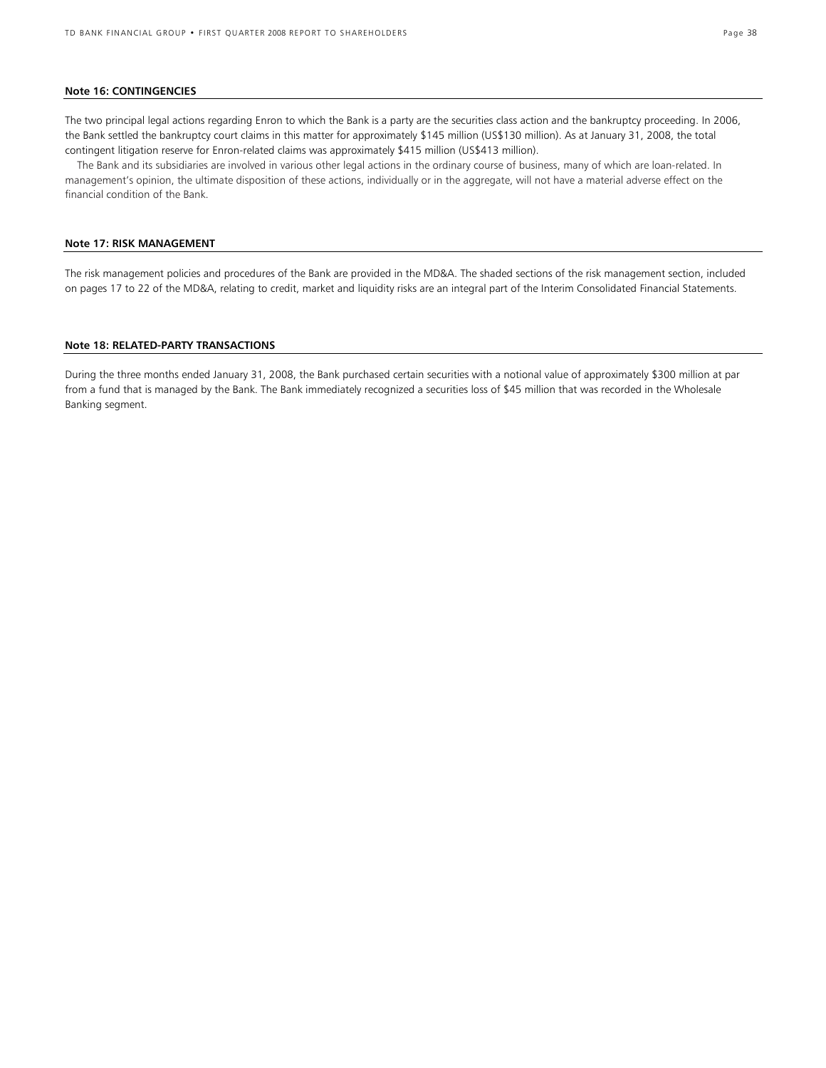#### **Note 16: CONTINGENCIES**

The two principal legal actions regarding Enron to which the Bank is a party are the securities class action and the bankruptcy proceeding. In 2006, the Bank settled the bankruptcy court claims in this matter for approximately \$145 million (US\$130 million). As at January 31, 2008, the total contingent litigation reserve for Enron-related claims was approximately \$415 million (US\$413 million).

The Bank and its subsidiaries are involved in various other legal actions in the ordinary course of business, many of which are loan-related. In management's opinion, the ultimate disposition of these actions, individually or in the aggregate, will not have a material adverse effect on the financial condition of the Bank.

## **Note 17: RISK MANAGEMENT**

The risk management policies and procedures of the Bank are provided in the MD&A. The shaded sections of the risk management section, included on pages 17 to 22 of the MD&A, relating to credit, market and liquidity risks are an integral part of the Interim Consolidated Financial Statements.

#### **Note 18: RELATED-PARTY TRANSACTIONS**

During the three months ended January 31, 2008, the Bank purchased certain securities with a notional value of approximately \$300 million at par from a fund that is managed by the Bank. The Bank immediately recognized a securities loss of \$45 million that was recorded in the Wholesale Banking segment.